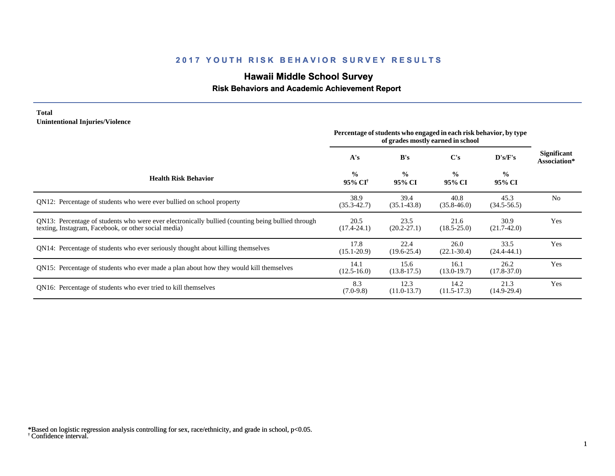# **Hawaii Middle School Survey**

#### **Risk Behaviors and Academic Achievement Report**

#### **Total Unintentional Injuries/Violence**

|                                                                                                                                                           | Percentage of students who engaged in each risk behavior, by type<br>of grades mostly earned in school |                         |                         |                         |                                    |
|-----------------------------------------------------------------------------------------------------------------------------------------------------------|--------------------------------------------------------------------------------------------------------|-------------------------|-------------------------|-------------------------|------------------------------------|
|                                                                                                                                                           | A's                                                                                                    | B's                     | $\bf C's$               | D's/F's                 | <b>Significant</b><br>Association* |
| <b>Health Risk Behavior</b>                                                                                                                               | $\frac{0}{0}$<br>95% CI <sup>†</sup>                                                                   | $\frac{0}{0}$<br>95% CI | $\frac{0}{0}$<br>95% CI | $\frac{6}{6}$<br>95% CI |                                    |
| QN12: Percentage of students who were ever bullied on school property                                                                                     | 38.9<br>$(35.3 - 42.7)$                                                                                | 39.4<br>$(35.1 - 43.8)$ | 40.8<br>$(35.8 - 46.0)$ | 45.3<br>$(34.5-56.5)$   | N <sub>0</sub>                     |
| QN13: Percentage of students who were ever electronically bullied (counting being bullied through<br>texting, Instagram, Facebook, or other social media) | 20.5<br>$(17.4 - 24.1)$                                                                                | 23.5<br>$(20.2 - 27.1)$ | 21.6<br>$(18.5 - 25.0)$ | 30.9<br>$(21.7-42.0)$   | Yes                                |
| QN14: Percentage of students who ever seriously thought about killing themselves                                                                          | 17.8<br>$(15.1 - 20.9)$                                                                                | 22.4<br>$(19.6 - 25.4)$ | 26.0<br>$(22.1 - 30.4)$ | 33.5<br>$(24.4 - 44.1)$ | Yes                                |
| QN15: Percentage of students who ever made a plan about how they would kill themselves                                                                    | 14.1<br>$(12.5 - 16.0)$                                                                                | 15.6<br>$(13.8-17.5)$   | 16.1<br>$(13.0-19.7)$   | 26.2<br>$(17.8 - 37.0)$ | Yes                                |
| QN16: Percentage of students who ever tried to kill themselves                                                                                            | 8.3<br>$(7.0-9.8)$                                                                                     | 12.3<br>$(11.0-13.7)$   | 14.2<br>$(11.5-17.3)$   | 21.3<br>$(14.9-29.4)$   | Yes                                |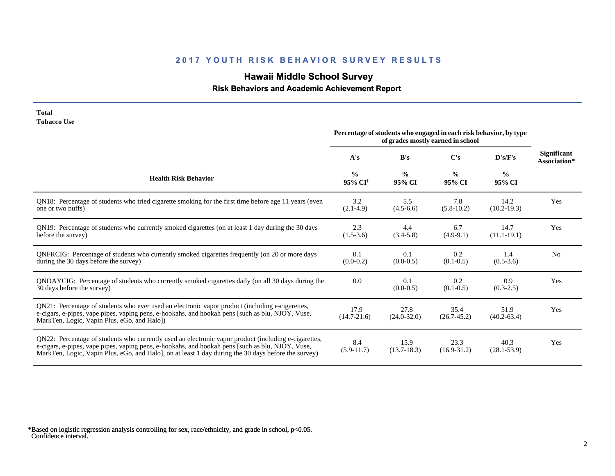# **Hawaii Middle School Survey**

## **Risk Behaviors and Academic Achievement Report**

| <b>Tobacco Use</b>                                                                                                                                                                                                                                                                                              | Percentage of students who engaged in each risk behavior, by type |                         |                         |                         |                                    |
|-----------------------------------------------------------------------------------------------------------------------------------------------------------------------------------------------------------------------------------------------------------------------------------------------------------------|-------------------------------------------------------------------|-------------------------|-------------------------|-------------------------|------------------------------------|
|                                                                                                                                                                                                                                                                                                                 | A's                                                               | B's                     | C's                     | D's/F's                 | <b>Significant</b><br>Association* |
| <b>Health Risk Behavior</b>                                                                                                                                                                                                                                                                                     | $\frac{0}{0}$<br>95% CI <sup>+</sup>                              | $\frac{0}{0}$<br>95% CI | $\frac{0}{0}$<br>95% CI | $\frac{6}{6}$<br>95% CI |                                    |
| QN18: Percentage of students who tried cigarette smoking for the first time before age 11 years (even<br>one or two puffs)                                                                                                                                                                                      | 3.2<br>$(2.1-4.9)$                                                | 5.5<br>$(4.5-6.6)$      | 7.8<br>$(5.8-10.2)$     | 14.2<br>$(10.2 - 19.3)$ | Yes                                |
| QN19: Percentage of students who currently smoked cigarettes (on at least 1 day during the 30 days<br>before the survey)                                                                                                                                                                                        | 2.3<br>$(1.5-3.6)$                                                | 4.4<br>$(3.4 - 5.8)$    | 6.7<br>$(4.9-9.1)$      | 14.7<br>$(11.1 - 19.1)$ | Yes                                |
| QNFRCIG: Percentage of students who currently smoked cigarettes frequently (on 20 or more days<br>during the 30 days before the survey)                                                                                                                                                                         | 0.1<br>$(0.0-0.2)$                                                | 0.1<br>$(0.0-0.5)$      | 0.2<br>$(0.1 - 0.5)$    | 1.4<br>$(0.5-3.6)$      | N <sub>o</sub>                     |
| ONDAYCIG: Percentage of students who currently smoked cigarettes daily (on all 30 days during the<br>30 days before the survey)                                                                                                                                                                                 | 0.0                                                               | 0.1<br>$(0.0-0.5)$      | 0.2<br>$(0.1 - 0.5)$    | 0.9<br>$(0.3-2.5)$      | Yes                                |
| QN21: Percentage of students who ever used an electronic vapor product (including e-cigarettes,<br>e-cigars, e-pipes, vape pipes, vaping pens, e-hookahs, and hookah pens [such as blu, NJOY, Vuse,<br>MarkTen, Logic, Vapin Plus, eGo, and Halo])                                                              | 17.9<br>$(14.7 - 21.6)$                                           | 27.8<br>$(24.0 - 32.0)$ | 35.4<br>$(26.7-45.2)$   | 51.9<br>$(40.2 - 63.4)$ | Yes                                |
| QN22: Percentage of students who currently used an electronic vapor product (including e-cigarettes,<br>e-cigars, e-pipes, vape pipes, vaping pens, e-hookahs, and hookah pens [such as blu, NJOY, Vuse,<br>MarkTen, Logic, Vapin Plus, eGo, and Halo], on at least 1 day during the 30 days before the survey) | 8.4<br>$(5.9-11.7)$                                               | 15.9<br>$(13.7 - 18.3)$ | 23.3<br>$(16.9 - 31.2)$ | 40.3<br>$(28.1 - 53.9)$ | Yes                                |

† Confidence interval. \*Based on logistic regression analysis controlling for sex, race/ethnicity, and grade in school, p<0.05.

**Total**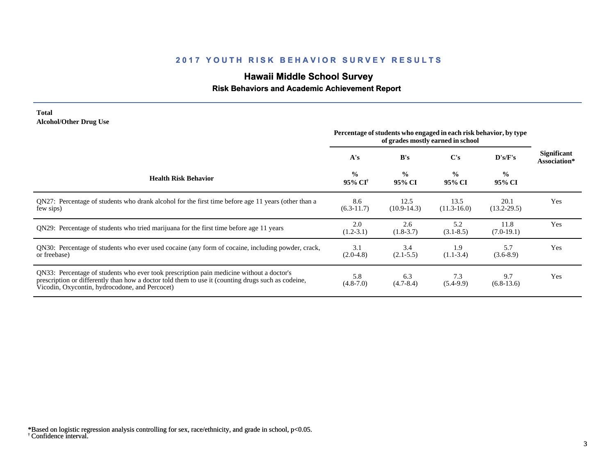# **Hawaii Middle School Survey**

#### **Risk Behaviors and Academic Achievement Report**

#### **Total Alcohol/Other Drug Use**

|                                                                                                                                                                                                                                                  | Percentage of students who engaged in each risk behavior, by type<br>of grades mostly earned in school |                         |                         |                         |                                    |
|--------------------------------------------------------------------------------------------------------------------------------------------------------------------------------------------------------------------------------------------------|--------------------------------------------------------------------------------------------------------|-------------------------|-------------------------|-------------------------|------------------------------------|
|                                                                                                                                                                                                                                                  | A's                                                                                                    | B's                     | $\bf C's$               | D's/F's                 | <b>Significant</b><br>Association* |
| <b>Health Risk Behavior</b>                                                                                                                                                                                                                      | $\frac{0}{0}$<br>95% CI <sup>†</sup>                                                                   | $\frac{0}{0}$<br>95% CI | $\frac{0}{0}$<br>95% CI | $\frac{0}{0}$<br>95% CI |                                    |
| QN27: Percentage of students who drank alcohol for the first time before age 11 years (other than a<br>few sips)                                                                                                                                 | 8.6<br>$(6.3-11.7)$                                                                                    | 12.5<br>$(10.9-14.3)$   | 13.5<br>$(11.3 - 16.0)$ | 20.1<br>$(13.2 - 29.5)$ | Yes                                |
| QN29: Percentage of students who tried marijuana for the first time before age 11 years                                                                                                                                                          | 2.0<br>$(1.2 - 3.1)$                                                                                   | 2.6<br>$(1.8-3.7)$      | 5.2<br>$(3.1 - 8.5)$    | 11.8<br>$(7.0-19.1)$    | Yes                                |
| QN30: Percentage of students who ever used cocaine (any form of cocaine, including powder, crack,<br>or freebase)                                                                                                                                | 3.1<br>$(2.0-4.8)$                                                                                     | 3.4<br>$(2.1 - 5.5)$    | 1.9<br>$(1.1-3.4)$      | 5.7<br>$(3.6-8.9)$      | Yes                                |
| QN33: Percentage of students who ever took prescription pain medicine without a doctor's<br>prescription or differently than how a doctor told them to use it (counting drugs such as codeine,<br>Vicodin, Oxycontin, hydrocodone, and Percocet) | 5.8<br>$(4.8 - 7.0)$                                                                                   | 6.3<br>$(4.7 - 8.4)$    | 7.3<br>$(5.4-9.9)$      | 9.7<br>$(6.8-13.6)$     | Yes                                |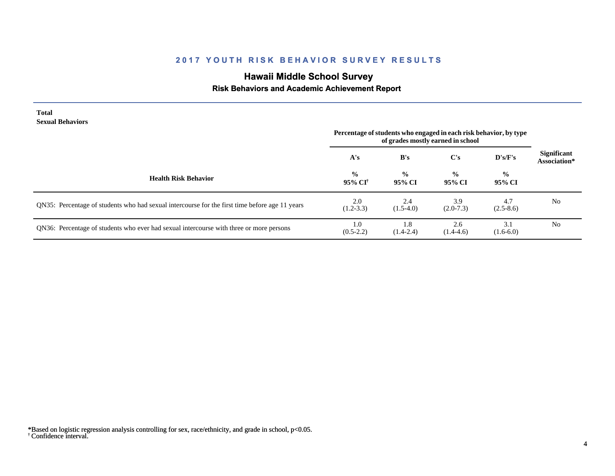# **Hawaii Middle School Survey**

## **Risk Behaviors and Academic Achievement Report**

| <b>Total</b><br><b>Sexual Behaviors</b>                                                        | Percentage of students who engaged in each risk behavior, by type |                         |                                          |                         |                                    |
|------------------------------------------------------------------------------------------------|-------------------------------------------------------------------|-------------------------|------------------------------------------|-------------------------|------------------------------------|
|                                                                                                | A's                                                               | B's                     | of grades mostly earned in school<br>C's | D's/F's                 | <b>Significant</b><br>Association* |
| <b>Health Risk Behavior</b>                                                                    | $\frac{0}{0}$<br>95% CI†                                          | $\frac{0}{0}$<br>95% CI | $\frac{0}{0}$<br>95% CI                  | $\frac{6}{9}$<br>95% CI |                                    |
| QN35: Percentage of students who had sexual intercourse for the first time before age 11 years | 2.0<br>$(1.2 - 3.3)$                                              | 2.4<br>$(1.5-4.0)$      | 3.9<br>$(2.0-7.3)$                       | 4.7<br>$(2.5-8.6)$      | N <sub>0</sub>                     |
| QN36: Percentage of students who ever had sexual intercourse with three or more persons        | 1.0<br>$(0.5-2.2)$                                                | 1.8<br>$(1.4 - 2.4)$    | 2.6<br>$(1.4-4.6)$                       | 3.1<br>$(1.6-6.0)$      | No.                                |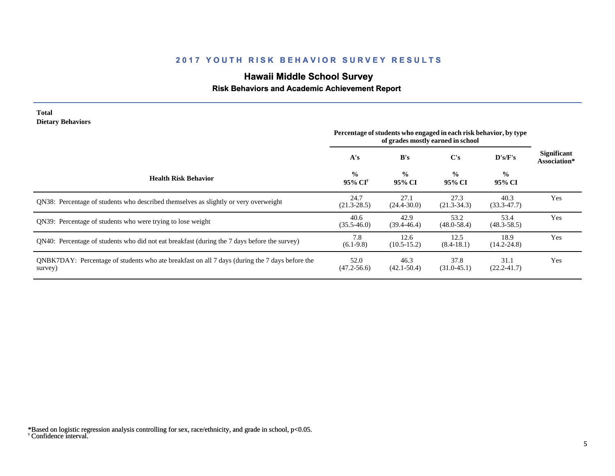# **Hawaii Middle School Survey**

#### **Risk Behaviors and Academic Achievement Report**

| <b>Total</b><br><b>Dietary Behaviors</b>                                                                  | Percentage of students who engaged in each risk behavior, by type<br>of grades mostly earned in school |                         |                         |                         |                                    |
|-----------------------------------------------------------------------------------------------------------|--------------------------------------------------------------------------------------------------------|-------------------------|-------------------------|-------------------------|------------------------------------|
|                                                                                                           | A's                                                                                                    | B's                     | $\bf C's$               | D's/F's                 | <b>Significant</b><br>Association* |
| <b>Health Risk Behavior</b>                                                                               | $\frac{0}{0}$<br>95% CI <sup>†</sup>                                                                   | $\frac{0}{0}$<br>95% CI | $\frac{0}{0}$<br>95% CI | $\frac{0}{0}$<br>95% CI |                                    |
| QN38: Percentage of students who described themselves as slightly or very overweight                      | 24.7<br>$(21.3 - 28.5)$                                                                                | 27.1<br>$(24.4 - 30.0)$ | 27.3<br>$(21.3-34.3)$   | 40.3<br>$(33.3 - 47.7)$ | Yes                                |
| QN39: Percentage of students who were trying to lose weight                                               | 40.6<br>$(35.5 - 46.0)$                                                                                | 42.9<br>$(39.4 - 46.4)$ | 53.2<br>$(48.0 - 58.4)$ | 53.4<br>$(48.3 - 58.5)$ | Yes                                |
| QN40: Percentage of students who did not eat breakfast (during the 7 days before the survey)              | 7.8<br>$(6.1-9.8)$                                                                                     | 12.6<br>$(10.5 - 15.2)$ | 12.5<br>$(8.4-18.1)$    | 18.9<br>$(14.2 - 24.8)$ | Yes                                |
| QNBK7DAY: Percentage of students who ate breakfast on all 7 days (during the 7 days before the<br>survey) | 52.0<br>$(47.2 - 56.6)$                                                                                | 46.3<br>$(42.1 - 50.4)$ | 37.8<br>$(31.0 - 45.1)$ | 31.1<br>$(22.2 - 41.7)$ | Yes                                |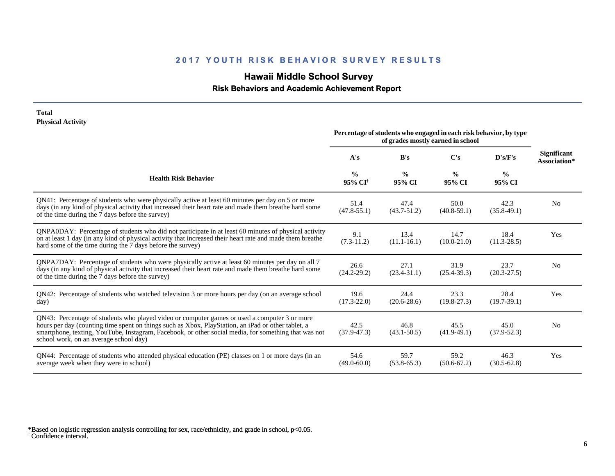# **Hawaii Middle School Survey**

 **Risk Behaviors and Academic Achievement Report**

#### **Total Physical Activity**

|                                                                                                                                                                                                                                                                                                                                                      | Percentage of students who engaged in each risk behavior, by type<br>of grades mostly earned in school |                         |                         |                         |                                    |
|------------------------------------------------------------------------------------------------------------------------------------------------------------------------------------------------------------------------------------------------------------------------------------------------------------------------------------------------------|--------------------------------------------------------------------------------------------------------|-------------------------|-------------------------|-------------------------|------------------------------------|
|                                                                                                                                                                                                                                                                                                                                                      | A's                                                                                                    | B's                     | C's                     | D's/F's                 | <b>Significant</b><br>Association* |
| <b>Health Risk Behavior</b>                                                                                                                                                                                                                                                                                                                          | $\frac{0}{0}$<br>95% CI <sup>†</sup>                                                                   | $\frac{6}{9}$<br>95% CI | $\frac{6}{6}$<br>95% CI | $\frac{6}{6}$<br>95% CI |                                    |
| QN41: Percentage of students who were physically active at least 60 minutes per day on 5 or more<br>days (in any kind of physical activity that increased their heart rate and made them breathe hard some<br>of the time during the 7 days before the survey)                                                                                       | 51.4<br>$(47.8 - 55.1)$                                                                                | 47.4<br>$(43.7 - 51.2)$ | 50.0<br>$(40.8 - 59.1)$ | 42.3<br>$(35.8-49.1)$   | N <sub>0</sub>                     |
| QNPA0DAY: Percentage of students who did not participate in at least 60 minutes of physical activity<br>on at least 1 day (in any kind of physical activity that increased their heart rate and made them breathe<br>hard some of the time during the 7 days before the survey)                                                                      | 9.1<br>$(7.3-11.2)$                                                                                    | 13.4<br>$(11.1 - 16.1)$ | 14.7<br>$(10.0 - 21.0)$ | 18.4<br>$(11.3 - 28.5)$ | Yes                                |
| QNPA7DAY: Percentage of students who were physically active at least 60 minutes per day on all 7<br>days (in any kind of physical activity that increased their heart rate and made them breathe hard some<br>of the time during the 7 days before the survey)                                                                                       | 26.6<br>$(24.2 - 29.2)$                                                                                | 27.1<br>$(23.4 - 31.1)$ | 31.9<br>$(25.4 - 39.3)$ | 23.7<br>$(20.3 - 27.5)$ | N <sub>0</sub>                     |
| QN42: Percentage of students who watched television 3 or more hours per day (on an average school<br>day)                                                                                                                                                                                                                                            | 19.6<br>$(17.3 - 22.0)$                                                                                | 24.4<br>$(20.6 - 28.6)$ | 23.3<br>$(19.8-27.3)$   | 28.4<br>$(19.7-39.1)$   | Yes                                |
| QN43: Percentage of students who played video or computer games or used a computer 3 or more<br>hours per day (counting time spent on things such as Xbox, PlayStation, an iPad or other tablet, a<br>smartphone, texting, YouTube, Instagram, Facebook, or other social media, for something that was not<br>school work, on an average school day) | 42.5<br>$(37.9 - 47.3)$                                                                                | 46.8<br>$(43.1 - 50.5)$ | 45.5<br>$(41.9-49.1)$   | 45.0<br>$(37.9 - 52.3)$ | N <sub>0</sub>                     |
| QN44: Percentage of students who attended physical education (PE) classes on 1 or more days (in an<br>average week when they were in school)                                                                                                                                                                                                         | 54.6<br>$(49.0 - 60.0)$                                                                                | 59.7<br>$(53.8-65.3)$   | 59.2<br>$(50.6 - 67.2)$ | 46.3<br>$(30.5 - 62.8)$ | Yes                                |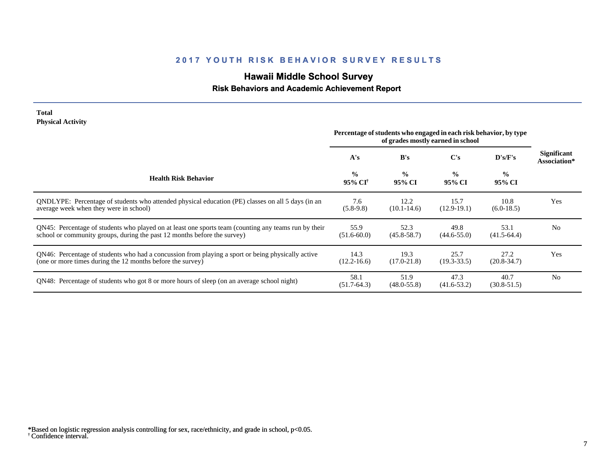# **Hawaii Middle School Survey**

## **Risk Behaviors and Academic Achievement Report**

#### **Total Physical Activity**

|                                                                                                                                                                                  | Percentage of students who engaged in each risk behavior, by type<br>of grades mostly earned in school |                         |                         |                         |                             |
|----------------------------------------------------------------------------------------------------------------------------------------------------------------------------------|--------------------------------------------------------------------------------------------------------|-------------------------|-------------------------|-------------------------|-----------------------------|
|                                                                                                                                                                                  | A's                                                                                                    | B's                     | C's                     | $\bf{D's/F's}$          | Significant<br>Association* |
| <b>Health Risk Behavior</b>                                                                                                                                                      | $\frac{0}{0}$<br>95% CI <sup>+</sup>                                                                   | $\frac{0}{0}$<br>95% CI | $\frac{0}{0}$<br>95% CI | $\frac{0}{0}$<br>95% CI |                             |
| ONDLYPE: Percentage of students who attended physical education (PE) classes on all 5 days (in an<br>average week when they were in school)                                      | 7.6<br>$(5.8-9.8)$                                                                                     | 12.2<br>$(10.1 - 14.6)$ | 15.7<br>$(12.9-19.1)$   | 10.8<br>$(6.0-18.5)$    | Yes                         |
| QN45: Percentage of students who played on at least one sports team (counting any teams run by their<br>school or community groups, during the past 12 months before the survey) | 55.9<br>$(51.6 - 60.0)$                                                                                | 52.3<br>$(45.8 - 58.7)$ | 49.8<br>$(44.6 - 55.0)$ | 53.1<br>$(41.5-64.4)$   | N <sub>o</sub>              |
| QN46: Percentage of students who had a concussion from playing a sport or being physically active<br>(one or more times during the 12 months before the survey)                  | 14.3<br>$(12.2 - 16.6)$                                                                                | 19.3<br>$(17.0 - 21.8)$ | 25.7<br>$(19.3 - 33.5)$ | 27.2<br>$(20.8 - 34.7)$ | Yes                         |
| QN48: Percentage of students who got 8 or more hours of sleep (on an average school night)                                                                                       | 58.1<br>$(51.7-64.3)$                                                                                  | 51.9<br>$(48.0 - 55.8)$ | 47.3<br>$(41.6 - 53.2)$ | 40.7<br>$(30.8 - 51.5)$ | N <sub>0</sub>              |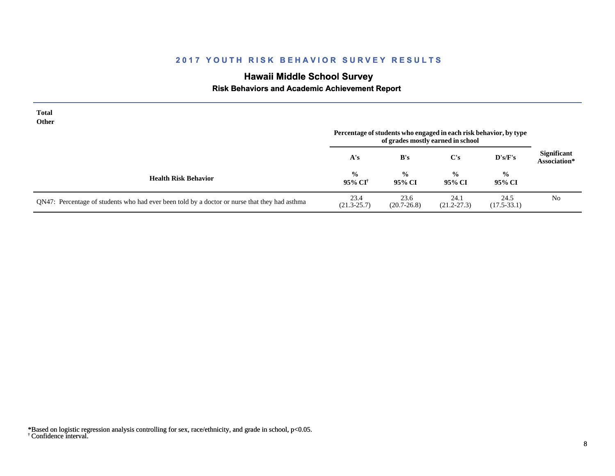# **Hawaii Middle School Survey**

 **Risk Behaviors and Academic Achievement Report**

| <b>Total</b><br><b>Other</b>                                                                  | Percentage of students who engaged in each risk behavior, by type<br>of grades mostly earned in school |                         |                         |                         |                                    |
|-----------------------------------------------------------------------------------------------|--------------------------------------------------------------------------------------------------------|-------------------------|-------------------------|-------------------------|------------------------------------|
|                                                                                               | A's                                                                                                    | B's                     | C's                     | D's/F's                 | <b>Significant</b><br>Association* |
| <b>Health Risk Behavior</b>                                                                   | $\frac{0}{0}$<br>95% CI <sup>†</sup>                                                                   | $\frac{0}{0}$<br>95% CI | $\frac{0}{0}$<br>95% CI | $\frac{0}{0}$<br>95% CI |                                    |
| QN47: Percentage of students who had ever been told by a doctor or nurse that they had asthma | 23.4<br>$(21.3 - 25.7)$                                                                                | 23.6<br>$(20.7 - 26.8)$ | 24.1<br>$(21.2 - 27.3)$ | 24.5<br>$(17.5 - 33.1)$ | N <sub>0</sub>                     |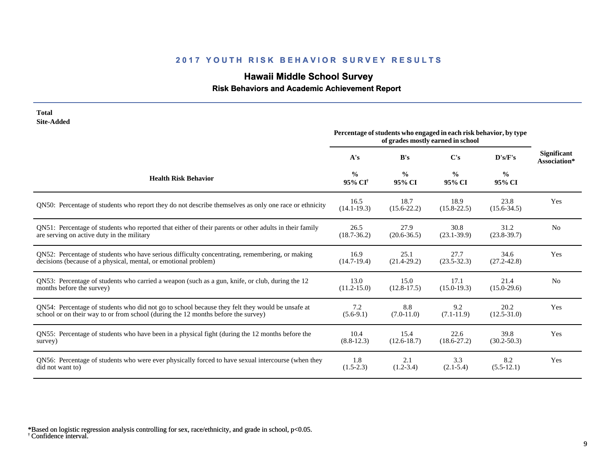# **Hawaii Middle School Survey**

 **Risk Behaviors and Academic Achievement Report**

| <b>Total</b><br><b>Site-Added</b>                                                                      |                                      |                                                                   |                                   |                         |                                    |
|--------------------------------------------------------------------------------------------------------|--------------------------------------|-------------------------------------------------------------------|-----------------------------------|-------------------------|------------------------------------|
|                                                                                                        |                                      | Percentage of students who engaged in each risk behavior, by type | of grades mostly earned in school |                         |                                    |
|                                                                                                        | A's                                  | B's                                                               | C's                               | D's/F's                 | <b>Significant</b><br>Association* |
| <b>Health Risk Behavior</b>                                                                            | $\frac{0}{0}$<br>95% CI <sup>+</sup> | $\frac{6}{9}$<br>95% CI                                           | $\frac{0}{0}$<br>95% CI           | $\frac{0}{0}$<br>95% CI |                                    |
| QN50: Percentage of students who report they do not describe themselves as only one race or ethnicity  | 16.5<br>$(14.1 - 19.3)$              | 18.7<br>$(15.6 - 22.2)$                                           | 18.9<br>$(15.8 - 22.5)$           | 23.8<br>$(15.6 - 34.5)$ | Yes                                |
| QN51: Percentage of students who reported that either of their parents or other adults in their family | 26.5                                 | 27.9                                                              | 30.8                              | 31.2                    | N <sub>0</sub>                     |
| are serving on active duty in the military                                                             | $(18.7 - 36.2)$                      | $(20.6 - 36.5)$                                                   | $(23.1 - 39.9)$                   | $(23.8-39.7)$           |                                    |
| QN52: Percentage of students who have serious difficulty concentrating, remembering, or making         | 16.9                                 | 25.1                                                              | 27.7                              | 34.6                    | Yes                                |
| decisions (because of a physical, mental, or emotional problem)                                        | $(14.7-19.4)$                        | $(21.4 - 29.2)$                                                   | $(23.5 - 32.3)$                   | $(27.2 - 42.8)$         |                                    |
| QN53: Percentage of students who carried a weapon (such as a gun, knife, or club, during the 12        | 13.0                                 | 15.0                                                              | 17.1                              | 21.4                    | N <sub>0</sub>                     |
| months before the survey)                                                                              | $(11.2 - 15.0)$                      | $(12.8-17.5)$                                                     | $(15.0 - 19.3)$                   | $(15.0 - 29.6)$         |                                    |
| QN54: Percentage of students who did not go to school because they felt they would be unsafe at        | 7.2                                  | 8.8                                                               | 9.2                               | 20.2                    | Yes                                |
| school or on their way to or from school (during the 12 months before the survey)                      | $(5.6-9.1)$                          | $(7.0-11.0)$                                                      | $(7.1 - 11.9)$                    | $(12.5 - 31.0)$         |                                    |
| QN55: Percentage of students who have been in a physical fight (during the 12 months before the        | 10.4                                 | 15.4                                                              | 22.6                              | 39.8                    | Yes                                |
| survey)                                                                                                | $(8.8-12.3)$                         | $(12.6 - 18.7)$                                                   | $(18.6 - 27.2)$                   | $(30.2 - 50.3)$         |                                    |
| QN56: Percentage of students who were ever physically forced to have sexual intercourse (when they     | 1.8                                  | 2.1                                                               | 3.3                               | 8.2                     | Yes                                |
| did not want to)                                                                                       | $(1.5-2.3)$                          | $(1.2 - 3.4)$                                                     | $(2.1-5.4)$                       | $(5.5-12.1)$            |                                    |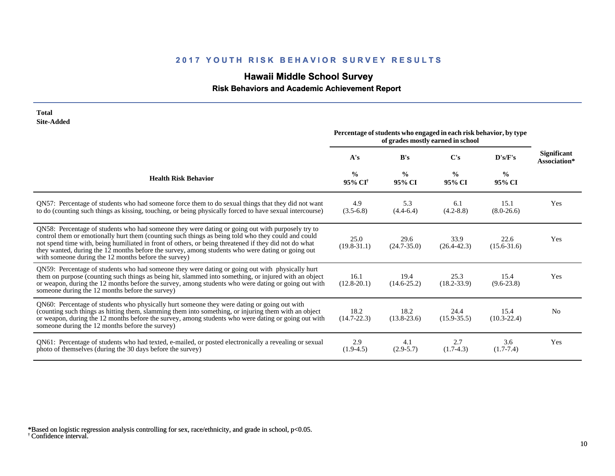# **Hawaii Middle School Survey**

 **Risk Behaviors and Academic Achievement Report**

| <b>Total</b><br><b>Site-Added</b>                                                                                                                                                                                                                                                                                                                                                                                                                                           |                                                                                                        |                         |                         |                         |                                    |
|-----------------------------------------------------------------------------------------------------------------------------------------------------------------------------------------------------------------------------------------------------------------------------------------------------------------------------------------------------------------------------------------------------------------------------------------------------------------------------|--------------------------------------------------------------------------------------------------------|-------------------------|-------------------------|-------------------------|------------------------------------|
|                                                                                                                                                                                                                                                                                                                                                                                                                                                                             | Percentage of students who engaged in each risk behavior, by type<br>of grades mostly earned in school |                         |                         |                         |                                    |
|                                                                                                                                                                                                                                                                                                                                                                                                                                                                             | A's                                                                                                    | B's                     | $\bf C's$               | D's/F's                 | <b>Significant</b><br>Association* |
| <b>Health Risk Behavior</b>                                                                                                                                                                                                                                                                                                                                                                                                                                                 | $\frac{0}{0}$<br>95% CI <sup>†</sup>                                                                   | $\frac{0}{0}$<br>95% CI | $\frac{0}{0}$<br>95% CI | $\frac{6}{6}$<br>95% CI |                                    |
| QN57: Percentage of students who had someone force them to do sexual things that they did not want<br>to do (counting such things as kissing, touching, or being physically forced to have sexual intercourse)                                                                                                                                                                                                                                                              | 4.9<br>$(3.5-6.8)$                                                                                     | 5.3<br>$(4.4-6.4)$      | 6.1<br>$(4.2 - 8.8)$    | 15.1<br>$(8.0-26.6)$    | Yes                                |
| QN58: Percentage of students who had someone they were dating or going out with purposely try to<br>control them or emotionally hurt them (counting such things as being told who they could and could<br>not spend time with, being humiliated in front of others, or being threatened if they did not do what<br>they wanted, during the 12 months before the survey, among students who were dating or going out<br>with someone during the 12 months before the survey) | 25.0<br>$(19.8 - 31.1)$                                                                                | 29.6<br>$(24.7 - 35.0)$ | 33.9<br>$(26.4 - 42.3)$ | 22.6<br>$(15.6 - 31.6)$ | Yes                                |
| QN59: Percentage of students who had someone they were dating or going out with physically hurt<br>them on purpose (counting such things as being hit, slammed into something, or injured with an object<br>or weapon, during the 12 months before the survey, among students who were dating or going out with<br>someone during the 12 months before the survey)                                                                                                          | 16.1<br>$(12.8 - 20.1)$                                                                                | 19.4<br>$(14.6 - 25.2)$ | 25.3<br>$(18.2 - 33.9)$ | 15.4<br>$(9.6 - 23.8)$  | Yes                                |
| QN60: Percentage of students who physically hurt someone they were dating or going out with<br>(counting such things as hitting them, slamming them into something, or injuring them with an object<br>or weapon, during the 12 months before the survey, among students who were dating or going out with<br>someone during the 12 months before the survey)                                                                                                               | 18.2<br>$(14.7 - 22.3)$                                                                                | 18.2<br>$(13.8 - 23.6)$ | 24.4<br>$(15.9 - 35.5)$ | 15.4<br>$(10.3 - 22.4)$ | N <sub>0</sub>                     |
| QN61: Percentage of students who had texted, e-mailed, or posted electronically a revealing or sexual<br>photo of themselves (during the 30 days before the survey)                                                                                                                                                                                                                                                                                                         | 2.9<br>$(1.9-4.5)$                                                                                     | 4.1<br>$(2.9-5.7)$      | 2.7<br>$(1.7-4.3)$      | 3.6<br>$(1.7 - 7.4)$    | Yes                                |

<sup>†</sup> Confidence interval. \*Based on logistic regression analysis controlling for sex, race/ethnicity, and grade in school, p<0.05.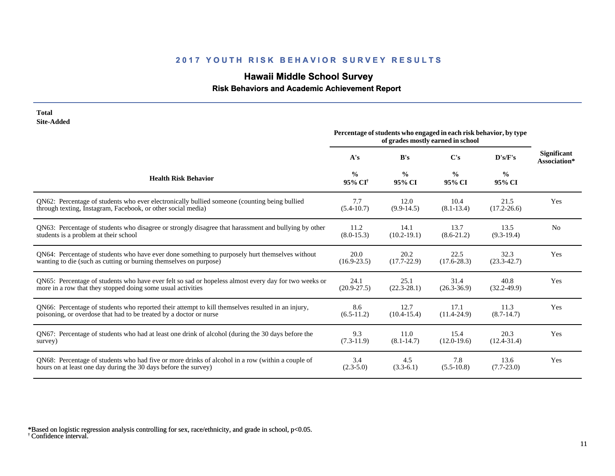# **Hawaii Middle School Survey**

## **Risk Behaviors and Academic Achievement Report**

| <b>Total</b><br><b>Site-Added</b>                                                                    |                                                                                                        |                         |                         |                         |                                    |
|------------------------------------------------------------------------------------------------------|--------------------------------------------------------------------------------------------------------|-------------------------|-------------------------|-------------------------|------------------------------------|
|                                                                                                      | Percentage of students who engaged in each risk behavior, by type<br>of grades mostly earned in school |                         |                         |                         |                                    |
|                                                                                                      | A's                                                                                                    | B's                     | $\bf C's$               | D's/F's                 | <b>Significant</b><br>Association* |
| <b>Health Risk Behavior</b>                                                                          | $\frac{0}{0}$<br>95% CI <sup>+</sup>                                                                   | $\frac{0}{0}$<br>95% CI | $\frac{0}{0}$<br>95% CI | $\frac{0}{0}$<br>95% CI |                                    |
| QN62: Percentage of students who ever electronically bullied someone (counting being bullied         | 7.7                                                                                                    | 12.0                    | 10.4                    | 21.5                    | Yes                                |
| through texting, Instagram, Facebook, or other social media)                                         | $(5.4 - 10.7)$                                                                                         | $(9.9-14.5)$            | $(8.1 - 13.4)$          | $(17.2 - 26.6)$         |                                    |
| QN63: Percentage of students who disagree or strongly disagree that harassment and bullying by other | 11.2                                                                                                   | 14.1                    | 13.7                    | 13.5                    | N <sub>0</sub>                     |
| students is a problem at their school                                                                | $(8.0 - 15.3)$                                                                                         | $(10.2 - 19.1)$         | $(8.6-21.2)$            | $(9.3-19.4)$            |                                    |
| QN64: Percentage of students who have ever done something to purposely hurt themselves without       | 20.0                                                                                                   | 20.2                    | 22.5                    | 32.3                    | Yes                                |
| wanting to die (such as cutting or burning themselves on purpose)                                    | $(16.9 - 23.5)$                                                                                        | $(17.7 - 22.9)$         | $(17.6 - 28.3)$         | $(23.3 - 42.7)$         |                                    |
| QN65: Percentage of students who have ever felt so sad or hopeless almost every day for two weeks or | 24.1                                                                                                   | 25.1                    | 31.4                    | 40.8                    | Yes                                |
| more in a row that they stopped doing some usual activities                                          | $(20.9 - 27.5)$                                                                                        | $(22.3 - 28.1)$         | $(26.3 - 36.9)$         | $(32.2 - 49.9)$         |                                    |
| QN66: Percentage of students who reported their attempt to kill themselves resulted in an injury,    | 8.6                                                                                                    | 12.7                    | 17.1                    | 11.3                    | Yes                                |
| poisoning, or overdose that had to be treated by a doctor or nurse                                   | $(6.5-11.2)$                                                                                           | $(10.4 - 15.4)$         | $(11.4-24.9)$           | $(8.7-14.7)$            |                                    |
| QN67: Percentage of students who had at least one drink of alcohol (during the 30 days before the    | 9.3                                                                                                    | 11.0                    | 15.4                    | 20.3                    | Yes                                |
| survey)                                                                                              | $(7.3-11.9)$                                                                                           | $(8.1 - 14.7)$          | $(12.0-19.6)$           | $(12.4 - 31.4)$         |                                    |
| QN68: Percentage of students who had five or more drinks of alcohol in a row (within a couple of     | 3.4                                                                                                    | 4.5                     | 7.8                     | 13.6                    | Yes                                |
| hours on at least one day during the 30 days before the survey)                                      | $(2.3 - 5.0)$                                                                                          | $(3.3-6.1)$             | $(5.5-10.8)$            | $(7.7-23.0)$            |                                    |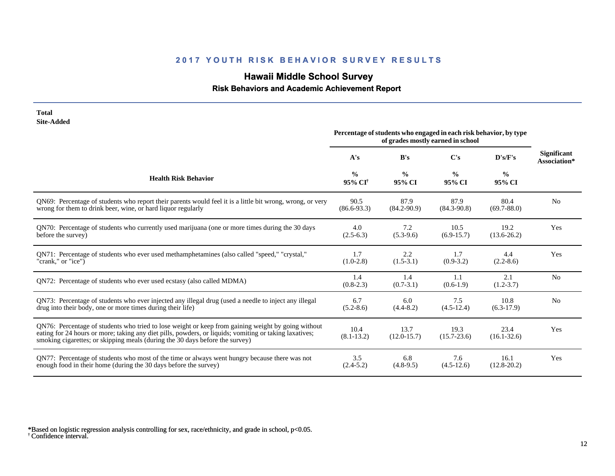# **Hawaii Middle School Survey**

## **Risk Behaviors and Academic Achievement Report**

| <b>Total</b><br><b>Site-Added</b>                                                                                                                                                                                                                                                            |                                      |                                                                   |                                   |                         |                                    |
|----------------------------------------------------------------------------------------------------------------------------------------------------------------------------------------------------------------------------------------------------------------------------------------------|--------------------------------------|-------------------------------------------------------------------|-----------------------------------|-------------------------|------------------------------------|
|                                                                                                                                                                                                                                                                                              |                                      | Percentage of students who engaged in each risk behavior, by type | of grades mostly earned in school |                         |                                    |
|                                                                                                                                                                                                                                                                                              | A's                                  | B's                                                               | C's                               | D's/F's                 | <b>Significant</b><br>Association* |
| <b>Health Risk Behavior</b>                                                                                                                                                                                                                                                                  | $\frac{0}{0}$<br>95% CI <sup>+</sup> | $\frac{0}{0}$<br>95% CI                                           | $\frac{0}{0}$<br>95% CI           | $\frac{0}{0}$<br>95% CI |                                    |
| QN69: Percentage of students who report their parents would feel it is a little bit wrong, wrong, or very<br>wrong for them to drink beer, wine, or hard liquor regularly                                                                                                                    | 90.5<br>$(86.6 - 93.3)$              | 87.9<br>$(84.2 - 90.9)$                                           | 87.9<br>$(84.3 - 90.8)$           | 80.4<br>$(69.7 - 88.0)$ | N <sub>0</sub>                     |
| QN70: Percentage of students who currently used marijuana (one or more times during the 30 days<br>before the survey)                                                                                                                                                                        | 4.0<br>$(2.5-6.3)$                   | 7.2<br>$(5.3-9.6)$                                                | 10.5<br>$(6.9-15.7)$              | 19.2<br>$(13.6 - 26.2)$ | Yes                                |
| ON71: Percentage of students who ever used methamphetamines (also called "speed," "crystal,"<br>"crank," or "ice")                                                                                                                                                                           | 1.7<br>$(1.0-2.8)$                   | 2.2<br>$(1.5-3.1)$                                                | 1.7<br>$(0.9-3.2)$                | 4.4<br>$(2.2-8.6)$      | Yes                                |
| ON72: Percentage of students who ever used ecstasy (also called MDMA)                                                                                                                                                                                                                        | 1.4<br>$(0.8-2.3)$                   | 1.4<br>$(0.7-3.1)$                                                | 1.1<br>$(0.6-1.9)$                | 2.1<br>$(1.2 - 3.7)$    | N <sub>0</sub>                     |
| QN73: Percentage of students who ever injected any illegal drug (used a needle to inject any illegal<br>drug into their body, one or more times during their life)                                                                                                                           | 6.7<br>$(5.2 - 8.6)$                 | 6.0<br>$(4.4 - 8.2)$                                              | 7.5<br>$(4.5-12.4)$               | 10.8<br>$(6.3-17.9)$    | N <sub>0</sub>                     |
| QN76: Percentage of students who tried to lose weight or keep from gaining weight by going without<br>eating for 24 hours or more; taking any diet pills, powders, or liquids; vomiting or taking laxatives;<br>smoking cigarettes; or skipping meals (during the 30 days before the survey) | 10.4<br>$(8.1 - 13.2)$               | 13.7<br>$(12.0 - 15.7)$                                           | 19.3<br>$(15.7 - 23.6)$           | 23.4<br>$(16.1 - 32.6)$ | Yes                                |
| QN77: Percentage of students who most of the time or always went hungry because there was not<br>enough food in their home (during the 30 days before the survey)                                                                                                                            | 3.5<br>$(2.4-5.2)$                   | 6.8<br>$(4.8-9.5)$                                                | 7.6<br>$(4.5-12.6)$               | 16.1<br>$(12.8 - 20.2)$ | Yes                                |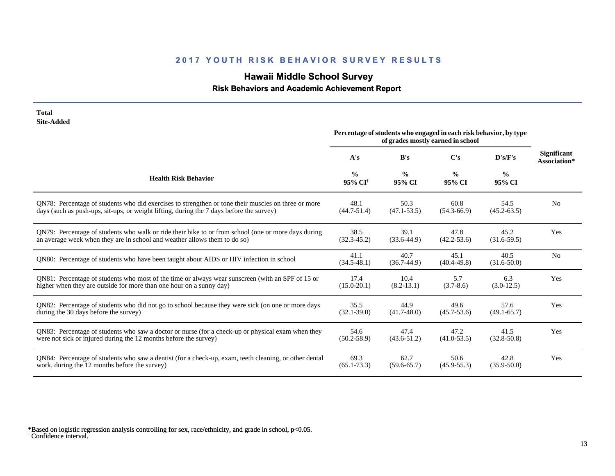# **Hawaii Middle School Survey**

 **Risk Behaviors and Academic Achievement Report**

| <b>Total</b><br><b>Site-Added</b>                                                                     |                                      | Percentage of students who engaged in each risk behavior, by type |                                   |                         |                                    |
|-------------------------------------------------------------------------------------------------------|--------------------------------------|-------------------------------------------------------------------|-----------------------------------|-------------------------|------------------------------------|
|                                                                                                       |                                      |                                                                   | of grades mostly earned in school |                         |                                    |
|                                                                                                       | A's                                  | B's                                                               | $\bf C's$                         | D's/F's                 | <b>Significant</b><br>Association* |
| <b>Health Risk Behavior</b>                                                                           | $\frac{0}{0}$<br>95% CI <sup>†</sup> | $\frac{0}{0}$<br>95% CI                                           | $\frac{0}{0}$<br>95% CI           | $\frac{0}{0}$<br>95% CI |                                    |
| QN78: Percentage of students who did exercises to strengthen or tone their muscles on three or more   | 48.1                                 | 50.3                                                              | 60.8                              | 54.5                    | N <sub>0</sub>                     |
| days (such as push-ups, sit-ups, or weight lifting, during the 7 days before the survey)              | $(44.7 - 51.4)$                      | $(47.1 - 53.5)$                                                   | $(54.3 - 66.9)$                   | $(45.2 - 63.5)$         |                                    |
| QN79: Percentage of students who walk or ride their bike to or from school (one or more days during   | 38.5                                 | 39.1                                                              | 47.8                              | 45.2                    | Yes                                |
| an average week when they are in school and weather allows them to do so)                             | $(32.3 - 45.2)$                      | $(33.6 - 44.9)$                                                   | $(42.2 - 53.6)$                   | $(31.6-59.5)$           |                                    |
| QN80: Percentage of students who have been taught about AIDS or HIV infection in school               | 41.1<br>$(34.5 - 48.1)$              | 40.7<br>$(36.7-44.9)$                                             | 45.1<br>$(40.4 - 49.8)$           | 40.5<br>$(31.6 - 50.0)$ | No                                 |
| QN81: Percentage of students who most of the time or always wear sunscreen (with an SPF of 15 or      | 17.4                                 | 10.4                                                              | 5.7                               | 6.3                     | Yes                                |
| higher when they are outside for more than one hour on a sunny day)                                   | $(15.0 - 20.1)$                      | $(8.2 - 13.1)$                                                    | $(3.7-8.6)$                       | $(3.0-12.5)$            |                                    |
| QN82: Percentage of students who did not go to school because they were sick (on one or more days     | 35.5                                 | 44.9                                                              | 49.6                              | 57.6                    | Yes                                |
| during the 30 days before the survey)                                                                 | $(32.1 - 39.0)$                      | $(41.7 - 48.0)$                                                   | $(45.7 - 53.6)$                   | $(49.1 - 65.7)$         |                                    |
| QN83: Percentage of students who saw a doctor or nurse (for a check-up or physical exam when they     | 54.6                                 | 47.4                                                              | 47.2                              | 41.5                    | Yes                                |
| were not sick or injured during the 12 months before the survey)                                      | $(50.2 - 58.9)$                      | $(43.6 - 51.2)$                                                   | $(41.0-53.5)$                     | $(32.8 - 50.8)$         |                                    |
| QN84: Percentage of students who saw a dentist (for a check-up, exam, teeth cleaning, or other dental | 69.3                                 | 62.7                                                              | 50.6                              | 42.8                    | Yes                                |
| work, during the 12 months before the survey)                                                         | $(65.1 - 73.3)$                      | $(59.6 - 65.7)$                                                   | $(45.9 - 55.3)$                   | $(35.9 - 50.0)$         |                                    |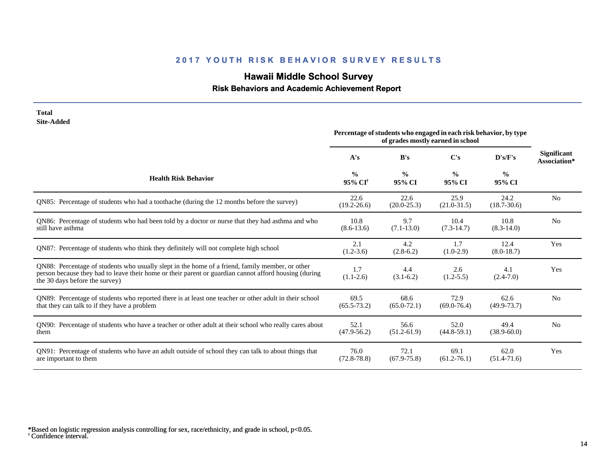# **Hawaii Middle School Survey**

## **Risk Behaviors and Academic Achievement Report**

| <b>Total</b><br><b>Site-Added</b>                                                                                                                                                                                                          |                                      |                         |                                                                                                        |                         |                                    |
|--------------------------------------------------------------------------------------------------------------------------------------------------------------------------------------------------------------------------------------------|--------------------------------------|-------------------------|--------------------------------------------------------------------------------------------------------|-------------------------|------------------------------------|
|                                                                                                                                                                                                                                            |                                      |                         | Percentage of students who engaged in each risk behavior, by type<br>of grades mostly earned in school |                         |                                    |
|                                                                                                                                                                                                                                            | A's                                  | B's                     | C's                                                                                                    | D's/F's                 | <b>Significant</b><br>Association* |
| <b>Health Risk Behavior</b>                                                                                                                                                                                                                | $\frac{0}{0}$<br>95% CI <sup>+</sup> | $\frac{0}{0}$<br>95% CI | $\frac{0}{0}$<br>95% CI                                                                                | $\frac{0}{0}$<br>95% CI |                                    |
| QN85: Percentage of students who had a toothache (during the 12 months before the survey)                                                                                                                                                  | 22.6<br>$(19.2 - 26.6)$              | 22.6<br>$(20.0 - 25.3)$ | 25.9<br>$(21.0 - 31.5)$                                                                                | 24.2<br>$(18.7 - 30.6)$ | N <sub>o</sub>                     |
| QN86: Percentage of students who had been told by a doctor or nurse that they had asthma and who<br>still have asthma                                                                                                                      | 10.8<br>$(8.6 - 13.6)$               | 9.7<br>$(7.1 - 13.0)$   | 10.4<br>$(7.3-14.7)$                                                                                   | 10.8<br>$(8.3-14.0)$    | N <sub>o</sub>                     |
| QN87: Percentage of students who think they definitely will not complete high school                                                                                                                                                       | 2.1<br>$(1.2-3.6)$                   | 4.2<br>$(2.8-6.2)$      | 1.7<br>$(1.0-2.9)$                                                                                     | 12.4<br>$(8.0-18.7)$    | Yes                                |
| QN88: Percentage of students who usually slept in the home of a friend, family member, or other<br>person because they had to leave their home or their parent or guardian cannot afford housing (during<br>the 30 days before the survey) | 1.7<br>$(1.1-2.6)$                   | 4.4<br>$(3.1-6.2)$      | 2.6<br>$(1.2 - 5.5)$                                                                                   | 4.1<br>$(2.4 - 7.0)$    | Yes                                |
| QN89: Percentage of students who reported there is at least one teacher or other adult in their school<br>that they can talk to if they have a problem                                                                                     | 69.5<br>$(65.5 - 73.2)$              | 68.6<br>$(65.0 - 72.1)$ | 72.9<br>$(69.0 - 76.4)$                                                                                | 62.6<br>$(49.9 - 73.7)$ | N <sub>0</sub>                     |
| QN90: Percentage of students who have a teacher or other adult at their school who really cares about<br>them                                                                                                                              | 52.1<br>$(47.9 - 56.2)$              | 56.6<br>$(51.2-61.9)$   | 52.0<br>$(44.8 - 59.1)$                                                                                | 49.4<br>$(38.9 - 60.0)$ | N <sub>0</sub>                     |
| QN91: Percentage of students who have an adult outside of school they can talk to about things that<br>are important to them                                                                                                               | 76.0<br>$(72.8 - 78.8)$              | 72.1<br>$(67.9 - 75.8)$ | 69.1<br>$(61.2 - 76.1)$                                                                                | 62.0<br>$(51.4 - 71.6)$ | Yes                                |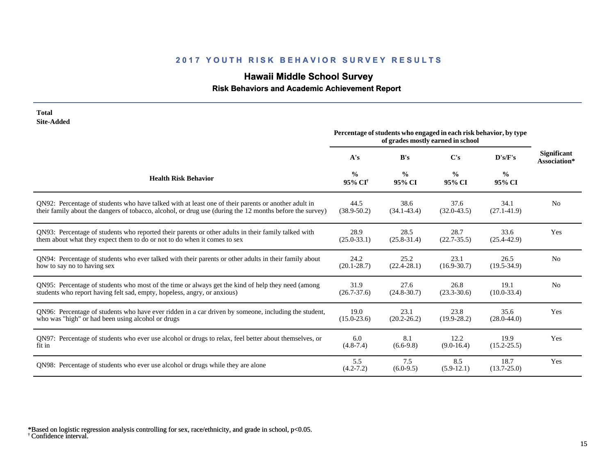# **Hawaii Middle School Survey**

 **Risk Behaviors and Academic Achievement Report**

| <b>Total</b><br><b>Site-Added</b>                                                                        |                                                                                                        |                         |                         |                         |                                    |
|----------------------------------------------------------------------------------------------------------|--------------------------------------------------------------------------------------------------------|-------------------------|-------------------------|-------------------------|------------------------------------|
|                                                                                                          | Percentage of students who engaged in each risk behavior, by type<br>of grades mostly earned in school |                         |                         |                         |                                    |
|                                                                                                          | A's                                                                                                    | B's                     | $\bf C's$               | D's/F's                 | <b>Significant</b><br>Association* |
| <b>Health Risk Behavior</b>                                                                              | $\frac{0}{0}$<br>95% CI <sup>+</sup>                                                                   | $\frac{0}{0}$<br>95% CI | $\frac{0}{0}$<br>95% CI | $\frac{0}{0}$<br>95% CI |                                    |
| ON92: Percentage of students who have talked with at least one of their parents or another adult in      | 44.5                                                                                                   | 38.6                    | 37.6                    | 34.1                    | No                                 |
| their family about the dangers of tobacco, alcohol, or drug use (during the 12 months before the survey) | $(38.9 - 50.2)$                                                                                        | $(34.1 - 43.4)$         | $(32.0 - 43.5)$         | $(27.1 - 41.9)$         |                                    |
| QN93: Percentage of students who reported their parents or other adults in their family talked with      | 28.9                                                                                                   | 28.5                    | 28.7                    | 33.6                    | Yes                                |
| them about what they expect them to do or not to do when it comes to sex                                 | $(25.0 - 33.1)$                                                                                        | $(25.8 - 31.4)$         | $(22.7 - 35.5)$         | $(25.4 - 42.9)$         |                                    |
| QN94: Percentage of students who ever talked with their parents or other adults in their family about    | 24.2                                                                                                   | 25.2                    | 23.1                    | 26.5                    | N <sub>o</sub>                     |
| how to say no to having sex                                                                              | $(20.1 - 28.7)$                                                                                        | $(22.4 - 28.1)$         | $(16.9 - 30.7)$         | $(19.5 - 34.9)$         |                                    |
| QN95: Percentage of students who most of the time or always get the kind of help they need (among        | 31.9                                                                                                   | 27.6                    | 26.8                    | 19.1                    | N <sub>0</sub>                     |
| students who report having felt sad, empty, hopeless, angry, or anxious)                                 | $(26.7 - 37.6)$                                                                                        | $(24.8 - 30.7)$         | $(23.3 - 30.6)$         | $(10.0 - 33.4)$         |                                    |
| QN96: Percentage of students who have ever ridden in a car driven by someone, including the student,     | 19.0                                                                                                   | 23.1                    | 23.8                    | 35.6                    | Yes                                |
| who was "high" or had been using alcohol or drugs                                                        | $(15.0 - 23.6)$                                                                                        | $(20.2 - 26.2)$         | $(19.9 - 28.2)$         | $(28.0 - 44.0)$         |                                    |
| QN97: Percentage of students who ever use alcohol or drugs to relax, feel better about themselves, or    | 6.0                                                                                                    | 8.1                     | 12.2                    | 19.9                    | Yes                                |
| fit in                                                                                                   | $(4.8 - 7.4)$                                                                                          | $(6.6-9.8)$             | $(9.0-16.4)$            | $(15.2 - 25.5)$         |                                    |
| QN98: Percentage of students who ever use alcohol or drugs while they are alone                          | 5.5<br>$(4.2 - 7.2)$                                                                                   | 7.5<br>$(6.0-9.5)$      | 8.5<br>$(5.9-12.1)$     | 18.7<br>$(13.7 - 25.0)$ | Yes                                |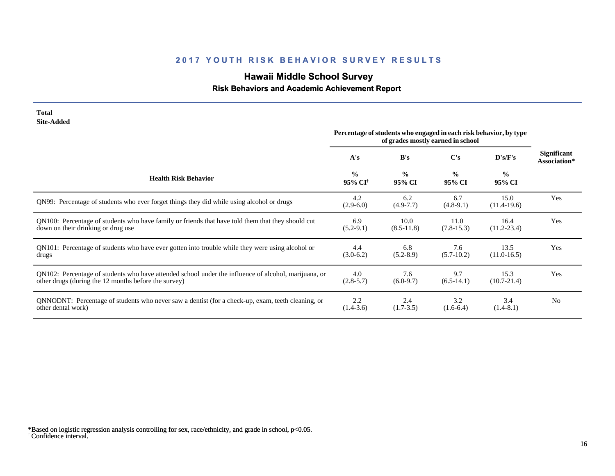# **Hawaii Middle School Survey**

## **Risk Behaviors and Academic Achievement Report**

| <b>Site-Added</b>                                                                                                                                            |                                      |                                                                   |                                   |                         |                                    |
|--------------------------------------------------------------------------------------------------------------------------------------------------------------|--------------------------------------|-------------------------------------------------------------------|-----------------------------------|-------------------------|------------------------------------|
|                                                                                                                                                              |                                      | Percentage of students who engaged in each risk behavior, by type | of grades mostly earned in school |                         |                                    |
|                                                                                                                                                              | A's                                  | B's                                                               | C's                               | D's/F's                 | <b>Significant</b><br>Association* |
| <b>Health Risk Behavior</b>                                                                                                                                  | $\frac{0}{0}$<br>95% CI <sup>†</sup> | $\frac{0}{0}$<br>95% CI                                           | $\frac{0}{0}$<br>95% CI           | $\frac{0}{0}$<br>95% CI |                                    |
| QN99: Percentage of students who ever forget things they did while using alcohol or drugs                                                                    | 4.2<br>$(2.9-6.0)$                   | 6.2<br>$(4.9 - 7.7)$                                              | 6.7<br>$(4.8-9.1)$                | 15.0<br>$(11.4-19.6)$   | Yes                                |
| QN100: Percentage of students who have family or friends that have told them that they should cut<br>down on their drinking or drug use                      | 6.9<br>$(5.2-9.1)$                   | 10.0<br>$(8.5 - 11.8)$                                            | 11.0<br>$(7.8-15.3)$              | 16.4<br>$(11.2 - 23.4)$ | Yes                                |
| QN101: Percentage of students who have ever gotten into trouble while they were using alcohol or<br>drugs                                                    | 4.4<br>$(3.0-6.2)$                   | 6.8<br>$(5.2 - 8.9)$                                              | 7.6<br>$(5.7-10.2)$               | 13.5<br>$(11.0-16.5)$   | Yes                                |
| QN102: Percentage of students who have attended school under the influence of alcohol, marijuana, or<br>other drugs (during the 12 months before the survey) | 4.0<br>$(2.8-5.7)$                   | 7.6<br>$(6.0-9.7)$                                                | 9.7<br>$(6.5-14.1)$               | 15.3<br>$(10.7 - 21.4)$ | Yes                                |
| QNNODNT: Percentage of students who never saw a dentist (for a check-up, exam, teeth cleaning, or<br>other dental work)                                      | 2.2<br>$(1.4-3.6)$                   | 2.4<br>$(1.7-3.5)$                                                | 3.2<br>$(1.6-6.4)$                | 3.4<br>$(1.4-8.1)$      | N <sub>0</sub>                     |

† Confidence interval. \*Based on logistic regression analysis controlling for sex, race/ethnicity, and grade in school, p<0.05.

**Total**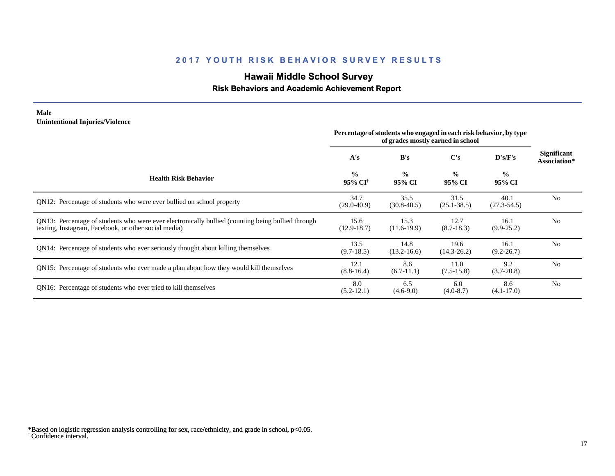# **Hawaii Middle School Survey**

#### **Risk Behaviors and Academic Achievement Report**

#### **Male Unintentional Injuries/Violence**

|                                                                                                                                                           | Percentage of students who engaged in each risk behavior, by type<br>of grades mostly earned in school |                         |                         |                         |                                    |
|-----------------------------------------------------------------------------------------------------------------------------------------------------------|--------------------------------------------------------------------------------------------------------|-------------------------|-------------------------|-------------------------|------------------------------------|
|                                                                                                                                                           | A's                                                                                                    | B's                     | C's                     | D's/F's                 | <b>Significant</b><br>Association* |
| <b>Health Risk Behavior</b>                                                                                                                               | $\frac{0}{0}$<br>95% CI <sup>†</sup>                                                                   | $\frac{0}{0}$<br>95% CI | $\frac{0}{0}$<br>95% CI | $\frac{0}{0}$<br>95% CI |                                    |
| QN12: Percentage of students who were ever bullied on school property                                                                                     | 34.7<br>$(29.0 - 40.9)$                                                                                | 35.5<br>$(30.8 - 40.5)$ | 31.5<br>$(25.1 - 38.5)$ | 40.1<br>$(27.3 - 54.5)$ | N <sub>0</sub>                     |
| QN13: Percentage of students who were ever electronically bullied (counting being bullied through<br>texting, Instagram, Facebook, or other social media) | 15.6<br>$(12.9 - 18.7)$                                                                                | 15.3<br>$(11.6-19.9)$   | 12.7<br>$(8.7-18.3)$    | 16.1<br>$(9.9 - 25.2)$  | N <sub>0</sub>                     |
| QN14: Percentage of students who ever seriously thought about killing themselves                                                                          | 13.5<br>$(9.7-18.5)$                                                                                   | 14.8<br>$(13.2 - 16.6)$ | 19.6<br>$(14.3 - 26.2)$ | 16.1<br>$(9.2 - 26.7)$  | N <sub>0</sub>                     |
| QN15: Percentage of students who ever made a plan about how they would kill themselves                                                                    | 12.1<br>$(8.8-16.4)$                                                                                   | 8.6<br>$(6.7-11.1)$     | 11.0<br>$(7.5-15.8)$    | 9.2<br>$(3.7 - 20.8)$   | N <sub>0</sub>                     |
| QN16: Percentage of students who ever tried to kill themselves                                                                                            | 8.0<br>$(5.2-12.1)$                                                                                    | 6.5<br>$(4.6-9.0)$      | 6.0<br>$(4.0 - 8.7)$    | 8.6<br>$(4.1 - 17.0)$   | N <sub>0</sub>                     |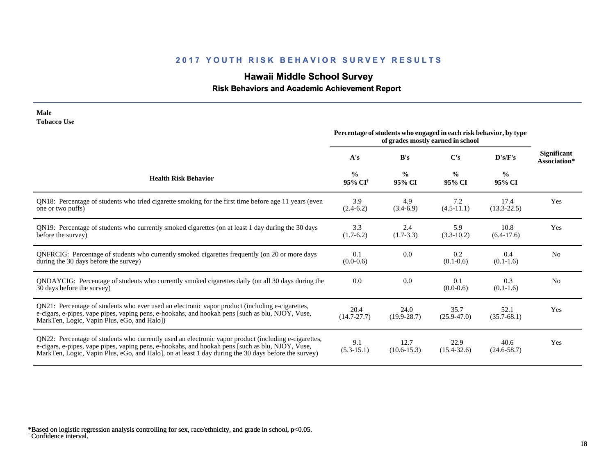# **Hawaii Middle School Survey**

## **Risk Behaviors and Academic Achievement Report**

| <b>Tobacco Use</b>                                                                                                                                                                                                                                                                                              | Percentage of students who engaged in each risk behavior, by type<br>of grades mostly earned in school |                         |                         |                         |                                    |
|-----------------------------------------------------------------------------------------------------------------------------------------------------------------------------------------------------------------------------------------------------------------------------------------------------------------|--------------------------------------------------------------------------------------------------------|-------------------------|-------------------------|-------------------------|------------------------------------|
|                                                                                                                                                                                                                                                                                                                 | A's                                                                                                    | B's                     | C's                     | D's/F's                 | <b>Significant</b><br>Association* |
| <b>Health Risk Behavior</b>                                                                                                                                                                                                                                                                                     | $\frac{0}{0}$<br>95% CI <sup>†</sup>                                                                   | $\frac{0}{0}$<br>95% CI | $\frac{0}{0}$<br>95% CI | $\frac{0}{0}$<br>95% CI |                                    |
| QN18: Percentage of students who tried cigarette smoking for the first time before age 11 years (even<br>one or two puffs)                                                                                                                                                                                      | 3.9<br>$(2.4-6.2)$                                                                                     | 4.9<br>$(3.4-6.9)$      | 7.2<br>$(4.5-11.1)$     | 17.4<br>$(13.3 - 22.5)$ | Yes                                |
| QN19: Percentage of students who currently smoked cigarettes (on at least 1 day during the 30 days<br>before the survey)                                                                                                                                                                                        | 3.3<br>$(1.7-6.2)$                                                                                     | 2.4<br>$(1.7-3.3)$      | 5.9<br>$(3.3-10.2)$     | 10.8<br>$(6.4-17.6)$    | Yes                                |
| QNFRCIG: Percentage of students who currently smoked cigarettes frequently (on 20 or more days<br>during the 30 days before the survey)                                                                                                                                                                         | 0.1<br>$(0.0-0.6)$                                                                                     | 0.0                     | 0.2<br>$(0.1-0.6)$      | 0.4<br>$(0.1-1.6)$      | N <sub>o</sub>                     |
| QNDAYCIG: Percentage of students who currently smoked cigarettes daily (on all 30 days during the<br>30 days before the survey)                                                                                                                                                                                 | 0.0                                                                                                    | 0.0                     | 0.1<br>$(0.0-0.6)$      | 0.3<br>$(0.1-1.6)$      | N <sub>0</sub>                     |
| QN21: Percentage of students who ever used an electronic vapor product (including e-cigarettes,<br>e-cigars, e-pipes, vape pipes, vaping pens, e-hookahs, and hookah pens [such as blu, NJOY, Vuse,<br>MarkTen, Logic, Vapin Plus, eGo, and Halo])                                                              | 20.4<br>$(14.7 - 27.7)$                                                                                | 24.0<br>$(19.9 - 28.7)$ | 35.7<br>$(25.9 - 47.0)$ | 52.1<br>$(35.7 - 68.1)$ | Yes                                |
| QN22: Percentage of students who currently used an electronic vapor product (including e-cigarettes,<br>e-cigars, e-pipes, vape pipes, vaping pens, e-hookahs, and hookah pens [such as blu, NJOY, Vuse,<br>MarkTen, Logic, Vapin Plus, eGo, and Halo], on at least 1 day during the 30 days before the survey) | 9.1<br>$(5.3-15.1)$                                                                                    | 12.7<br>$(10.6 - 15.3)$ | 22.9<br>$(15.4 - 32.6)$ | 40.6<br>$(24.6 - 58.7)$ | Yes                                |

† Confidence interval. \*Based on logistic regression analysis controlling for sex, race/ethnicity, and grade in school, p<0.05.

**Male**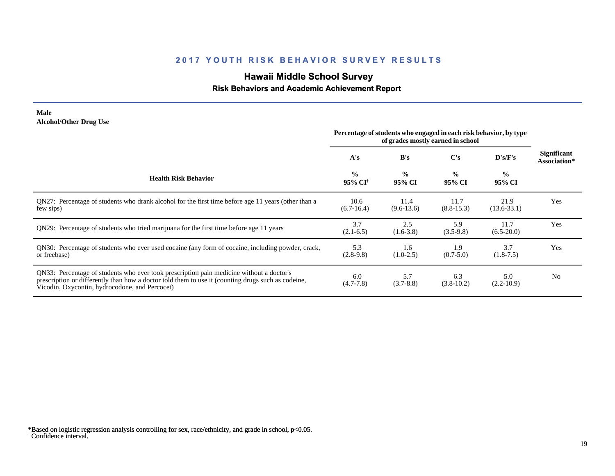# **Hawaii Middle School Survey**

## **Risk Behaviors and Academic Achievement Report**

#### **Male Alcohol/Other Drug Use**

|                                                                                                                                                                                                                                                  | Percentage of students who engaged in each risk behavior, by type<br>of grades mostly earned in school |                         |                         |                         |                                    |
|--------------------------------------------------------------------------------------------------------------------------------------------------------------------------------------------------------------------------------------------------|--------------------------------------------------------------------------------------------------------|-------------------------|-------------------------|-------------------------|------------------------------------|
|                                                                                                                                                                                                                                                  | A's                                                                                                    | B's                     | $\bf C's$               | D's/F's                 | <b>Significant</b><br>Association* |
| <b>Health Risk Behavior</b>                                                                                                                                                                                                                      | $\frac{0}{0}$<br>95% CI <sup>†</sup>                                                                   | $\frac{0}{0}$<br>95% CI | $\frac{0}{0}$<br>95% CI | $\frac{0}{0}$<br>95% CI |                                    |
| QN27: Percentage of students who drank alcohol for the first time before age 11 years (other than a<br>few sips)                                                                                                                                 | 10.6<br>$(6.7-16.4)$                                                                                   | 11.4<br>$(9.6-13.6)$    | 11.7<br>$(8.8-15.3)$    | 21.9<br>$(13.6 - 33.1)$ | Yes                                |
| QN29: Percentage of students who tried marijuana for the first time before age 11 years                                                                                                                                                          | 3.7<br>$(2.1-6.5)$                                                                                     | 2.5<br>$(1.6-3.8)$      | 5.9<br>$(3.5-9.8)$      | 11.7<br>$(6.5-20.0)$    | Yes                                |
| QN30: Percentage of students who ever used cocaine (any form of cocaine, including powder, crack,<br>or freebase)                                                                                                                                | 5.3<br>$(2.8-9.8)$                                                                                     | 1.6<br>$(1.0-2.5)$      | 1.9<br>$(0.7 - 5.0)$    | 3.7<br>$(1.8-7.5)$      | Yes                                |
| QN33: Percentage of students who ever took prescription pain medicine without a doctor's<br>prescription or differently than how a doctor told them to use it (counting drugs such as codeine,<br>Vicodin, Oxycontin, hydrocodone, and Percocet) | 6.0<br>$(4.7 - 7.8)$                                                                                   | 5.7<br>$(3.7 - 8.8)$    | 6.3<br>$(3.8-10.2)$     | 5.0<br>$(2.2-10.9)$     | N <sub>o</sub>                     |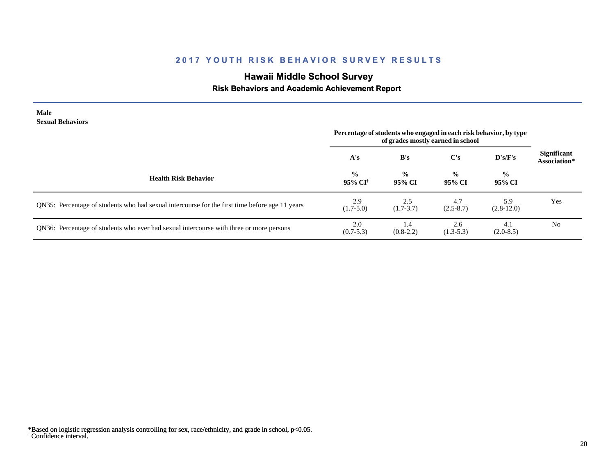# **Hawaii Middle School Survey**

## **Risk Behaviors and Academic Achievement Report**

| Male<br><b>Sexual Behaviors</b>                                                                |                          | Percentage of students who engaged in each risk behavior, by type |                         |                         |                                    |
|------------------------------------------------------------------------------------------------|--------------------------|-------------------------------------------------------------------|-------------------------|-------------------------|------------------------------------|
|                                                                                                |                          | of grades mostly earned in school                                 |                         |                         |                                    |
|                                                                                                | A's                      | B's                                                               | $\bf C's$               | D's/F's                 | <b>Significant</b><br>Association* |
| <b>Health Risk Behavior</b>                                                                    | $\frac{0}{0}$<br>95% CI† | $\frac{0}{0}$<br>95% CI                                           | $\frac{0}{0}$<br>95% CI | $\frac{6}{9}$<br>95% CI |                                    |
| QN35: Percentage of students who had sexual intercourse for the first time before age 11 years | 2.9<br>$(1.7-5.0)$       | 2.5<br>$(1.7-3.7)$                                                | 4.7<br>$(2.5 - 8.7)$    | 5.9<br>$(2.8-12.0)$     | Yes                                |
| QN36: Percentage of students who ever had sexual intercourse with three or more persons        | 2.0<br>$(0.7 - 5.3)$     | 1.4<br>$(0.8-2.2)$                                                | 2.6<br>$(1.3-5.3)$      | 4.1<br>$(2.0-8.5)$      | N <sub>0</sub>                     |

<sup>†</sup> Confidence interval. \*Based on logistic regression analysis controlling for sex, race/ethnicity, and grade in school, p<0.05.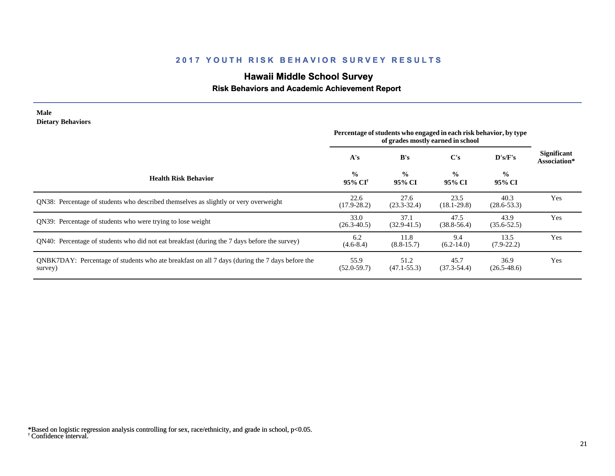# **Hawaii Middle School Survey**

## **Risk Behaviors and Academic Achievement Report**

| <b>Male</b><br><b>Dietary Behaviors</b>                                                                   | Percentage of students who engaged in each risk behavior, by type<br>of grades mostly earned in school |                         |                         |                         |                                    |
|-----------------------------------------------------------------------------------------------------------|--------------------------------------------------------------------------------------------------------|-------------------------|-------------------------|-------------------------|------------------------------------|
|                                                                                                           | A's                                                                                                    | B's                     | C's                     | D's/F's                 | <b>Significant</b><br>Association* |
| <b>Health Risk Behavior</b>                                                                               | $\frac{0}{0}$<br>95% CI†                                                                               | $\frac{0}{0}$<br>95% CI | $\frac{0}{0}$<br>95% CI | $\frac{0}{0}$<br>95% CI |                                    |
| QN38: Percentage of students who described themselves as slightly or very overweight                      | 22.6<br>$(17.9 - 28.2)$                                                                                | 27.6<br>$(23.3 - 32.4)$ | 23.5<br>$(18.1 - 29.8)$ | 40.3<br>$(28.6 - 53.3)$ | Yes                                |
| QN39: Percentage of students who were trying to lose weight                                               | 33.0<br>$(26.3 - 40.5)$                                                                                | 37.1<br>$(32.9 - 41.5)$ | 47.5<br>$(38.8 - 56.4)$ | 43.9<br>$(35.6 - 52.5)$ | Yes                                |
| QN40: Percentage of students who did not eat breakfast (during the 7 days before the survey)              | 6.2<br>$(4.6 - 8.4)$                                                                                   | 11.8<br>$(8.8-15.7)$    | 9.4<br>$(6.2-14.0)$     | 13.5<br>$(7.9-22.2)$    | Yes                                |
| QNBK7DAY: Percentage of students who ate breakfast on all 7 days (during the 7 days before the<br>survey) | 55.9<br>$(52.0 - 59.7)$                                                                                | 51.2<br>$(47.1 - 55.3)$ | 45.7<br>$(37.3 - 54.4)$ | 36.9<br>$(26.5 - 48.6)$ | Yes                                |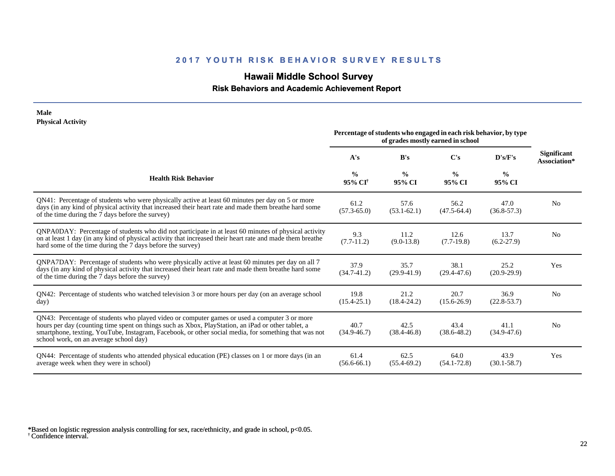#### **2 0 1 7 Y O U T H R I S K B E H A V I O R S U R V E Y R E S U L T S**

#### **Hawaii Middle School Survey**

 **Risk Behaviors and Academic Achievement Report**

#### **Physical Activity Percentage ofstudents who engaged in each risk behavior, by type of grades mostly earned in school A's B's C's D's/F's Significant Health Risk Behavior % 95% CI† % 95% CI % 95% CI 95% CI** QN41: Percentage of students who were physically active at least 60 minutes per day on 5 or more days (in any kind of physical activity that increased their heart rate and made them breathe hard some of the time during the 7 days before the survey) 61.2 (57.3-65.0) 57.6  $(53.1-62.1)$ 56.2  $(47.5-64.4)$ (36.8-57.3) QNPA0DAY: Percentage of students who did not participate in at least 60 minutes of physical activity on at least 1 day (in any kind of physical activity that increased their heart rate and made them breathe hard some of the time during the 7 days before the survey) 9.3 (7.7-11.2) 11.2 (9.0-13.8) 12.6 (7.7-19.8) (6.2-27.9) QNPA7DAY: Percentage of students who were physically active at least 60 minutes per day on all 7 days (in any kind of physical activity that increased their heart rate and made them breathe hard some of the time during the 7 days before the survey) 37.9 (34.7-41.2) 35.7 (29.9-41.9) 38.1 (29.4-47.6) (20.9-29.9) QN42: Percentage of students who watched television 3 or more hours per day (on an average school day) 19.8 (15.4-25.1) 21.2 (18.4-24.2) 20.7 (15.6-26.9) (22.8-53.7) QN43: Percentage of students who played video or computer games or used a computer 3 or more hours per day (counting time spent on things such as Xbox, PlayStation, an iPad or other tablet, a smartphone, texting, YouTube, Instagram, Facebook, or other social media, for something that was not school work, on an average school day) 40.7 (34.9-46.7) 42.5 (38.4-46.8) 43.4 (38.6-48.2) (34.9-47.6)

QN44: Percentage of students who attended physical education (PE) classes on 1 or more days (in an average week when they were in school) 61.4 (56.6-66.1) 62.5 (55.4-69.2) 64.0 (54.1-72.8) 43.9 (30.1-58.7) Yes

† Confidence interval. \*Based on logistic regression analysis controlling for sex, race/ethnicity, and grade in school, p<0.05.

**Male**

**Association\***

No

No

Yes

No

No

**%**

47.0

13.7

25.2

36.9

41.1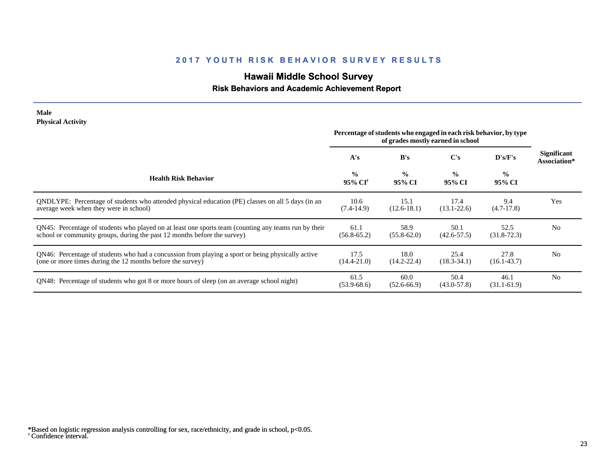# **Hawaii Middle School Survey**

## **Risk Behaviors and Academic Achievement Report**

#### **Male Physical Activity**

|                                                                                                                                                                                  | Percentage of students who engaged in each risk behavior, by type<br>of grades mostly earned in school |                         |                         |                         |                                    |
|----------------------------------------------------------------------------------------------------------------------------------------------------------------------------------|--------------------------------------------------------------------------------------------------------|-------------------------|-------------------------|-------------------------|------------------------------------|
|                                                                                                                                                                                  | A's                                                                                                    | B's                     | C's                     | $\bf{D's/F's}$          | <b>Significant</b><br>Association* |
| <b>Health Risk Behavior</b>                                                                                                                                                      | $\frac{0}{0}$<br>95% CI <sup>†</sup>                                                                   | $\frac{0}{0}$<br>95% CI | $\frac{0}{0}$<br>95% CI | $\frac{6}{6}$<br>95% CI |                                    |
| QNDLYPE: Percentage of students who attended physical education (PE) classes on all 5 days (in an<br>average week when they were in school)                                      | 10.6<br>$(7.4-14.9)$                                                                                   | 15.1<br>$(12.6 - 18.1)$ | 17.4<br>$(13.1 - 22.6)$ | 9.4<br>$(4.7-17.8)$     | Yes                                |
| QN45: Percentage of students who played on at least one sports team (counting any teams run by their<br>school or community groups, during the past 12 months before the survey) | 61.1<br>$(56.8 - 65.2)$                                                                                | 58.9<br>$(55.8 - 62.0)$ | 50.1<br>$(42.6 - 57.5)$ | 52.5<br>$(31.8 - 72.3)$ | N <sub>o</sub>                     |
| QN46: Percentage of students who had a concussion from playing a sport or being physically active<br>(one or more times during the 12 months before the survey)                  | 17.5<br>$(14.4 - 21.0)$                                                                                | 18.0<br>$(14.2 - 22.4)$ | 25.4<br>$(18.3 - 34.1)$ | 27.8<br>$(16.1 - 43.7)$ | N <sub>0</sub>                     |
| QN48: Percentage of students who got 8 or more hours of sleep (on an average school night)                                                                                       | 61.5<br>$(53.9 - 68.6)$                                                                                | 60.0<br>$(52.6 - 66.9)$ | 50.4<br>$(43.0 - 57.8)$ | 46.1<br>$(31.1-61.9)$   | N <sub>0</sub>                     |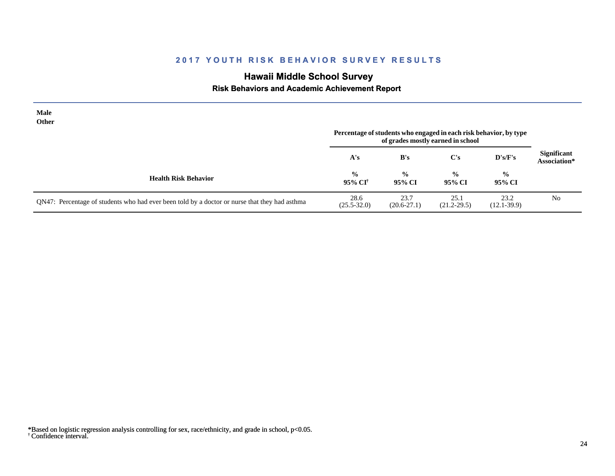# **Hawaii Middle School Survey**

 **Risk Behaviors and Academic Achievement Report**

| <b>Male</b><br>Other                                                                          | Percentage of students who engaged in each risk behavior, by type<br>of grades mostly earned in school |                         |                         |                         |                                    |
|-----------------------------------------------------------------------------------------------|--------------------------------------------------------------------------------------------------------|-------------------------|-------------------------|-------------------------|------------------------------------|
|                                                                                               | A's                                                                                                    | B's                     | C's                     | D's/F's                 | <b>Significant</b><br>Association* |
| <b>Health Risk Behavior</b>                                                                   | $\frac{0}{0}$<br>95% CI <sup>†</sup>                                                                   | $\frac{0}{0}$<br>95% CI | $\frac{0}{0}$<br>95% CI | $\frac{0}{0}$<br>95% CI |                                    |
| QN47: Percentage of students who had ever been told by a doctor or nurse that they had asthma | 28.6<br>$(25.5 - 32.0)$                                                                                | 23.7<br>$(20.6 - 27.1)$ | 25.1<br>$(21.2 - 29.5)$ | 23.2<br>$(12.1 - 39.9)$ | N <sub>0</sub>                     |

<sup>†</sup> Confidence interval. \*Based on logistic regression analysis controlling for sex, race/ethnicity, and grade in school, p<0.05.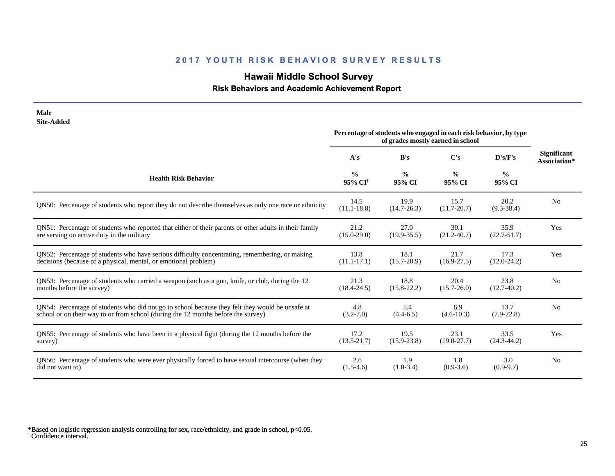# **Hawaii Middle School Survey**

 **Risk Behaviors and Academic Achievement Report**

| <b>Male</b><br><b>Site-Added</b>                                                                       |                                      |                         |                                                                                                        |                         |                                    |
|--------------------------------------------------------------------------------------------------------|--------------------------------------|-------------------------|--------------------------------------------------------------------------------------------------------|-------------------------|------------------------------------|
|                                                                                                        |                                      |                         | Percentage of students who engaged in each risk behavior, by type<br>of grades mostly earned in school |                         |                                    |
|                                                                                                        | A's                                  | B's                     | C's                                                                                                    | D's/F's                 | <b>Significant</b><br>Association* |
| <b>Health Risk Behavior</b>                                                                            | $\frac{0}{0}$<br>95% CI <sup>+</sup> | $\frac{0}{0}$<br>95% CI | $\frac{0}{0}$<br>95% CI                                                                                | $\frac{0}{0}$<br>95% CI |                                    |
| QN50: Percentage of students who report they do not describe themselves as only one race or ethnicity  | 14.5<br>$(11.1 - 18.8)$              | 19.9<br>$(14.7 - 26.3)$ | 15.7<br>$(11.7 - 20.7)$                                                                                | 20.2<br>$(9.3 - 38.4)$  | N <sub>o</sub>                     |
| QN51: Percentage of students who reported that either of their parents or other adults in their family | 21.2                                 | 27.0                    | 30.1                                                                                                   | 35.9                    | Yes                                |
| are serving on active duty in the military                                                             | $(15.0 - 29.0)$                      | $(19.9 - 35.5)$         | $(21.2 - 40.7)$                                                                                        | $(22.7 - 51.7)$         |                                    |
| QN52: Percentage of students who have serious difficulty concentrating, remembering, or making         | 13.8                                 | 18.1                    | 21.7                                                                                                   | 17.3                    | Yes                                |
| decisions (because of a physical, mental, or emotional problem)                                        | $(11.1 - 17.1)$                      | $(15.7 - 20.9)$         | $(16.9 - 27.5)$                                                                                        | $(12.0-24.2)$           |                                    |
| QN53: Percentage of students who carried a weapon (such as a gun, knife, or club, during the 12        | 21.3                                 | 18.8                    | 20.4                                                                                                   | 23.8                    | N <sub>o</sub>                     |
| months before the survey)                                                                              | $(18.4 - 24.5)$                      | $(15.8 - 22.2)$         | $(15.7 - 26.0)$                                                                                        | $(12.7-40.2)$           |                                    |
| QN54: Percentage of students who did not go to school because they felt they would be unsafe at        | 4.8                                  | 5.4                     | 6.9                                                                                                    | 13.7                    | N <sub>o</sub>                     |
| school or on their way to or from school (during the 12 months before the survey)                      | $(3.2 - 7.0)$                        | $(4.4-6.5)$             | $(4.6 - 10.3)$                                                                                         | $(7.9 - 22.8)$          |                                    |
| QN55: Percentage of students who have been in a physical fight (during the 12 months before the        | 17.2                                 | 19.5                    | 23.1                                                                                                   | 33.5                    | Yes                                |
| survey)                                                                                                | $(13.5 - 21.7)$                      | $(15.9 - 23.8)$         | $(19.0 - 27.7)$                                                                                        | $(24.3 - 44.2)$         |                                    |
| QN56: Percentage of students who were ever physically forced to have sexual intercourse (when they     | 2.6                                  | 1.9                     | 1.8                                                                                                    | 3.0                     | N <sub>0</sub>                     |
| did not want to)                                                                                       | $(1.5-4.6)$                          | $(1.0-3.4)$             | $(0.9-3.6)$                                                                                            | $(0.9-9.7)$             |                                    |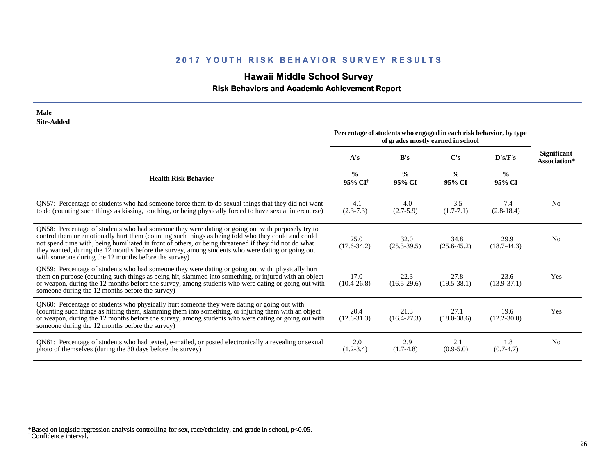# **Hawaii Middle School Survey**

 **Risk Behaviors and Academic Achievement Report**

| <b>Male</b><br><b>Site-Added</b>                                                                                                                                                                                                                                                                                                                                                                                                                                            |                                      |                         |                                                                                                        |                         |                                    |
|-----------------------------------------------------------------------------------------------------------------------------------------------------------------------------------------------------------------------------------------------------------------------------------------------------------------------------------------------------------------------------------------------------------------------------------------------------------------------------|--------------------------------------|-------------------------|--------------------------------------------------------------------------------------------------------|-------------------------|------------------------------------|
|                                                                                                                                                                                                                                                                                                                                                                                                                                                                             |                                      |                         | Percentage of students who engaged in each risk behavior, by type<br>of grades mostly earned in school |                         |                                    |
|                                                                                                                                                                                                                                                                                                                                                                                                                                                                             | A's                                  | B's                     | $\bf C's$                                                                                              | D's/F's                 | <b>Significant</b><br>Association* |
| <b>Health Risk Behavior</b>                                                                                                                                                                                                                                                                                                                                                                                                                                                 | $\frac{0}{0}$<br>95% CI <sup>†</sup> | $\frac{0}{0}$<br>95% CI | $\frac{0}{0}$<br>95% CI                                                                                | $\frac{6}{6}$<br>95% CI |                                    |
| QN57: Percentage of students who had someone force them to do sexual things that they did not want<br>to do (counting such things as kissing, touching, or being physically forced to have sexual intercourse)                                                                                                                                                                                                                                                              | 4.1<br>$(2.3-7.3)$                   | 4.0<br>$(2.7-5.9)$      | 3.5<br>$(1.7-7.1)$                                                                                     | 7.4<br>$(2.8-18.4)$     | N <sub>0</sub>                     |
| QN58: Percentage of students who had someone they were dating or going out with purposely try to<br>control them or emotionally hurt them (counting such things as being told who they could and could<br>not spend time with, being humiliated in front of others, or being threatened if they did not do what<br>they wanted, during the 12 months before the survey, among students who were dating or going out<br>with someone during the 12 months before the survey) | 25.0<br>$(17.6 - 34.2)$              | 32.0<br>$(25.3 - 39.5)$ | 34.8<br>$(25.6 - 45.2)$                                                                                | 29.9<br>$(18.7 - 44.3)$ | N <sub>0</sub>                     |
| QN59: Percentage of students who had someone they were dating or going out with physically hurt<br>them on purpose (counting such things as being hit, slammed into something, or injured with an object<br>or weapon, during the 12 months before the survey, among students who were dating or going out with<br>someone during the 12 months before the survey)                                                                                                          | 17.0<br>$(10.4 - 26.8)$              | 22.3<br>$(16.5-29.6)$   | 27.8<br>$(19.5 - 38.1)$                                                                                | 23.6<br>$(13.9 - 37.1)$ | Yes                                |
| QN60: Percentage of students who physically hurt someone they were dating or going out with<br>(counting such things as hitting them, slamming them into something, or injuring them with an object<br>or weapon, during the 12 months before the survey, among students who were dating or going out with<br>someone during the 12 months before the survey)                                                                                                               | 20.4<br>$(12.6 - 31.3)$              | 21.3<br>$(16.4 - 27.3)$ | 27.1<br>$(18.0 - 38.6)$                                                                                | 19.6<br>$(12.2 - 30.0)$ | Yes                                |
| QN61: Percentage of students who had texted, e-mailed, or posted electronically a revealing or sexual<br>photo of themselves (during the 30 days before the survey)                                                                                                                                                                                                                                                                                                         | 2.0<br>$(1.2 - 3.4)$                 | 2.9<br>$(1.7-4.8)$      | 2.1<br>$(0.9-5.0)$                                                                                     | 1.8<br>$(0.7-4.7)$      | N <sub>o</sub>                     |

<sup>†</sup> Confidence interval. \*Based on logistic regression analysis controlling for sex, race/ethnicity, and grade in school, p<0.05.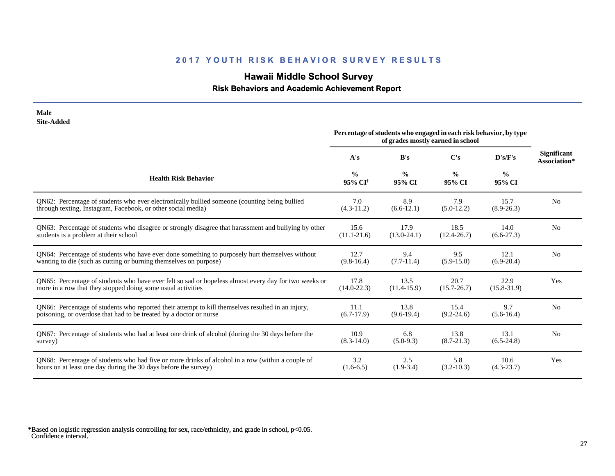# **Hawaii Middle School Survey**

## **Risk Behaviors and Academic Achievement Report**

| <b>Male</b><br><b>Site-Added</b>                                                                     |                                                                                                        |                         |                         |                         |                                    |
|------------------------------------------------------------------------------------------------------|--------------------------------------------------------------------------------------------------------|-------------------------|-------------------------|-------------------------|------------------------------------|
|                                                                                                      | Percentage of students who engaged in each risk behavior, by type<br>of grades mostly earned in school |                         |                         |                         |                                    |
|                                                                                                      | A's                                                                                                    | B's                     | $\bf C's$               | D's/F's                 | <b>Significant</b><br>Association* |
| <b>Health Risk Behavior</b>                                                                          | $\frac{0}{0}$<br>95% CI <sup>†</sup>                                                                   | $\frac{0}{0}$<br>95% CI | $\frac{0}{0}$<br>95% CI | $\frac{6}{6}$<br>95% CI |                                    |
| QN62: Percentage of students who ever electronically bullied someone (counting being bullied         | 7.0                                                                                                    | 8.9                     | 7.9                     | 15.7                    | N <sub>0</sub>                     |
| through texting, Instagram, Facebook, or other social media)                                         | $(4.3-11.2)$                                                                                           | $(6.6-12.1)$            | $(5.0-12.2)$            | $(8.9 - 26.3)$          |                                    |
| QN63: Percentage of students who disagree or strongly disagree that harassment and bullying by other | 15.6                                                                                                   | 17.9                    | 18.5                    | 14.0                    | N <sub>0</sub>                     |
| students is a problem at their school                                                                | $(11.1 - 21.6)$                                                                                        | $(13.0-24.1)$           | $(12.4 - 26.7)$         | $(6.6-27.3)$            |                                    |
| QN64: Percentage of students who have ever done something to purposely hurt themselves without       | 12.7                                                                                                   | 9.4                     | 9.5                     | 12.1                    | N <sub>0</sub>                     |
| wanting to die (such as cutting or burning themselves on purpose)                                    | $(9.8-16.4)$                                                                                           | $(7.7-11.4)$            | $(5.9-15.0)$            | $(6.9-20.4)$            |                                    |
| QN65: Percentage of students who have ever felt so sad or hopeless almost every day for two weeks or | 17.8                                                                                                   | 13.5                    | 20.7                    | 22.9                    | Yes                                |
| more in a row that they stopped doing some usual activities                                          | $(14.0 - 22.3)$                                                                                        | $(11.4-15.9)$           | $(15.7 - 26.7)$         | $(15.8 - 31.9)$         |                                    |
| QN66: Percentage of students who reported their attempt to kill themselves resulted in an injury,    | 11.1                                                                                                   | 13.8                    | 15.4                    | 9.7                     | N <sub>0</sub>                     |
| poisoning, or overdose that had to be treated by a doctor or nurse                                   | $(6.7-17.9)$                                                                                           | $(9.6-19.4)$            | $(9.2 - 24.6)$          | $(5.6-16.4)$            |                                    |
| QN67: Percentage of students who had at least one drink of alcohol (during the 30 days before the    | 10.9                                                                                                   | 6.8                     | 13.8                    | 13.1                    | N <sub>0</sub>                     |
| survey)                                                                                              | $(8.3 - 14.0)$                                                                                         | $(5.0-9.3)$             | $(8.7 - 21.3)$          | $(6.5-24.8)$            |                                    |
| QN68: Percentage of students who had five or more drinks of alcohol in a row (within a couple of     | 3.2                                                                                                    | 2.5                     | 5.8                     | 10.6                    | Yes                                |
| hours on at least one day during the 30 days before the survey)                                      | $(1.6-6.5)$                                                                                            | $(1.9-3.4)$             | $(3.2 - 10.3)$          | $(4.3-23.7)$            |                                    |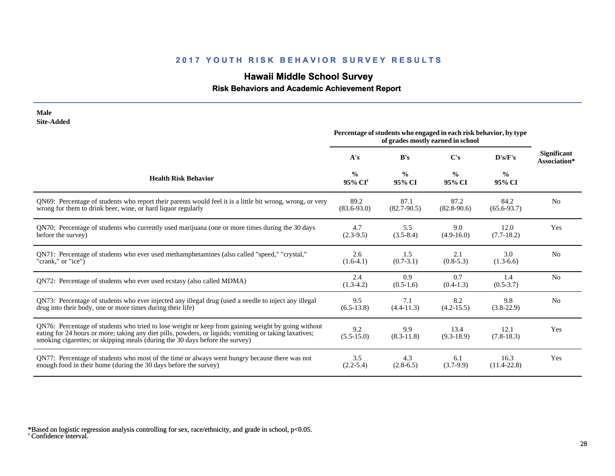# **Hawaii Middle School Survey**

## **Risk Behaviors and Academic Achievement Report**

| <b>Male</b><br><b>Site-Added</b>                                                                                                                                                                                                                                                             |                                      |                         |                                                                                                        |                         |                                    |
|----------------------------------------------------------------------------------------------------------------------------------------------------------------------------------------------------------------------------------------------------------------------------------------------|--------------------------------------|-------------------------|--------------------------------------------------------------------------------------------------------|-------------------------|------------------------------------|
|                                                                                                                                                                                                                                                                                              |                                      |                         | Percentage of students who engaged in each risk behavior, by type<br>of grades mostly earned in school |                         |                                    |
|                                                                                                                                                                                                                                                                                              | A's                                  | B's                     | C's                                                                                                    | D's/F's                 | <b>Significant</b><br>Association* |
| <b>Health Risk Behavior</b>                                                                                                                                                                                                                                                                  | $\frac{0}{0}$<br>95% CI <sup>†</sup> | $\frac{0}{0}$<br>95% CI | $\frac{0}{0}$<br>95% CI                                                                                | $\frac{0}{0}$<br>95% CI |                                    |
| QN69: Percentage of students who report their parents would feel it is a little bit wrong, wrong, or very<br>wrong for them to drink beer, wine, or hard liquor regularly                                                                                                                    | 89.2<br>$(83.6 - 93.0)$              | 87.1<br>$(82.7 - 90.5)$ | 87.2<br>$(82.8 - 90.6)$                                                                                | 84.2<br>$(65.6 - 93.7)$ | N <sub>0</sub>                     |
| QN70: Percentage of students who currently used marijuana (one or more times during the 30 days<br>before the survey)                                                                                                                                                                        | 4.7<br>$(2.3-9.5)$                   | 5.5<br>$(3.5 - 8.4)$    | 9.0<br>$(4.9-16.0)$                                                                                    | 12.0<br>$(7.7-18.2)$    | Yes                                |
| QN71: Percentage of students who ever used methamphetamines (also called "speed," "crystal,"<br>"crank," or "ice")                                                                                                                                                                           | 2.6<br>$(1.6-4.1)$                   | 1.5<br>$(0.7-3.1)$      | 2.1<br>$(0.8-5.3)$                                                                                     | 3.0<br>$(1.3-6.6)$      | N <sub>o</sub>                     |
| ON72: Percentage of students who ever used ecstasy (also called MDMA)                                                                                                                                                                                                                        | 2.4<br>$(1.3-4.2)$                   | 0.9<br>$(0.5-1.6)$      | 0.7<br>$(0.4-1.3)$                                                                                     | 1.4<br>$(0.5 - 3.7)$    | N <sub>o</sub>                     |
| QN73: Percentage of students who ever injected any illegal drug (used a needle to inject any illegal<br>drug into their body, one or more times during their life)                                                                                                                           | 9.5<br>$(6.5-13.8)$                  | 7.1<br>$(4.4 - 11.3)$   | 8.2<br>$(4.2 - 15.5)$                                                                                  | 9.8<br>$(3.8-22.9)$     | N <sub>o</sub>                     |
| QN76: Percentage of students who tried to lose weight or keep from gaining weight by going without<br>eating for 24 hours or more; taking any diet pills, powders, or liquids; vomiting or taking laxatives;<br>smoking cigarettes; or skipping meals (during the 30 days before the survey) | 9.2<br>$(5.5-15.0)$                  | 9.9<br>$(8.3 - 11.8)$   | 13.4<br>$(9.3-18.9)$                                                                                   | 12.1<br>$(7.8-18.3)$    | Yes                                |
| QN77: Percentage of students who most of the time or always went hungry because there was not<br>enough food in their home (during the 30 days before the survey)                                                                                                                            | 3.5<br>$(2.2 - 5.4)$                 | 4.3<br>$(2.8-6.5)$      | 6.1<br>$(3.7-9.9)$                                                                                     | 16.3<br>$(11.4 - 22.8)$ | Yes                                |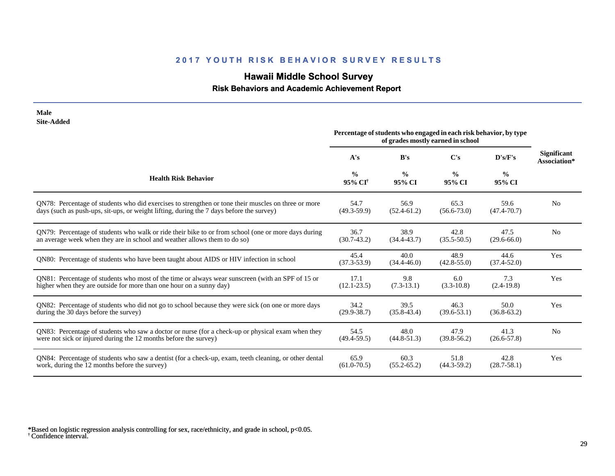# **Hawaii Middle School Survey**

 **Risk Behaviors and Academic Achievement Report**

| <b>Male</b><br><b>Site-Added</b>                                                                      |                                      |                                                                                                        |                         |                         |                                    |
|-------------------------------------------------------------------------------------------------------|--------------------------------------|--------------------------------------------------------------------------------------------------------|-------------------------|-------------------------|------------------------------------|
|                                                                                                       |                                      | Percentage of students who engaged in each risk behavior, by type<br>of grades mostly earned in school |                         |                         |                                    |
|                                                                                                       | A's                                  | B's                                                                                                    | $\bf C's$               | D's/F's                 | <b>Significant</b><br>Association* |
| <b>Health Risk Behavior</b>                                                                           | $\frac{0}{0}$<br>95% CI <sup>+</sup> | $\frac{0}{0}$<br>95% CI                                                                                | $\frac{0}{0}$<br>95% CI | $\frac{0}{0}$<br>95% CI |                                    |
| QN78: Percentage of students who did exercises to strengthen or tone their muscles on three or more   | 54.7                                 | 56.9                                                                                                   | 65.3                    | 59.6                    | N <sub>0</sub>                     |
| days (such as push-ups, sit-ups, or weight lifting, during the 7 days before the survey)              | $(49.3 - 59.9)$                      | $(52.4 - 61.2)$                                                                                        | $(56.6 - 73.0)$         | $(47.4 - 70.7)$         |                                    |
| QN79: Percentage of students who walk or ride their bike to or from school (one or more days during   | 36.7                                 | 38.9                                                                                                   | 42.8                    | 47.5                    | N <sub>o</sub>                     |
| an average week when they are in school and weather allows them to do so)                             | $(30.7-43.2)$                        | $(34.4 - 43.7)$                                                                                        | $(35.5 - 50.5)$         | $(29.6 - 66.0)$         |                                    |
| QN80: Percentage of students who have been taught about AIDS or HIV infection in school               | 45.4<br>$(37.3 - 53.9)$              | 40.0<br>$(34.4 - 46.0)$                                                                                | 48.9<br>$(42.8 - 55.0)$ | 44.6<br>$(37.4 - 52.0)$ | Yes                                |
| QN81: Percentage of students who most of the time or always wear sunscreen (with an SPF of 15 or      | 17.1                                 | 9.8                                                                                                    | 6.0                     | 7.3                     | Yes                                |
| higher when they are outside for more than one hour on a sunny day)                                   | $(12.1 - 23.5)$                      | $(7.3-13.1)$                                                                                           | $(3.3-10.8)$            | $(2.4-19.8)$            |                                    |
| QN82: Percentage of students who did not go to school because they were sick (on one or more days     | 34.2                                 | 39.5                                                                                                   | 46.3                    | 50.0                    | Yes                                |
| during the 30 days before the survey)                                                                 | $(29.9 - 38.7)$                      | $(35.8 - 43.4)$                                                                                        | $(39.6 - 53.1)$         | $(36.8 - 63.2)$         |                                    |
| QN83: Percentage of students who saw a doctor or nurse (for a check-up or physical exam when they     | 54.5                                 | 48.0                                                                                                   | 47.9                    | 41.3                    | N <sub>o</sub>                     |
| were not sick or injured during the 12 months before the survey)                                      | $(49.4 - 59.5)$                      | $(44.8 - 51.3)$                                                                                        | $(39.8 - 56.2)$         | $(26.6 - 57.8)$         |                                    |
| QN84: Percentage of students who saw a dentist (for a check-up, exam, teeth cleaning, or other dental | 65.9                                 | 60.3                                                                                                   | 51.8                    | 42.8                    | Yes                                |
| work, during the 12 months before the survey)                                                         | $(61.0 - 70.5)$                      | $(55.2 - 65.2)$                                                                                        | $(44.3 - 59.2)$         | $(28.7 - 58.1)$         |                                    |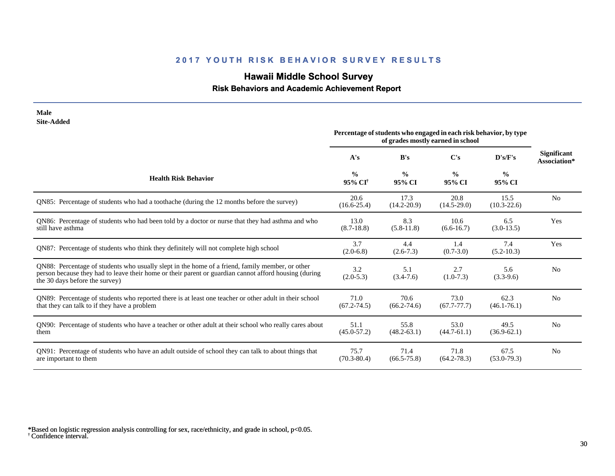# **Hawaii Middle School Survey**

## **Risk Behaviors and Academic Achievement Report**

| <b>Male</b><br><b>Site-Added</b>                                                                                                                                                                                                           |                                                                                                        |                         |                         |                         |                                    |
|--------------------------------------------------------------------------------------------------------------------------------------------------------------------------------------------------------------------------------------------|--------------------------------------------------------------------------------------------------------|-------------------------|-------------------------|-------------------------|------------------------------------|
|                                                                                                                                                                                                                                            | Percentage of students who engaged in each risk behavior, by type<br>of grades mostly earned in school |                         |                         |                         |                                    |
|                                                                                                                                                                                                                                            | A's                                                                                                    | B's                     | C's                     | D's/F's                 | <b>Significant</b><br>Association* |
| <b>Health Risk Behavior</b>                                                                                                                                                                                                                | $\frac{0}{0}$<br>95% CI <sup>†</sup>                                                                   | $\frac{0}{0}$<br>95% CI | $\frac{0}{0}$<br>95% CI | $\frac{0}{0}$<br>95% CI |                                    |
| QN85: Percentage of students who had a toothache (during the 12 months before the survey)                                                                                                                                                  | 20.6<br>$(16.6 - 25.4)$                                                                                | 17.3<br>$(14.2 - 20.9)$ | 20.8<br>$(14.5 - 29.0)$ | 15.5<br>$(10.3 - 22.6)$ | N <sub>0</sub>                     |
| QN86: Percentage of students who had been told by a doctor or nurse that they had asthma and who<br>still have asthma                                                                                                                      | 13.0<br>$(8.7-18.8)$                                                                                   | 8.3<br>$(5.8-11.8)$     | 10.6<br>$(6.6 - 16.7)$  | 6.5<br>$(3.0-13.5)$     | Yes                                |
| QN87: Percentage of students who think they definitely will not complete high school                                                                                                                                                       | 3.7<br>$(2.0-6.8)$                                                                                     | 4.4<br>$(2.6 - 7.3)$    | 1.4<br>$(0.7 - 3.0)$    | 7.4<br>$(5.2 - 10.3)$   | Yes                                |
| QN88: Percentage of students who usually slept in the home of a friend, family member, or other<br>person because they had to leave their home or their parent or guardian cannot afford housing (during<br>the 30 days before the survey) | 3.2<br>$(2.0-5.3)$                                                                                     | 5.1<br>$(3.4 - 7.6)$    | 2.7<br>$(1.0-7.3)$      | 5.6<br>$(3.3-9.6)$      | N <sub>0</sub>                     |
| QN89: Percentage of students who reported there is at least one teacher or other adult in their school<br>that they can talk to if they have a problem                                                                                     | 71.0<br>$(67.2 - 74.5)$                                                                                | 70.6<br>$(66.2 - 74.6)$ | 73.0<br>$(67.7 - 77.7)$ | 62.3<br>$(46.1 - 76.1)$ | N <sub>0</sub>                     |
| QN90: Percentage of students who have a teacher or other adult at their school who really cares about<br>them                                                                                                                              | 51.1<br>$(45.0 - 57.2)$                                                                                | 55.8<br>$(48.2 - 63.1)$ | 53.0<br>$(44.7 - 61.1)$ | 49.5<br>$(36.9 - 62.1)$ | N <sub>0</sub>                     |
| QN91: Percentage of students who have an adult outside of school they can talk to about things that<br>are important to them                                                                                                               | 75.7<br>$(70.3 - 80.4)$                                                                                | 71.4<br>$(66.5 - 75.8)$ | 71.8<br>$(64.2 - 78.3)$ | 67.5<br>$(53.0 - 79.3)$ | N <sub>o</sub>                     |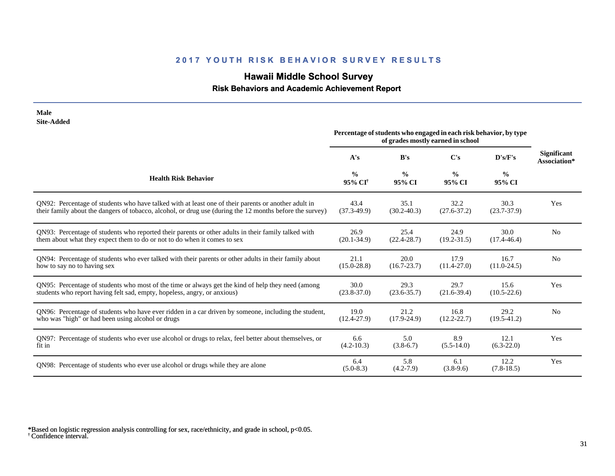# **Hawaii Middle School Survey**

 **Risk Behaviors and Academic Achievement Report**

| <b>Male</b><br><b>Site-Added</b>                                                                         |                                      |                         |                                                                                                        |                         |                                    |
|----------------------------------------------------------------------------------------------------------|--------------------------------------|-------------------------|--------------------------------------------------------------------------------------------------------|-------------------------|------------------------------------|
|                                                                                                          |                                      |                         | Percentage of students who engaged in each risk behavior, by type<br>of grades mostly earned in school |                         |                                    |
|                                                                                                          | A's                                  | B's                     | $\bf C's$                                                                                              | D's/F's                 | <b>Significant</b><br>Association* |
| <b>Health Risk Behavior</b>                                                                              | $\frac{0}{0}$<br>95% CI <sup>†</sup> | $\frac{0}{0}$<br>95% CI | $\frac{0}{0}$<br>95% CI                                                                                | $\frac{0}{0}$<br>95% CI |                                    |
| QN92: Percentage of students who have talked with at least one of their parents or another adult in      | 43.4                                 | 35.1                    | 32.2                                                                                                   | 30.3                    | Yes                                |
| their family about the dangers of tobacco, alcohol, or drug use (during the 12 months before the survey) | $(37.3-49.9)$                        | $(30.2 - 40.3)$         | $(27.6 - 37.2)$                                                                                        | $(23.7 - 37.9)$         |                                    |
| QN93: Percentage of students who reported their parents or other adults in their family talked with      | 26.9                                 | 25.4                    | 24.9                                                                                                   | 30.0                    | N <sub>o</sub>                     |
| them about what they expect them to do or not to do when it comes to sex                                 | $(20.1 - 34.9)$                      | $(22.4 - 28.7)$         | $(19.2 - 31.5)$                                                                                        | $(17.4 - 46.4)$         |                                    |
| QN94: Percentage of students who ever talked with their parents or other adults in their family about    | 21.1                                 | 20.0                    | 17.9                                                                                                   | 16.7                    | N <sub>o</sub>                     |
| how to say no to having sex                                                                              | $(15.0 - 28.8)$                      | $(16.7 - 23.7)$         | $(11.4 - 27.0)$                                                                                        | $(11.0-24.5)$           |                                    |
| QN95: Percentage of students who most of the time or always get the kind of help they need (among        | 30.0                                 | 29.3                    | 29.7                                                                                                   | 15.6                    | Yes                                |
| students who report having felt sad, empty, hopeless, angry, or anxious)                                 | $(23.8 - 37.0)$                      | $(23.6 - 35.7)$         | $(21.6-39.4)$                                                                                          | $(10.5 - 22.6)$         |                                    |
| QN96: Percentage of students who have ever ridden in a car driven by someone, including the student,     | 19.0                                 | 21.2                    | 16.8                                                                                                   | 29.2                    | N <sub>o</sub>                     |
| who was "high" or had been using alcohol or drugs                                                        | $(12.4 - 27.9)$                      | $(17.9 - 24.9)$         | $(12.2 - 22.7)$                                                                                        | $(19.5 - 41.2)$         |                                    |
| QN97: Percentage of students who ever use alcohol or drugs to relax, feel better about themselves, or    | 6.6                                  | 5.0                     | 8.9                                                                                                    | 12.1                    | Yes                                |
| fit in                                                                                                   | $(4.2 - 10.3)$                       | $(3.8-6.7)$             | $(5.5-14.0)$                                                                                           | $(6.3-22.0)$            |                                    |
| QN98: Percentage of students who ever use alcohol or drugs while they are alone                          | 6.4<br>$(5.0-8.3)$                   | 5.8<br>$(4.2 - 7.9)$    | 6.1<br>$(3.8-9.6)$                                                                                     | 12.2<br>$(7.8-18.5)$    | Yes                                |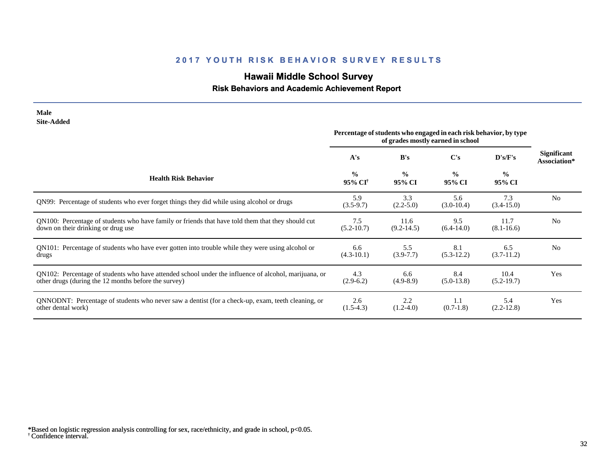# **Hawaii Middle School Survey**

## **Risk Behaviors and Academic Achievement Report**

| <b>Site-Added</b>                                                                                    | Percentage of students who engaged in each risk behavior, by type<br>of grades mostly earned in school |                         |                         |                         |                                    |
|------------------------------------------------------------------------------------------------------|--------------------------------------------------------------------------------------------------------|-------------------------|-------------------------|-------------------------|------------------------------------|
|                                                                                                      | A's                                                                                                    | B's                     | $\bf C's$               | D's/F's                 | <b>Significant</b><br>Association* |
| <b>Health Risk Behavior</b>                                                                          | $\frac{0}{0}$<br>95% CI <sup>†</sup>                                                                   | $\frac{0}{0}$<br>95% CI | $\frac{0}{0}$<br>95% CI | $\frac{6}{6}$<br>95% CI |                                    |
| QN99: Percentage of students who ever forget things they did while using alcohol or drugs            | 5.9<br>$(3.5-9.7)$                                                                                     | 3.3<br>$(2.2 - 5.0)$    | 5.6<br>$(3.0-10.4)$     | 7.3<br>$(3.4 - 15.0)$   | N <sub>0</sub>                     |
| QN100: Percentage of students who have family or friends that have told them that they should cut    | 7.5                                                                                                    | 11.6                    | 9.5                     | 11.7                    | N <sub>0</sub>                     |
| down on their drinking or drug use                                                                   | $(5.2 - 10.7)$                                                                                         | $(9.2 - 14.5)$          | $(6.4-14.0)$            | $(8.1 - 16.6)$          |                                    |
| QN101: Percentage of students who have ever gotten into trouble while they were using alcohol or     | 6.6                                                                                                    | 5.5                     | 8.1                     | 6.5                     | N <sub>0</sub>                     |
| drugs                                                                                                | $(4.3-10.1)$                                                                                           | $(3.9 - 7.7)$           | $(5.3-12.2)$            | $(3.7-11.2)$            |                                    |
| QN102: Percentage of students who have attended school under the influence of alcohol, marijuana, or | 4.3                                                                                                    | 6.6                     | 8.4                     | 10.4                    | Yes                                |
| other drugs (during the 12 months before the survey)                                                 | $(2.9-6.2)$                                                                                            | $(4.9-8.9)$             | $(5.0-13.8)$            | $(5.2-19.7)$            |                                    |
| QNNODNT: Percentage of students who never saw a dentist (for a check-up, exam, teeth cleaning, or    | 2.6                                                                                                    | 2.2                     | 1.1                     | 5.4                     | Yes                                |
| other dental work)                                                                                   | $(1.5-4.3)$                                                                                            | $(1.2-4.0)$             | $(0.7-1.8)$             | $(2.2-12.8)$            |                                    |

† Confidence interval. \*Based on logistic regression analysis controlling for sex, race/ethnicity, and grade in school, p<0.05.

**Male**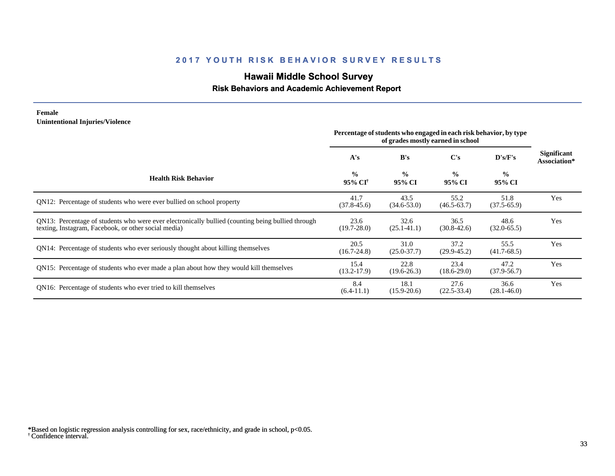# **Hawaii Middle School Survey**

#### **Risk Behaviors and Academic Achievement Report**

#### **Female Unintentional Injuries/Violence**

|                                                                                                                                                           | Percentage of students who engaged in each risk behavior, by type<br>of grades mostly earned in school |                         |                         |                         |                                    |
|-----------------------------------------------------------------------------------------------------------------------------------------------------------|--------------------------------------------------------------------------------------------------------|-------------------------|-------------------------|-------------------------|------------------------------------|
|                                                                                                                                                           | A's                                                                                                    | B's                     | C's                     | D's/F's                 | <b>Significant</b><br>Association* |
| <b>Health Risk Behavior</b>                                                                                                                               | $\frac{0}{0}$<br>95% CI <sup>†</sup>                                                                   | $\frac{0}{0}$<br>95% CI | $\frac{0}{0}$<br>95% CI | $\frac{0}{0}$<br>95% CI |                                    |
| QN12: Percentage of students who were ever bullied on school property                                                                                     | 41.7<br>$(37.8 - 45.6)$                                                                                | 43.5<br>$(34.6 - 53.0)$ | 55.2<br>$(46.5 - 63.7)$ | 51.8<br>$(37.5 - 65.9)$ | Yes                                |
| QN13: Percentage of students who were ever electronically bullied (counting being bullied through<br>texting, Instagram, Facebook, or other social media) | 23.6<br>$(19.7 - 28.0)$                                                                                | 32.6<br>$(25.1 - 41.1)$ | 36.5<br>$(30.8 - 42.6)$ | 48.6<br>$(32.0 - 65.5)$ | Yes                                |
| QN14: Percentage of students who ever seriously thought about killing themselves                                                                          | 20.5<br>$(16.7 - 24.8)$                                                                                | 31.0<br>$(25.0 - 37.7)$ | 37.2<br>$(29.9 - 45.2)$ | 55.5<br>$(41.7-68.5)$   | Yes                                |
| QN15: Percentage of students who ever made a plan about how they would kill themselves                                                                    | 15.4<br>$(13.2 - 17.9)$                                                                                | 22.8<br>$(19.6 - 26.3)$ | 23.4<br>$(18.6-29.0)$   | 47.2<br>$(37.9 - 56.7)$ | Yes                                |
| QN16: Percentage of students who ever tried to kill themselves                                                                                            | 8.4<br>$(6.4-11.1)$                                                                                    | 18.1<br>$(15.9 - 20.6)$ | 27.6<br>$(22.5 - 33.4)$ | 36.6<br>$(28.1 - 46.0)$ | Yes                                |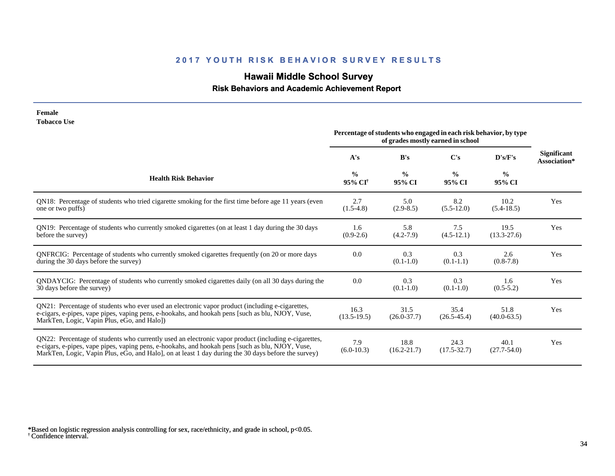# **Hawaii Middle School Survey**

## **Risk Behaviors and Academic Achievement Report**

| <b>Tobacco Use</b>                                                                                                                                                                                                                                                                                              | Percentage of students who engaged in each risk behavior, by type |                         |                                          |                         |                                    |
|-----------------------------------------------------------------------------------------------------------------------------------------------------------------------------------------------------------------------------------------------------------------------------------------------------------------|-------------------------------------------------------------------|-------------------------|------------------------------------------|-------------------------|------------------------------------|
|                                                                                                                                                                                                                                                                                                                 | A's                                                               | B's                     | of grades mostly earned in school<br>C's | D's/F's                 | <b>Significant</b><br>Association* |
| <b>Health Risk Behavior</b>                                                                                                                                                                                                                                                                                     | $\frac{0}{0}$<br>95% CI <sup>†</sup>                              | $\frac{0}{0}$<br>95% CI | $\frac{0}{0}$<br>95% CI                  | $\frac{0}{0}$<br>95% CI |                                    |
| QN18: Percentage of students who tried cigarette smoking for the first time before age 11 years (even<br>one or two puffs)                                                                                                                                                                                      | 2.7<br>$(1.5-4.8)$                                                | 5.0<br>$(2.9-8.5)$      | 8.2<br>$(5.5-12.0)$                      | 10.2<br>$(5.4-18.5)$    | Yes                                |
| QN19: Percentage of students who currently smoked cigarettes (on at least 1 day during the 30 days<br>before the survey)                                                                                                                                                                                        | 1.6<br>$(0.9-2.6)$                                                | 5.8<br>$(4.2 - 7.9)$    | 7.5<br>$(4.5-12.1)$                      | 19.5<br>$(13.3 - 27.6)$ | Yes                                |
| QNFRCIG: Percentage of students who currently smoked cigarettes frequently (on 20 or more days<br>during the 30 days before the survey)                                                                                                                                                                         | 0.0                                                               | 0.3<br>$(0.1-1.0)$      | 0.3<br>$(0.1-1.1)$                       | 2.6<br>$(0.8-7.8)$      | Yes                                |
| QNDAYCIG: Percentage of students who currently smoked cigarettes daily (on all 30 days during the<br>30 days before the survey)                                                                                                                                                                                 | 0.0                                                               | 0.3<br>$(0.1-1.0)$      | 0.3<br>$(0.1-1.0)$                       | 1.6<br>$(0.5 - 5.2)$    | Yes                                |
| QN21: Percentage of students who ever used an electronic vapor product (including e-cigarettes,<br>e-cigars, e-pipes, vape pipes, vaping pens, e-hookahs, and hookah pens [such as blu, NJOY, Vuse,<br>MarkTen, Logic, Vapin Plus, eGo, and Halo])                                                              | 16.3<br>$(13.5-19.5)$                                             | 31.5<br>$(26.0 - 37.7)$ | 35.4<br>$(26.5 - 45.4)$                  | 51.8<br>$(40.0 - 63.5)$ | Yes                                |
| QN22: Percentage of students who currently used an electronic vapor product (including e-cigarettes,<br>e-cigars, e-pipes, vape pipes, vaping pens, e-hookahs, and hookah pens [such as blu, NJOY, Vuse,<br>MarkTen, Logic, Vapin Plus, eGo, and Halo], on at least 1 day during the 30 days before the survey) | 7.9<br>$(6.0-10.3)$                                               | 18.8<br>$(16.2 - 21.7)$ | 24.3<br>$(17.5 - 32.7)$                  | 40.1<br>$(27.7 - 54.0)$ | Yes                                |

**Female**

<sup>†</sup> Confidence interval. \*Based on logistic regression analysis controlling for sex, race/ethnicity, and grade in school, p<0.05.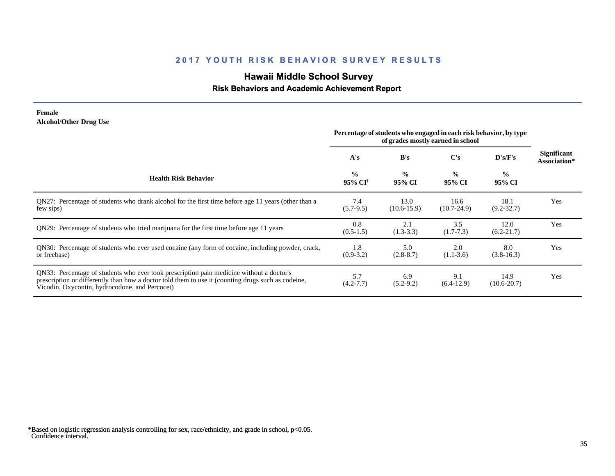# **Hawaii Middle School Survey**

#### **Risk Behaviors and Academic Achievement Report**

#### **Female Alcohol/Other Drug Use**

|                                                                                                                                                                                                                                                  | Percentage of students who engaged in each risk behavior, by type<br>of grades mostly earned in school |                         |                         |                         |                                    |
|--------------------------------------------------------------------------------------------------------------------------------------------------------------------------------------------------------------------------------------------------|--------------------------------------------------------------------------------------------------------|-------------------------|-------------------------|-------------------------|------------------------------------|
|                                                                                                                                                                                                                                                  | A's                                                                                                    | B's                     | $\bf C's$               | D's/F's                 | <b>Significant</b><br>Association* |
| <b>Health Risk Behavior</b>                                                                                                                                                                                                                      | $\frac{0}{0}$<br>95% CI <sup>†</sup>                                                                   | $\frac{0}{0}$<br>95% CI | $\frac{0}{0}$<br>95% CI | $\frac{0}{0}$<br>95% CI |                                    |
| QN27: Percentage of students who drank alcohol for the first time before age 11 years (other than a<br>few sips)                                                                                                                                 | 7.4<br>$(5.7-9.5)$                                                                                     | 13.0<br>$(10.6 - 15.9)$ | 16.6<br>$(10.7 - 24.9)$ | 18.1<br>$(9.2 - 32.7)$  | Yes                                |
| QN29: Percentage of students who tried marijuana for the first time before age 11 years                                                                                                                                                          | 0.8<br>$(0.5-1.5)$                                                                                     | 2.1<br>$(1.3-3.3)$      | 3.5<br>$(1.7-7.3)$      | 12.0<br>$(6.2 - 21.7)$  | Yes                                |
| QN30: Percentage of students who ever used cocaine (any form of cocaine, including powder, crack,<br>or freebase)                                                                                                                                | 1.8<br>$(0.9-3.2)$                                                                                     | 5.0<br>$(2.8-8.7)$      | 2.0<br>$(1.1-3.6)$      | 8.0<br>$(3.8-16.3)$     | Yes                                |
| QN33: Percentage of students who ever took prescription pain medicine without a doctor's<br>prescription or differently than how a doctor told them to use it (counting drugs such as codeine,<br>Vicodin, Oxycontin, hydrocodone, and Percocet) | 5.7<br>$(4.2 - 7.7)$                                                                                   | 6.9<br>$(5.2-9.2)$      | 9.1<br>$(6.4-12.9)$     | 14.9<br>$(10.6 - 20.7)$ | Yes                                |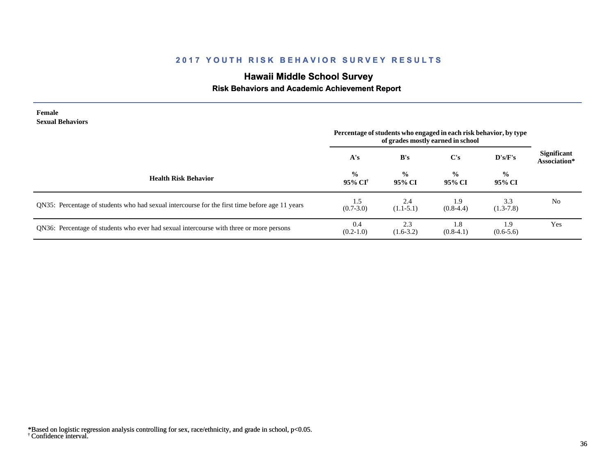# **Hawaii Middle School Survey**

## **Risk Behaviors and Academic Achievement Report**

| Female<br><b>Sexual Behaviors</b>                                                              | Percentage of students who engaged in each risk behavior, by type |                         |                                                |                         |                                    |
|------------------------------------------------------------------------------------------------|-------------------------------------------------------------------|-------------------------|------------------------------------------------|-------------------------|------------------------------------|
|                                                                                                | A's                                                               | B's                     | of grades mostly earned in school<br>$\bf C's$ | D's/F's                 | <b>Significant</b><br>Association* |
| <b>Health Risk Behavior</b>                                                                    | $\frac{0}{0}$<br>95% CI†                                          | $\frac{0}{0}$<br>95% CI | $\frac{0}{0}$<br>95% CI                        | $\frac{0}{0}$<br>95% CI |                                    |
| QN35: Percentage of students who had sexual intercourse for the first time before age 11 years | 1.5<br>$(0.7 - 3.0)$                                              | 2.4<br>$(1.1-5.1)$      | 1.9<br>$(0.8-4.4)$                             | 3.3<br>$(1.3-7.8)$      | No                                 |
| QN36: Percentage of students who ever had sexual intercourse with three or more persons        | 0.4<br>$(0.2-1.0)$                                                | 2.3<br>$(1.6-3.2)$      | 1.8<br>$(0.8-4.1)$                             | 1.9<br>$(0.6-5.6)$      | Yes                                |

<sup>†</sup> Confidence interval. \*Based on logistic regression analysis controlling for sex, race/ethnicity, and grade in school, p<0.05.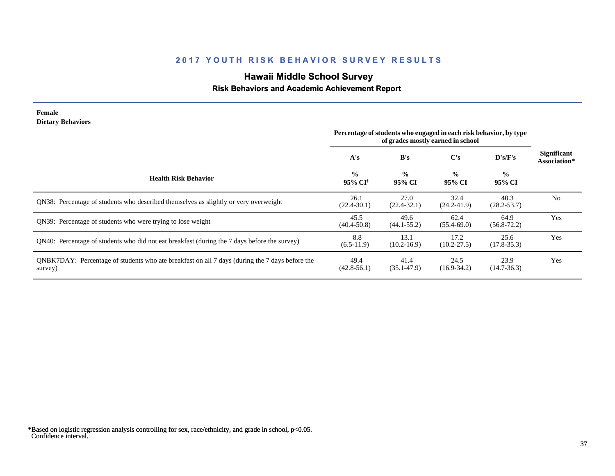# **Hawaii Middle School Survey**

### **Risk Behaviors and Academic Achievement Report**

| <b>Female</b><br><b>Dietary Behaviors</b>                                                                 | Percentage of students who engaged in each risk behavior, by type<br>of grades mostly earned in school |                         |                         |                          |                                    |
|-----------------------------------------------------------------------------------------------------------|--------------------------------------------------------------------------------------------------------|-------------------------|-------------------------|--------------------------|------------------------------------|
|                                                                                                           | A's                                                                                                    | B's                     | C's                     | $\bf{D}$ 's/ $\bf{F}$ 's | <b>Significant</b><br>Association* |
| <b>Health Risk Behavior</b>                                                                               | $\frac{0}{0}$<br>95% CI <sup>†</sup>                                                                   | $\frac{0}{0}$<br>95% CI | $\frac{0}{0}$<br>95% CI | $\frac{0}{0}$<br>95% CI  |                                    |
| QN38: Percentage of students who described themselves as slightly or very overweight                      | 26.1<br>$(22.4 - 30.1)$                                                                                | 27.0<br>$(22.4 - 32.1)$ | 32.4<br>$(24.2 - 41.9)$ | 40.3<br>$(28.2 - 53.7)$  | N <sub>0</sub>                     |
| QN39: Percentage of students who were trying to lose weight                                               | 45.5<br>$(40.4 - 50.8)$                                                                                | 49.6<br>$(44.1 - 55.2)$ | 62.4<br>$(55.4 - 69.0)$ | 64.9<br>$(56.8 - 72.2)$  | Yes                                |
| QN40: Percentage of students who did not eat breakfast (during the 7 days before the survey)              | 8.8<br>$(6.5-11.9)$                                                                                    | 13.1<br>$(10.2 - 16.9)$ | 17.2<br>$(10.2 - 27.5)$ | 25.6<br>$(17.8 - 35.3)$  | Yes                                |
| QNBK7DAY: Percentage of students who ate breakfast on all 7 days (during the 7 days before the<br>survey) | 49.4<br>$(42.8 - 56.1)$                                                                                | 41.4<br>$(35.1 - 47.9)$ | 24.5<br>$(16.9 - 34.2)$ | 23.9<br>$(14.7 - 36.3)$  | Yes                                |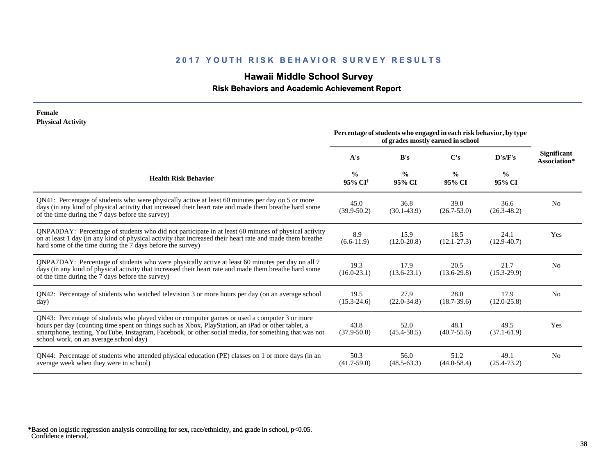# **Hawaii Middle School Survey**

#### **Risk Behaviors and Academic Achievement Report**

| <b>Physical Activity</b>                                                                                                                                                                                                                                                                                                                             | Percentage of students who engaged in each risk behavior, by type<br>of grades mostly earned in school |                         |                         |                         |                                    |
|------------------------------------------------------------------------------------------------------------------------------------------------------------------------------------------------------------------------------------------------------------------------------------------------------------------------------------------------------|--------------------------------------------------------------------------------------------------------|-------------------------|-------------------------|-------------------------|------------------------------------|
|                                                                                                                                                                                                                                                                                                                                                      | A's                                                                                                    | B's                     | $\bf C's$               | $\bf{D's/F's}$          | <b>Significant</b><br>Association* |
| <b>Health Risk Behavior</b>                                                                                                                                                                                                                                                                                                                          | $\frac{0}{0}$<br>95% CI <sup>†</sup>                                                                   | $\frac{0}{0}$<br>95% CI | $\frac{0}{0}$<br>95% CI | $\frac{0}{0}$<br>95% CI |                                    |
| QN41: Percentage of students who were physically active at least 60 minutes per day on 5 or more<br>days (in any kind of physical activity that increased their heart rate and made them breathe hard some<br>of the time during the 7 days before the survey)                                                                                       | 45.0<br>$(39.9 - 50.2)$                                                                                | 36.8<br>$(30.1 - 43.9)$ | 39.0<br>$(26.7 - 53.0)$ | 36.6<br>$(26.3 - 48.2)$ | N <sub>0</sub>                     |
| QNPA0DAY: Percentage of students who did not participate in at least 60 minutes of physical activity<br>on at least 1 day (in any kind of physical activity that increased their heart rate and made them breathe<br>hard some of the time during the 7 days before the survey)                                                                      | 8.9<br>$(6.6-11.9)$                                                                                    | 15.9<br>$(12.0 - 20.8)$ | 18.5<br>$(12.1 - 27.3)$ | 24.1<br>$(12.9 - 40.7)$ | Yes                                |
| QNPA7DAY: Percentage of students who were physically active at least 60 minutes per day on all 7<br>days (in any kind of physical activity that increased their heart rate and made them breathe hard some<br>of the time during the 7 days before the survey)                                                                                       | 19.3<br>$(16.0 - 23.1)$                                                                                | 17.9<br>$(13.6 - 23.1)$ | 20.5<br>$(13.6-29.8)$   | 21.7<br>$(15.3 - 29.9)$ | No                                 |
| QN42: Percentage of students who watched television 3 or more hours per day (on an average school<br>day)                                                                                                                                                                                                                                            | 19.5<br>$(15.3 - 24.6)$                                                                                | 27.9<br>$(22.0 - 34.8)$ | 28.0<br>$(18.7 - 39.6)$ | 17.9<br>$(12.0 - 25.8)$ | N <sub>0</sub>                     |
| QN43: Percentage of students who played video or computer games or used a computer 3 or more<br>hours per day (counting time spent on things such as Xbox, PlayStation, an iPad or other tablet, a<br>smartphone, texting, YouTube, Instagram, Facebook, or other social media, for something that was not<br>school work, on an average school day) | 43.8<br>$(37.9 - 50.0)$                                                                                | 52.0<br>$(45.4 - 58.5)$ | 48.1<br>$(40.7 - 55.6)$ | 49.5<br>$(37.1 - 61.9)$ | Yes                                |
| QN44: Percentage of students who attended physical education (PE) classes on 1 or more days (in an<br>average week when they were in school)                                                                                                                                                                                                         | 50.3<br>$(41.7 - 59.0)$                                                                                | 56.0<br>$(48.5 - 63.3)$ | 51.2<br>$(44.0 - 58.4)$ | 49.1<br>$(25.4 - 73.2)$ | N <sub>0</sub>                     |

† Confidence interval. \*Based on logistic regression analysis controlling for sex, race/ethnicity, and grade in school, p<0.05.

**Female**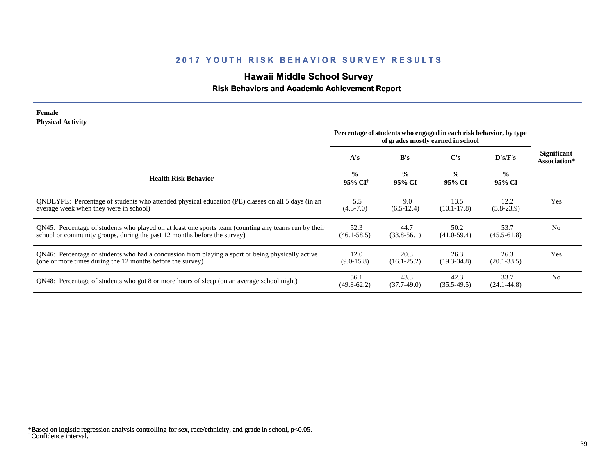# **Hawaii Middle School Survey**

### **Risk Behaviors and Academic Achievement Report**

#### **Female Physical Activity**

|                                                                                                                                                                                  | Percentage of students who engaged in each risk behavior, by type<br>of grades mostly earned in school |                         |                         |                         |                             |
|----------------------------------------------------------------------------------------------------------------------------------------------------------------------------------|--------------------------------------------------------------------------------------------------------|-------------------------|-------------------------|-------------------------|-----------------------------|
|                                                                                                                                                                                  | A's                                                                                                    | B's                     | C's                     | $\bf{D's/F's}$          | Significant<br>Association* |
| <b>Health Risk Behavior</b>                                                                                                                                                      | $\frac{0}{0}$<br>95% CI <sup>†</sup>                                                                   | $\frac{0}{0}$<br>95% CI | $\frac{0}{0}$<br>95% CI | $\frac{6}{9}$<br>95% CI |                             |
| QNDLYPE: Percentage of students who attended physical education (PE) classes on all 5 days (in an<br>average week when they were in school)                                      | 5.5<br>$(4.3 - 7.0)$                                                                                   | 9.0<br>$(6.5-12.4)$     | 13.5<br>$(10.1 - 17.8)$ | 12.2<br>$(5.8-23.9)$    | Yes                         |
| QN45: Percentage of students who played on at least one sports team (counting any teams run by their<br>school or community groups, during the past 12 months before the survey) | 52.3<br>$(46.1 - 58.5)$                                                                                | 44.7<br>$(33.8 - 56.1)$ | 50.2<br>$(41.0-59.4)$   | 53.7<br>$(45.5 - 61.8)$ | N <sub>o</sub>              |
| QN46: Percentage of students who had a concussion from playing a sport or being physically active<br>(one or more times during the 12 months before the survey)                  | 12.0<br>$(9.0-15.8)$                                                                                   | 20.3<br>$(16.1 - 25.2)$ | 26.3<br>$(19.3 - 34.8)$ | 26.3<br>$(20.1 - 33.5)$ | Yes                         |
| QN48: Percentage of students who got 8 or more hours of sleep (on an average school night)                                                                                       | 56.1<br>$(49.8 - 62.2)$                                                                                | 43.3<br>$(37.7-49.0)$   | 42.3<br>$(35.5-49.5)$   | 33.7<br>$(24.1 - 44.8)$ | N <sub>0</sub>              |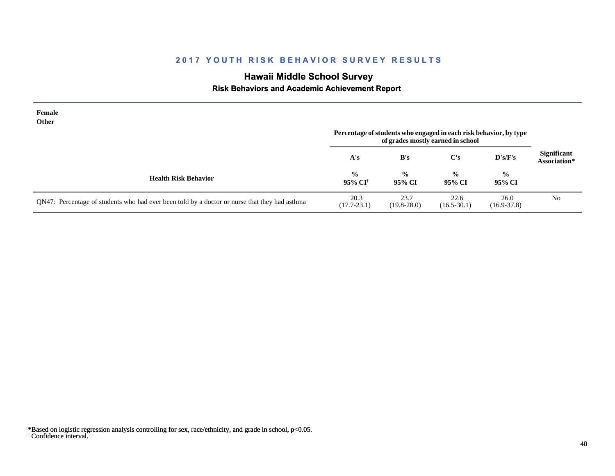# **Hawaii Middle School Survey**

 **Risk Behaviors and Academic Achievement Report**

| Female<br><b>Other</b>                                                                        | Percentage of students who engaged in each risk behavior, by type<br>of grades mostly earned in school |                         |                         |                         |                                    |
|-----------------------------------------------------------------------------------------------|--------------------------------------------------------------------------------------------------------|-------------------------|-------------------------|-------------------------|------------------------------------|
|                                                                                               | A's                                                                                                    | B's                     | C's                     | D's/F's                 | <b>Significant</b><br>Association* |
| <b>Health Risk Behavior</b>                                                                   | $\frac{0}{0}$<br>95% CI <sup>†</sup>                                                                   | $\frac{0}{0}$<br>95% CI | $\frac{0}{0}$<br>95% CI | $\frac{0}{0}$<br>95% CI |                                    |
| QN47: Percentage of students who had ever been told by a doctor or nurse that they had asthma | 20.3<br>$(17.7 - 23.1)$                                                                                | 23.7<br>$(19.8 - 28.0)$ | 22.6<br>$(16.5 - 30.1)$ | 26.0<br>$(16.9 - 37.8)$ | N <sub>0</sub>                     |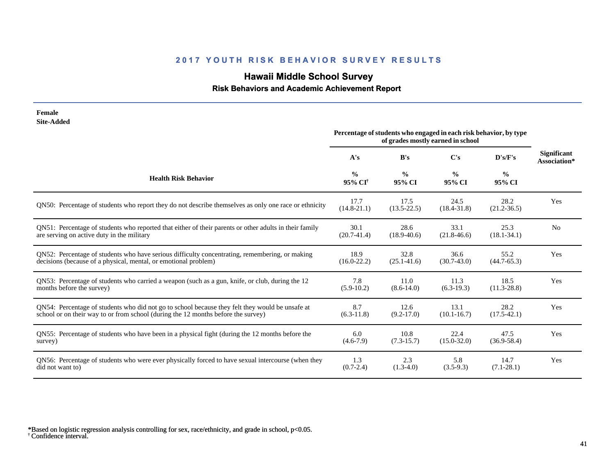# **Hawaii Middle School Survey**

 **Risk Behaviors and Academic Achievement Report**

| <b>Female</b>                                                                                          | Percentage of students who engaged in each risk behavior, by type |                         |                         |                         |                                    |
|--------------------------------------------------------------------------------------------------------|-------------------------------------------------------------------|-------------------------|-------------------------|-------------------------|------------------------------------|
| <b>Site-Added</b>                                                                                      | of grades mostly earned in school                                 |                         |                         |                         |                                    |
|                                                                                                        | A's                                                               | B's                     | C's                     | D's/F's                 | <b>Significant</b><br>Association* |
| <b>Health Risk Behavior</b>                                                                            | $\frac{0}{0}$<br>95% CI <sup>†</sup>                              | $\frac{0}{0}$<br>95% CI | $\frac{0}{0}$<br>95% CI | $\frac{0}{0}$<br>95% CI |                                    |
| QN50: Percentage of students who report they do not describe themselves as only one race or ethnicity  | 17.7<br>$(14.8 - 21.1)$                                           | 17.5<br>$(13.5 - 22.5)$ | 24.5<br>$(18.4 - 31.8)$ | 28.2<br>$(21.2 - 36.5)$ | Yes                                |
| QN51: Percentage of students who reported that either of their parents or other adults in their family | 30.1                                                              | 28.6                    | 33.1                    | 25.3                    | N <sub>0</sub>                     |
| are serving on active duty in the military                                                             | $(20.7-41.4)$                                                     | $(18.9 - 40.6)$         | $(21.8-46.6)$           | $(18.1 - 34.1)$         |                                    |
| QN52: Percentage of students who have serious difficulty concentrating, remembering, or making         | 18.9                                                              | 32.8                    | 36.6                    | 55.2                    | Yes                                |
| decisions (because of a physical, mental, or emotional problem)                                        | $(16.0 - 22.2)$                                                   | $(25.1 - 41.6)$         | $(30.7-43.0)$           | $(44.7 - 65.3)$         |                                    |
| QN53: Percentage of students who carried a weapon (such as a gun, knife, or club, during the 12        | 7.8                                                               | 11.0                    | 11.3                    | 18.5                    | Yes                                |
| months before the survey)                                                                              | $(5.9-10.2)$                                                      | $(8.6 - 14.0)$          | $(6.3-19.3)$            | $(11.3 - 28.8)$         |                                    |
| QN54: Percentage of students who did not go to school because they felt they would be unsafe at        | 8.7                                                               | 12.6                    | 13.1                    | 28.2                    | Yes                                |
| school or on their way to or from school (during the 12 months before the survey)                      | $(6.3-11.8)$                                                      | $(9.2 - 17.0)$          | $(10.1 - 16.7)$         | $(17.5 - 42.1)$         |                                    |
| QN55: Percentage of students who have been in a physical fight (during the 12 months before the        | 6.0                                                               | 10.8                    | 22.4                    | 47.5                    | Yes                                |
| survey)                                                                                                | $(4.6-7.9)$                                                       | $(7.3-15.7)$            | $(15.0 - 32.0)$         | $(36.9 - 58.4)$         |                                    |
| QN56: Percentage of students who were ever physically forced to have sexual intercourse (when they     | 1.3                                                               | 2.3                     | 5.8                     | 14.7                    | Yes                                |
| did not want to)                                                                                       | $(0.7 - 2.4)$                                                     | $(1.3-4.0)$             | $(3.5-9.3)$             | $(7.1 - 28.1)$          |                                    |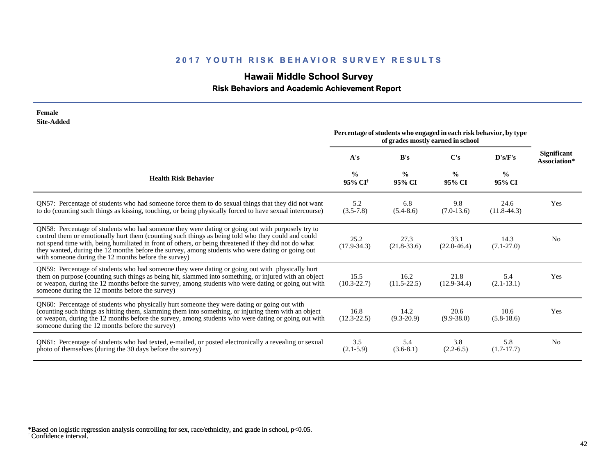# **Hawaii Middle School Survey**

 **Risk Behaviors and Academic Achievement Report**

| Female<br><b>Site-Added</b>                                                                                                                                                                                                                                                                                                                                                                                                                                                 |                                      |                                                                   |                                   |                         |                                    |
|-----------------------------------------------------------------------------------------------------------------------------------------------------------------------------------------------------------------------------------------------------------------------------------------------------------------------------------------------------------------------------------------------------------------------------------------------------------------------------|--------------------------------------|-------------------------------------------------------------------|-----------------------------------|-------------------------|------------------------------------|
|                                                                                                                                                                                                                                                                                                                                                                                                                                                                             |                                      | Percentage of students who engaged in each risk behavior, by type | of grades mostly earned in school |                         |                                    |
|                                                                                                                                                                                                                                                                                                                                                                                                                                                                             | A's                                  | B's                                                               | $\bf C's$                         | D's/F's                 | <b>Significant</b><br>Association* |
| <b>Health Risk Behavior</b>                                                                                                                                                                                                                                                                                                                                                                                                                                                 | $\frac{0}{0}$<br>95% CI <sup>†</sup> | $\frac{0}{0}$<br>95% CI                                           | $\frac{0}{0}$<br>95% CI           | $\frac{0}{0}$<br>95% CI |                                    |
| QN57: Percentage of students who had someone force them to do sexual things that they did not want<br>to do (counting such things as kissing, touching, or being physically forced to have sexual intercourse)                                                                                                                                                                                                                                                              | 5.2<br>$(3.5 - 7.8)$                 | 6.8<br>$(5.4 - 8.6)$                                              | 9.8<br>$(7.0-13.6)$               | 24.6<br>$(11.8-44.3)$   | Yes                                |
| QN58: Percentage of students who had someone they were dating or going out with purposely try to<br>control them or emotionally hurt them (counting such things as being told who they could and could<br>not spend time with, being humiliated in front of others, or being threatened if they did not do what<br>they wanted, during the 12 months before the survey, among students who were dating or going out<br>with someone during the 12 months before the survey) | 25.2<br>$(17.9 - 34.3)$              | 27.3<br>$(21.8-33.6)$                                             | 33.1<br>$(22.0 - 46.4)$           | 14.3<br>$(7.1 - 27.0)$  | N <sub>0</sub>                     |
| QN59: Percentage of students who had someone they were dating or going out with physically hurt<br>them on purpose (counting such things as being hit, slammed into something, or injured with an object<br>or weapon, during the 12 months before the survey, among students who were dating or going out with<br>someone during the 12 months before the survey)                                                                                                          | 15.5<br>$(10.3 - 22.7)$              | 16.2<br>$(11.5 - 22.5)$                                           | 21.8<br>$(12.9 - 34.4)$           | 5.4<br>$(2.1 - 13.1)$   | Yes                                |
| QN60: Percentage of students who physically hurt someone they were dating or going out with<br>(counting such things as hitting them, slamming them into something, or injuring them with an object<br>or weapon, during the 12 months before the survey, among students who were dating or going out with<br>someone during the 12 months before the survey)                                                                                                               | 16.8<br>$(12.3 - 22.5)$              | 14.2<br>$(9.3-20.9)$                                              | 20.6<br>$(9.9 - 38.0)$            | 10.6<br>$(5.8-18.6)$    | Yes                                |
| QN61: Percentage of students who had texted, e-mailed, or posted electronically a revealing or sexual<br>photo of themselves (during the 30 days before the survey)                                                                                                                                                                                                                                                                                                         | 3.5<br>$(2.1-5.9)$                   | 5.4<br>$(3.6-8.1)$                                                | 3.8<br>$(2.2-6.5)$                | 5.8<br>$(1.7-17.7)$     | N <sub>o</sub>                     |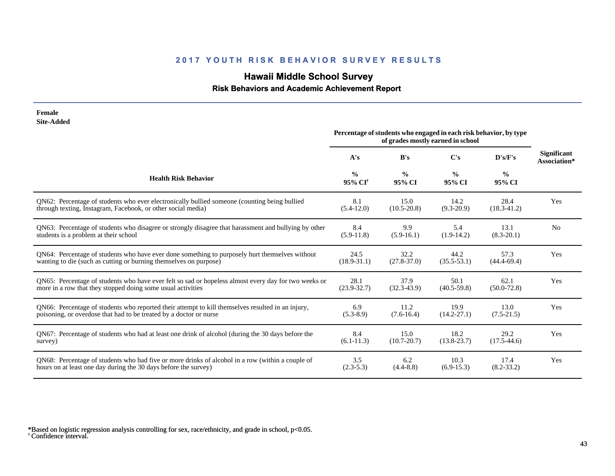# **Hawaii Middle School Survey**

### **Risk Behaviors and Academic Achievement Report**

| Female<br><b>Site-Added</b>                                                                          |                                      |                                                                   |                                   |                         |                                    |
|------------------------------------------------------------------------------------------------------|--------------------------------------|-------------------------------------------------------------------|-----------------------------------|-------------------------|------------------------------------|
|                                                                                                      |                                      | Percentage of students who engaged in each risk behavior, by type | of grades mostly earned in school |                         |                                    |
|                                                                                                      | A's                                  | B's                                                               | C's                               | D's/F's                 | <b>Significant</b><br>Association* |
| <b>Health Risk Behavior</b>                                                                          | $\frac{0}{0}$<br>95% CI <sup>+</sup> | $\frac{0}{0}$<br>95% CI                                           | $\frac{0}{0}$<br>95% CI           | $\frac{0}{0}$<br>95% CI |                                    |
| QN62: Percentage of students who ever electronically bullied someone (counting being bullied         | 8.1                                  | 15.0                                                              | 14.2                              | 28.4                    | Yes                                |
| through texting, Instagram, Facebook, or other social media)                                         | $(5.4-12.0)$                         | $(10.5 - 20.8)$                                                   | $(9.3 - 20.9)$                    | $(18.3 - 41.2)$         |                                    |
| QN63: Percentage of students who disagree or strongly disagree that harassment and bullying by other | 8.4                                  | 9.9                                                               | 5.4                               | 13.1                    | N <sub>0</sub>                     |
| students is a problem at their school                                                                | $(5.9-11.8)$                         | $(5.9-16.1)$                                                      | $(1.9-14.2)$                      | $(8.3 - 20.1)$          |                                    |
| QN64: Percentage of students who have ever done something to purposely hurt themselves without       | 24.5                                 | 32.2                                                              | 44.2                              | 57.3                    | Yes                                |
| wanting to die (such as cutting or burning themselves on purpose)                                    | $(18.9 - 31.1)$                      | $(27.8 - 37.0)$                                                   | $(35.5 - 53.1)$                   | $(44.4 - 69.4)$         |                                    |
| QN65: Percentage of students who have ever felt so sad or hopeless almost every day for two weeks or | 28.1                                 | 37.9                                                              | 50.1                              | 62.1                    | Yes                                |
| more in a row that they stopped doing some usual activities                                          | $(23.9 - 32.7)$                      | $(32.3 - 43.9)$                                                   | $(40.5 - 59.8)$                   | $(50.0 - 72.8)$         |                                    |
| QN66: Percentage of students who reported their attempt to kill themselves resulted in an injury,    | 6.9                                  | 11.2                                                              | 19.9                              | 13.0                    | Yes                                |
| poisoning, or overdose that had to be treated by a doctor or nurse                                   | $(5.3-8.9)$                          | $(7.6-16.4)$                                                      | $(14.2 - 27.1)$                   | $(7.5-21.5)$            |                                    |
| QN67: Percentage of students who had at least one drink of alcohol (during the 30 days before the    | 8.4                                  | 15.0                                                              | 18.2                              | 29.2                    | Yes                                |
| survey)                                                                                              | $(6.1 - 11.3)$                       | $(10.7 - 20.7)$                                                   | $(13.8 - 23.7)$                   | $(17.5-44.6)$           |                                    |
| ON68: Percentage of students who had five or more drinks of alcohol in a row (within a couple of     | 3.5                                  | 6.2                                                               | 10.3                              | 17.4                    | Yes                                |
| hours on at least one day during the 30 days before the survey)                                      | $(2.3-5.3)$                          | $(4.4 - 8.8)$                                                     | $(6.9-15.3)$                      | $(8.2 - 33.2)$          |                                    |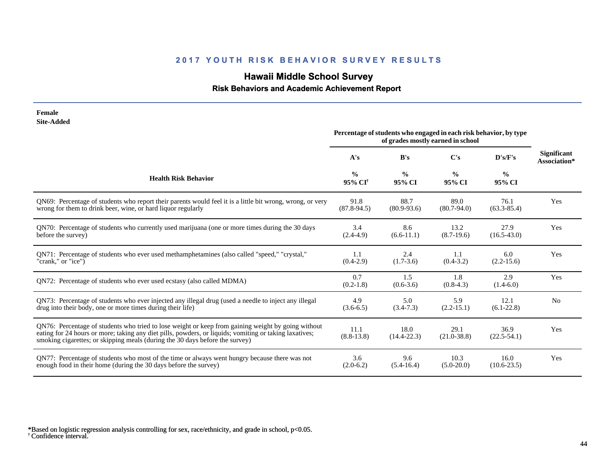# **Hawaii Middle School Survey**

### **Risk Behaviors and Academic Achievement Report**

| Female<br><b>Site-Added</b>                                                                                                                                                                                                                                                                  |                                      |                                                                   |                                   |                         |                                    |
|----------------------------------------------------------------------------------------------------------------------------------------------------------------------------------------------------------------------------------------------------------------------------------------------|--------------------------------------|-------------------------------------------------------------------|-----------------------------------|-------------------------|------------------------------------|
|                                                                                                                                                                                                                                                                                              |                                      | Percentage of students who engaged in each risk behavior, by type | of grades mostly earned in school |                         |                                    |
|                                                                                                                                                                                                                                                                                              | A's                                  | B's                                                               | C's                               | D's/F's                 | <b>Significant</b><br>Association* |
| <b>Health Risk Behavior</b>                                                                                                                                                                                                                                                                  | $\frac{0}{0}$<br>95% CI <sup>+</sup> | $\frac{6}{9}$<br>95% CI                                           | $\frac{0}{0}$<br>95% CI           | $\frac{0}{0}$<br>95% CI |                                    |
| QN69: Percentage of students who report their parents would feel it is a little bit wrong, wrong, or very<br>wrong for them to drink beer, wine, or hard liquor regularly                                                                                                                    | 91.8<br>$(87.8-94.5)$                | 88.7<br>$(80.9 - 93.6)$                                           | 89.0<br>$(80.7 - 94.0)$           | 76.1<br>$(63.3 - 85.4)$ | Yes                                |
| QN70: Percentage of students who currently used marijuana (one or more times during the 30 days<br>before the survey)                                                                                                                                                                        | 3.4<br>$(2.4-4.9)$                   | 8.6<br>$(6.6-11.1)$                                               | 13.2<br>$(8.7-19.6)$              | 27.9<br>$(16.5-43.0)$   | Yes                                |
| QN71: Percentage of students who ever used methamphetamines (also called "speed," "crystal,"<br>"crank," or "ice")                                                                                                                                                                           | 1.1<br>$(0.4-2.9)$                   | 2.4<br>$(1.7-3.6)$                                                | 1.1<br>$(0.4 - 3.2)$              | 6.0<br>$(2.2 - 15.6)$   | Yes                                |
| QN72: Percentage of students who ever used ecstasy (also called MDMA)                                                                                                                                                                                                                        | 0.7<br>$(0.2-1.8)$                   | 1.5<br>$(0.6-3.6)$                                                | 1.8<br>$(0.8-4.3)$                | 2.9<br>$(1.4-6.0)$      | Yes                                |
| QN73: Percentage of students who ever injected any illegal drug (used a needle to inject any illegal<br>drug into their body, one or more times during their life)                                                                                                                           | 4.9<br>$(3.6-6.5)$                   | 5.0<br>$(3.4 - 7.3)$                                              | 5.9<br>$(2.2 - 15.1)$             | 12.1<br>$(6.1-22.8)$    | N <sub>0</sub>                     |
| QN76: Percentage of students who tried to lose weight or keep from gaining weight by going without<br>eating for 24 hours or more; taking any diet pills, powders, or liquids; vomiting or taking laxatives;<br>smoking cigarettes; or skipping meals (during the 30 days before the survey) | 11.1<br>$(8.8-13.8)$                 | 18.0<br>$(14.4 - 22.3)$                                           | 29.1<br>$(21.0 - 38.8)$           | 36.9<br>$(22.5 - 54.1)$ | Yes                                |
| QN77: Percentage of students who most of the time or always went hungry because there was not<br>enough food in their home (during the 30 days before the survey)                                                                                                                            | 3.6<br>$(2.0-6.2)$                   | 9.6<br>$(5.4-16.4)$                                               | 10.3<br>$(5.0-20.0)$              | 16.0<br>$(10.6 - 23.5)$ | Yes                                |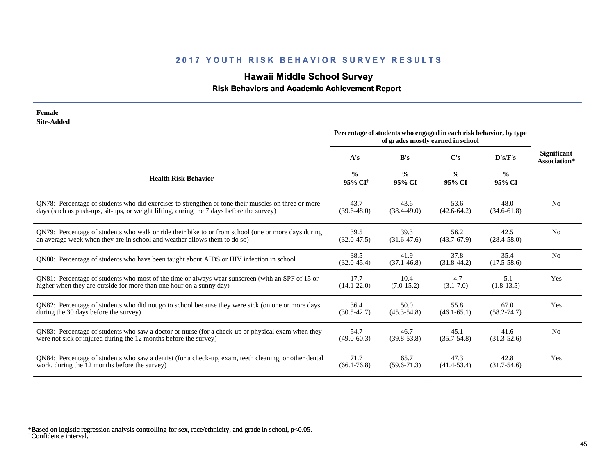# **Hawaii Middle School Survey**

 **Risk Behaviors and Academic Achievement Report**

| Female<br><b>Site-Added</b>                                                                           | Percentage of students who engaged in each risk behavior, by type<br>of grades mostly earned in school |                         |                         |                         |                                    |
|-------------------------------------------------------------------------------------------------------|--------------------------------------------------------------------------------------------------------|-------------------------|-------------------------|-------------------------|------------------------------------|
|                                                                                                       | A's                                                                                                    | B's                     | C's                     | D's/F's                 | <b>Significant</b><br>Association* |
| <b>Health Risk Behavior</b>                                                                           | $\frac{0}{0}$<br>95% CI <sup>+</sup>                                                                   | $\frac{6}{9}$<br>95% CI | $\frac{6}{6}$<br>95% CI | $\frac{6}{6}$<br>95% CI |                                    |
| QN78: Percentage of students who did exercises to strengthen or tone their muscles on three or more   | 43.7                                                                                                   | 43.6                    | 53.6                    | 48.0                    | N <sub>0</sub>                     |
| days (such as push-ups, sit-ups, or weight lifting, during the 7 days before the survey)              | $(39.6 - 48.0)$                                                                                        | $(38.4 - 49.0)$         | $(42.6 - 64.2)$         | $(34.6 - 61.8)$         |                                    |
| QN79: Percentage of students who walk or ride their bike to or from school (one or more days during   | 39.5                                                                                                   | 39.3                    | 56.2                    | 42.5                    | N <sub>0</sub>                     |
| an average week when they are in school and weather allows them to do so)                             | $(32.0 - 47.5)$                                                                                        | $(31.6 - 47.6)$         | $(43.7 - 67.9)$         | $(28.4 - 58.0)$         |                                    |
| QN80: Percentage of students who have been taught about AIDS or HIV infection in school               | 38.5<br>$(32.0 - 45.4)$                                                                                | 41.9<br>$(37.1 - 46.8)$ | 37.8<br>$(31.8-44.2)$   | 35.4<br>$(17.5 - 58.6)$ | N <sub>o</sub>                     |
| QN81: Percentage of students who most of the time or always wear sunscreen (with an SPF of 15 or      | 17.7                                                                                                   | 10.4                    | 4.7                     | 5.1                     | Yes                                |
| higher when they are outside for more than one hour on a sunny day)                                   | $(14.1 - 22.0)$                                                                                        | $(7.0-15.2)$            | $(3.1 - 7.0)$           | $(1.8-13.5)$            |                                    |
| QN82: Percentage of students who did not go to school because they were sick (on one or more days     | 36.4                                                                                                   | 50.0                    | 55.8                    | 67.0                    | Yes                                |
| during the 30 days before the survey)                                                                 | $(30.5 - 42.7)$                                                                                        | $(45.3 - 54.8)$         | $(46.1 - 65.1)$         | $(58.2 - 74.7)$         |                                    |
| QN83: Percentage of students who saw a doctor or nurse (for a check-up or physical exam when they     | 54.7                                                                                                   | 46.7                    | 45.1                    | 41.6                    | N <sub>o</sub>                     |
| were not sick or injured during the 12 months before the survey)                                      | $(49.0 - 60.3)$                                                                                        | $(39.8 - 53.8)$         | $(35.7 - 54.8)$         | $(31.3 - 52.6)$         |                                    |
| QN84: Percentage of students who saw a dentist (for a check-up, exam, teeth cleaning, or other dental | 71.7                                                                                                   | 65.7                    | 47.3                    | 42.8                    | Yes                                |
| work, during the 12 months before the survey)                                                         | $(66.1 - 76.8)$                                                                                        | $(59.6 - 71.3)$         | $(41.4 - 53.4)$         | $(31.7 - 54.6)$         |                                    |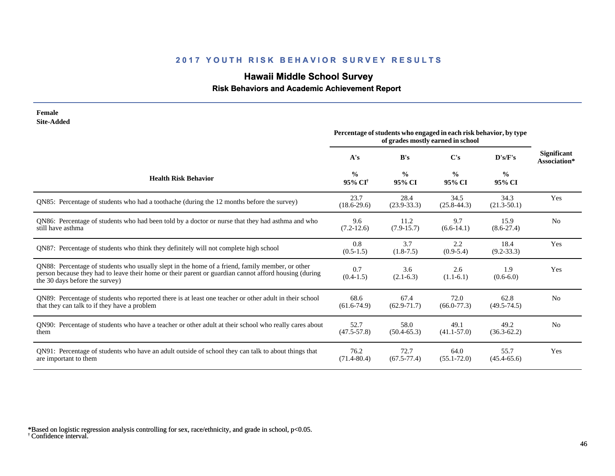# **Hawaii Middle School Survey**

### **Risk Behaviors and Academic Achievement Report**

| Female<br><b>Site-Added</b>                                                                                                                                                                                                                |                                      |                         |                                                                                                        |                         |                                    |
|--------------------------------------------------------------------------------------------------------------------------------------------------------------------------------------------------------------------------------------------|--------------------------------------|-------------------------|--------------------------------------------------------------------------------------------------------|-------------------------|------------------------------------|
|                                                                                                                                                                                                                                            |                                      |                         | Percentage of students who engaged in each risk behavior, by type<br>of grades mostly earned in school |                         |                                    |
|                                                                                                                                                                                                                                            | A's                                  | B's                     | $\bf C's$                                                                                              | D's/F's                 | <b>Significant</b><br>Association* |
| <b>Health Risk Behavior</b>                                                                                                                                                                                                                | $\frac{0}{0}$<br>95% CI <sup>†</sup> | $\frac{0}{0}$<br>95% CI | $\frac{0}{0}$<br>95% CI                                                                                | $\frac{0}{0}$<br>95% CI |                                    |
| QN85: Percentage of students who had a toothache (during the 12 months before the survey)                                                                                                                                                  | 23.7<br>$(18.6 - 29.6)$              | 28.4<br>$(23.9 - 33.3)$ | 34.5<br>$(25.8 - 44.3)$                                                                                | 34.3<br>$(21.3 - 50.1)$ | Yes                                |
| QN86: Percentage of students who had been told by a doctor or nurse that they had asthma and who<br>still have asthma                                                                                                                      | 9.6<br>$(7.2-12.6)$                  | 11.2<br>$(7.9-15.7)$    | 9.7<br>$(6.6-14.1)$                                                                                    | 15.9<br>$(8.6 - 27.4)$  | N <sub>o</sub>                     |
| ON87: Percentage of students who think they definitely will not complete high school                                                                                                                                                       | 0.8<br>$(0.5-1.5)$                   | 3.7<br>$(1.8-7.5)$      | 2.2<br>$(0.9-5.4)$                                                                                     | 18.4<br>$(9.2 - 33.3)$  | Yes                                |
| QN88: Percentage of students who usually slept in the home of a friend, family member, or other<br>person because they had to leave their home or their parent or guardian cannot afford housing (during<br>the 30 days before the survey) | 0.7<br>$(0.4-1.5)$                   | 3.6<br>$(2.1-6.3)$      | 2.6<br>$(1.1-6.1)$                                                                                     | 1.9<br>$(0.6-6.0)$      | Yes                                |
| QN89: Percentage of students who reported there is at least one teacher or other adult in their school<br>that they can talk to if they have a problem                                                                                     | 68.6<br>$(61.6-74.9)$                | 67.4<br>$(62.9 - 71.7)$ | 72.0<br>$(66.0 - 77.3)$                                                                                | 62.8<br>$(49.5 - 74.5)$ | N <sub>0</sub>                     |
| QN90: Percentage of students who have a teacher or other adult at their school who really cares about<br>them                                                                                                                              | 52.7<br>$(47.5 - 57.8)$              | 58.0<br>$(50.4-65.3)$   | 49.1<br>$(41.1 - 57.0)$                                                                                | 49.2<br>$(36.3 - 62.2)$ | N <sub>0</sub>                     |
| QN91: Percentage of students who have an adult outside of school they can talk to about things that<br>are important to them                                                                                                               | 76.2<br>$(71.4 - 80.4)$              | 72.7<br>$(67.5 - 77.4)$ | 64.0<br>$(55.1 - 72.0)$                                                                                | 55.7<br>$(45.4 - 65.6)$ | Yes                                |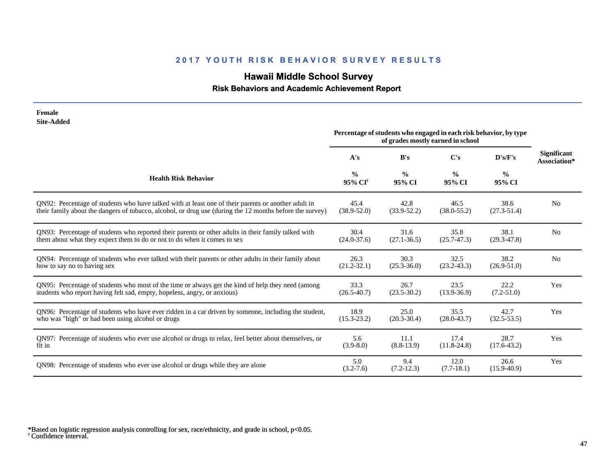# **Hawaii Middle School Survey**

 **Risk Behaviors and Academic Achievement Report**

| Female<br><b>Site-Added</b>                                                                              |                                                                                                        |                         |                         |                         |                                    |
|----------------------------------------------------------------------------------------------------------|--------------------------------------------------------------------------------------------------------|-------------------------|-------------------------|-------------------------|------------------------------------|
|                                                                                                          | Percentage of students who engaged in each risk behavior, by type<br>of grades mostly earned in school |                         |                         |                         |                                    |
|                                                                                                          | A's                                                                                                    | B's                     | $\bf C's$               | D's/F's                 | <b>Significant</b><br>Association* |
| <b>Health Risk Behavior</b>                                                                              | $\frac{0}{0}$<br>95% CI <sup>+</sup>                                                                   | $\frac{0}{0}$<br>95% CI | $\frac{0}{0}$<br>95% CI | $\frac{0}{0}$<br>95% CI |                                    |
| ON92: Percentage of students who have talked with at least one of their parents or another adult in      | 45.4                                                                                                   | 42.8                    | 46.5                    | 38.6                    | No                                 |
| their family about the dangers of tobacco, alcohol, or drug use (during the 12 months before the survey) | $(38.9 - 52.0)$                                                                                        | $(33.9 - 52.2)$         | $(38.0 - 55.2)$         | $(27.3 - 51.4)$         |                                    |
| QN93: Percentage of students who reported their parents or other adults in their family talked with      | 30.4                                                                                                   | 31.6                    | 35.8                    | 38.1                    | N <sub>o</sub>                     |
| them about what they expect them to do or not to do when it comes to sex                                 | $(24.0 - 37.6)$                                                                                        | $(27.1 - 36.5)$         | $(25.7 - 47.3)$         | $(29.3 - 47.8)$         |                                    |
| QN94: Percentage of students who ever talked with their parents or other adults in their family about    | 26.3                                                                                                   | 30.3                    | 32.5                    | 38.2                    | N <sub>o</sub>                     |
| how to say no to having sex                                                                              | $(21.2 - 32.1)$                                                                                        | $(25.3 - 36.0)$         | $(23.2 - 43.3)$         | $(26.9 - 51.0)$         |                                    |
| QN95: Percentage of students who most of the time or always get the kind of help they need (among        | 33.3                                                                                                   | 26.7                    | 23.5                    | 22.2                    | Yes                                |
| students who report having felt sad, empty, hopeless, angry, or anxious)                                 | $(26.5 - 40.7)$                                                                                        | $(23.5 - 30.2)$         | $(13.9 - 36.9)$         | $(7.2 - 51.0)$          |                                    |
| QN96: Percentage of students who have ever ridden in a car driven by someone, including the student,     | 18.9                                                                                                   | 25.0                    | 35.5                    | 42.7                    | Yes                                |
| who was "high" or had been using alcohol or drugs                                                        | $(15.3 - 23.2)$                                                                                        | $(20.3 - 30.4)$         | $(28.0 - 43.7)$         | $(32.5 - 53.5)$         |                                    |
| QN97: Percentage of students who ever use alcohol or drugs to relax, feel better about themselves, or    | 5.6                                                                                                    | 11.1                    | 17.4                    | 28.7                    | Yes                                |
| fit in                                                                                                   | $(3.9 - 8.0)$                                                                                          | $(8.8-13.9)$            | $(11.8 - 24.8)$         | $(17.6 - 43.2)$         |                                    |
| QN98: Percentage of students who ever use alcohol or drugs while they are alone                          | 5.0<br>$(3.2 - 7.6)$                                                                                   | 9.4<br>$(7.2 - 12.3)$   | 12.0<br>$(7.7-18.1)$    | 26.6<br>$(15.9 - 40.9)$ | Yes                                |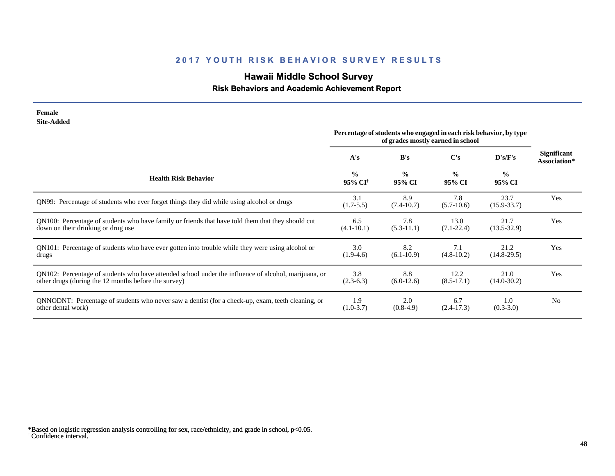# **Hawaii Middle School Survey**

### **Risk Behaviors and Academic Achievement Report**

| Female<br><b>Site-Added</b>                                                                                                                                  |                                      |                                                                                                        |                         |                         |                                    |
|--------------------------------------------------------------------------------------------------------------------------------------------------------------|--------------------------------------|--------------------------------------------------------------------------------------------------------|-------------------------|-------------------------|------------------------------------|
|                                                                                                                                                              |                                      | Percentage of students who engaged in each risk behavior, by type<br>of grades mostly earned in school |                         |                         |                                    |
|                                                                                                                                                              | A's                                  | B's                                                                                                    | C's                     | D's/F's                 | <b>Significant</b><br>Association* |
| <b>Health Risk Behavior</b>                                                                                                                                  | $\frac{0}{0}$<br>95% CI <sup>†</sup> | $\frac{0}{0}$<br>95% CI                                                                                | $\frac{0}{0}$<br>95% CI | $\frac{0}{0}$<br>95% CI |                                    |
| QN99: Percentage of students who ever forget things they did while using alcohol or drugs                                                                    | 3.1<br>$(1.7-5.5)$                   | 8.9<br>$(7.4-10.7)$                                                                                    | 7.8<br>$(5.7-10.6)$     | 23.7<br>$(15.9 - 33.7)$ | Yes                                |
| QN100: Percentage of students who have family or friends that have told them that they should cut<br>down on their drinking or drug use                      | 6.5<br>$(4.1 - 10.1)$                | 7.8<br>$(5.3-11.1)$                                                                                    | 13.0<br>$(7.1 - 22.4)$  | 21.7<br>$(13.5 - 32.9)$ | Yes                                |
| QN101: Percentage of students who have ever gotten into trouble while they were using alcohol or<br>drugs                                                    | 3.0<br>$(1.9-4.6)$                   | 8.2<br>$(6.1-10.9)$                                                                                    | 7.1<br>$(4.8-10.2)$     | 21.2<br>$(14.8-29.5)$   | Yes                                |
| QN102: Percentage of students who have attended school under the influence of alcohol, marijuana, or<br>other drugs (during the 12 months before the survey) | 3.8<br>$(2.3-6.3)$                   | 8.8<br>$(6.0-12.6)$                                                                                    | 12.2<br>$(8.5-17.1)$    | 21.0<br>$(14.0 - 30.2)$ | Yes                                |
| QNNODNT: Percentage of students who never saw a dentist (for a check-up, exam, teeth cleaning, or<br>other dental work)                                      | 1.9<br>$(1.0-3.7)$                   | 2.0<br>$(0.8-4.9)$                                                                                     | 6.7<br>$(2.4-17.3)$     | 1.0<br>$(0.3 - 3.0)$    | N <sub>0</sub>                     |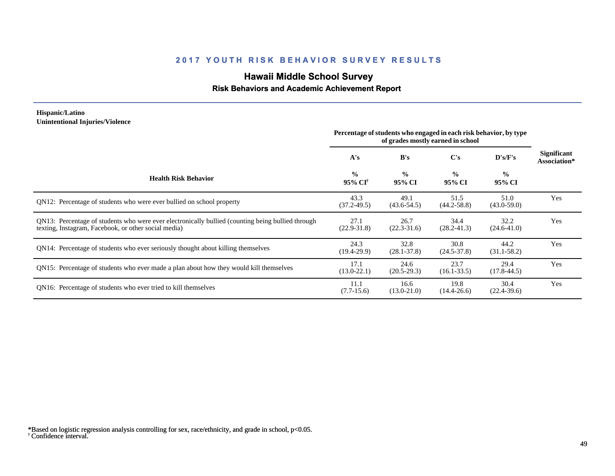# **Hawaii Middle School Survey**

#### **Risk Behaviors and Academic Achievement Report**

#### **Hispanic/Latino Unintentional Injuries/Violence**

|                                                                                                                                                           | Percentage of students who engaged in each risk behavior, by type<br>of grades mostly earned in school |                         |                         |                         |                                    |
|-----------------------------------------------------------------------------------------------------------------------------------------------------------|--------------------------------------------------------------------------------------------------------|-------------------------|-------------------------|-------------------------|------------------------------------|
|                                                                                                                                                           | A's                                                                                                    | B's                     | C's                     | D's/F's                 | <b>Significant</b><br>Association* |
| <b>Health Risk Behavior</b>                                                                                                                               | $\frac{0}{0}$<br>95% CI <sup>+</sup>                                                                   | $\frac{0}{0}$<br>95% CI | $\frac{0}{0}$<br>95% CI | $\frac{0}{0}$<br>95% CI |                                    |
| QN12: Percentage of students who were ever bullied on school property                                                                                     | 43.3<br>$(37.2 - 49.5)$                                                                                | 49.1<br>$(43.6 - 54.5)$ | 51.5<br>$(44.2 - 58.8)$ | 51.0<br>$(43.0 - 59.0)$ | Yes                                |
| QN13: Percentage of students who were ever electronically bullied (counting being bullied through<br>texting, Instagram, Facebook, or other social media) | 27.1<br>$(22.9 - 31.8)$                                                                                | 26.7<br>$(22.3 - 31.6)$ | 34.4<br>$(28.2 - 41.3)$ | 32.2<br>$(24.6 - 41.0)$ | Yes                                |
| QN14: Percentage of students who ever seriously thought about killing themselves                                                                          | 24.3<br>$(19.4-29.9)$                                                                                  | 32.8<br>$(28.1 - 37.8)$ | 30.8<br>$(24.5 - 37.8)$ | 44.2<br>$(31.1 - 58.2)$ | Yes                                |
| QN15: Percentage of students who ever made a plan about how they would kill themselves                                                                    | 17.1<br>$(13.0 - 22.1)$                                                                                | 24.6<br>$(20.5-29.3)$   | 23.7<br>$(16.1 - 33.5)$ | 29.4<br>$(17.8 - 44.5)$ | Yes                                |
| ON <sub>16</sub> : Percentage of students who ever tried to kill themselves                                                                               | 11.1<br>$(7.7-15.6)$                                                                                   | 16.6<br>$(13.0 - 21.0)$ | 19.8<br>$(14.4 - 26.6)$ | 30.4<br>$(22.4 - 39.6)$ | Yes                                |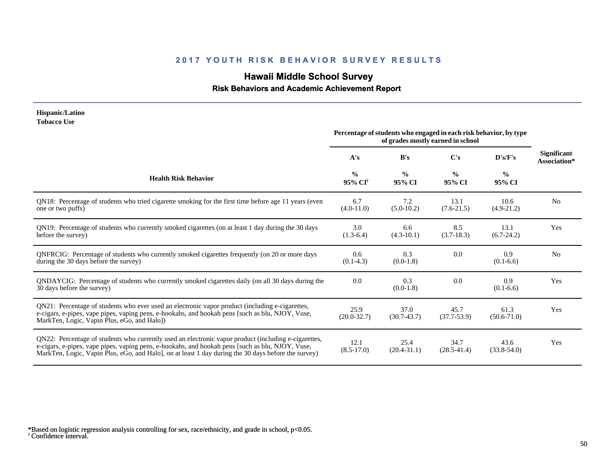# **Hawaii Middle School Survey**

#### **Risk Behaviors and Academic Achievement Report**

#### **Hispanic/Latino Tobacco Use**

|                                                                                                                                                                                                                                                                                                                 | Percentage of students who engaged in each risk behavior, by type<br>of grades mostly earned in school |                         |                         |                         |                                    |
|-----------------------------------------------------------------------------------------------------------------------------------------------------------------------------------------------------------------------------------------------------------------------------------------------------------------|--------------------------------------------------------------------------------------------------------|-------------------------|-------------------------|-------------------------|------------------------------------|
|                                                                                                                                                                                                                                                                                                                 | A's                                                                                                    | B's                     | C's                     | D's/F's                 | <b>Significant</b><br>Association* |
| <b>Health Risk Behavior</b>                                                                                                                                                                                                                                                                                     | $\frac{0}{0}$<br>95% CI <sup>†</sup>                                                                   | $\frac{0}{0}$<br>95% CI | $\frac{0}{0}$<br>95% CI | $\frac{6}{6}$<br>95% CI |                                    |
| QN18: Percentage of students who tried cigarette smoking for the first time before age 11 years (even<br>one or two puffs)                                                                                                                                                                                      | 6.7<br>$(4.0-11.0)$                                                                                    | 7.2<br>$(5.0-10.2)$     | 13.1<br>$(7.6-21.5)$    | 10.6<br>$(4.9-21.2)$    | N <sub>0</sub>                     |
| QN19: Percentage of students who currently smoked cigarettes (on at least 1 day during the 30 days<br>before the survey)                                                                                                                                                                                        | 3.0<br>$(1.3-6.4)$                                                                                     | 6.6<br>$(4.3-10.1)$     | 8.5<br>$(3.7-18.3)$     | 13.1<br>$(6.7-24.2)$    | Yes                                |
| QNFRCIG: Percentage of students who currently smoked cigarettes frequently (on 20 or more days<br>during the 30 days before the survey)                                                                                                                                                                         | 0.6<br>$(0.1-4.3)$                                                                                     | 0.3<br>$(0.0-1.8)$      | 0.0                     | 0.9<br>$(0.1-6.6)$      | N <sub>0</sub>                     |
| QNDAYCIG: Percentage of students who currently smoked cigarettes daily (on all 30 days during the<br>30 days before the survey)                                                                                                                                                                                 | 0.0                                                                                                    | 0.3<br>$(0.0-1.8)$      | 0.0                     | 0.9<br>$(0.1-6.6)$      | Yes                                |
| QN21: Percentage of students who ever used an electronic vapor product (including e-cigarettes,<br>e-cigars, e-pipes, vape pipes, vaping pens, e-hookahs, and hookah pens [such as blu, NJOY, Vuse,<br>MarkTen, Logic, Vapin Plus, eGo, and Halo])                                                              | 25.9<br>$(20.0-32.7)$                                                                                  | 37.0<br>$(30.7 - 43.7)$ | 45.7<br>$(37.7 - 53.9)$ | 61.3<br>$(50.6 - 71.0)$ | Yes                                |
| QN22: Percentage of students who currently used an electronic vapor product (including e-cigarettes,<br>e-cigars, e-pipes, vape pipes, vaping pens, e-hookahs, and hookah pens [such as blu, NJOY, Vuse,<br>MarkTen, Logic, Vapin Plus, eGo, and Halo], on at least 1 day during the 30 days before the survey) | 12.1<br>$(8.5 - 17.0)$                                                                                 | 25.4<br>$(20.4 - 31.1)$ | 34.7<br>$(28.5 - 41.4)$ | 43.6<br>$(33.8 - 54.0)$ | Yes                                |

<sup>†</sup> Confidence interval. \*Based on logistic regression analysis controlling for sex, race/ethnicity, and grade in school, p<0.05.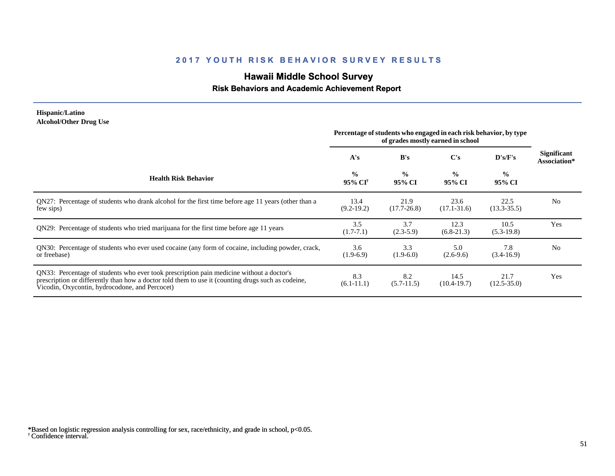# **Hawaii Middle School Survey**

#### **Risk Behaviors and Academic Achievement Report**

#### **Hispanic/Latino Alcohol/Other Drug Use**

|                                                                                                                                                                                                                                                  | Percentage of students who engaged in each risk behavior, by type<br>of grades mostly earned in school |                         |                         |                         |                                    |
|--------------------------------------------------------------------------------------------------------------------------------------------------------------------------------------------------------------------------------------------------|--------------------------------------------------------------------------------------------------------|-------------------------|-------------------------|-------------------------|------------------------------------|
|                                                                                                                                                                                                                                                  | A's                                                                                                    | B's                     | $\bf C's$               | D's/F's                 | <b>Significant</b><br>Association* |
| <b>Health Risk Behavior</b>                                                                                                                                                                                                                      | $\frac{0}{0}$<br>95% CI <sup>†</sup>                                                                   | $\frac{0}{0}$<br>95% CI | $\frac{0}{0}$<br>95% CI | $\frac{0}{0}$<br>95% CI |                                    |
| QN27: Percentage of students who drank alcohol for the first time before age 11 years (other than a<br>few sips)                                                                                                                                 | 13.4<br>$(9.2-19.2)$                                                                                   | 21.9<br>$(17.7 - 26.8)$ | 23.6<br>$(17.1 - 31.6)$ | 22.5<br>$(13.3 - 35.5)$ | N <sub>0</sub>                     |
| QN29: Percentage of students who tried marijuana for the first time before age 11 years                                                                                                                                                          | 3.5<br>$(1.7 - 7.1)$                                                                                   | 3.7<br>$(2.3-5.9)$      | 12.3<br>$(6.8-21.3)$    | 10.5<br>$(5.3-19.8)$    | Yes                                |
| QN30: Percentage of students who ever used cocaine (any form of cocaine, including powder, crack,<br>or freebase)                                                                                                                                | 3.6<br>$(1.9-6.9)$                                                                                     | 3.3<br>$(1.9-6.0)$      | 5.0<br>$(2.6-9.6)$      | 7.8<br>$(3.4-16.9)$     | N <sub>0</sub>                     |
| QN33: Percentage of students who ever took prescription pain medicine without a doctor's<br>prescription or differently than how a doctor told them to use it (counting drugs such as codeine,<br>Vicodin, Oxycontin, hydrocodone, and Percocet) | 8.3<br>$(6.1-11.1)$                                                                                    | 8.2<br>$(5.7-11.5)$     | 14.5<br>$(10.4 - 19.7)$ | 21.7<br>$(12.5 - 35.0)$ | Yes                                |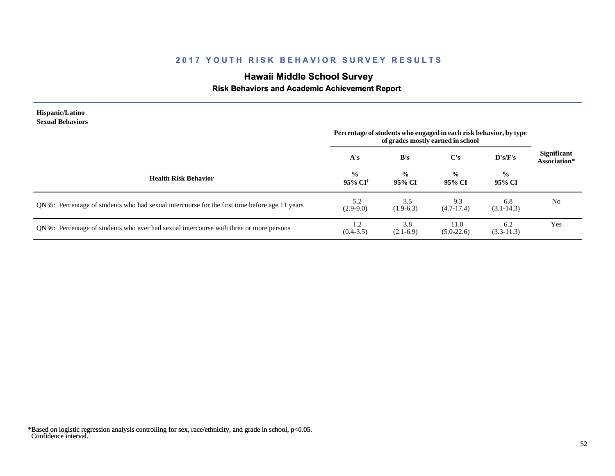# **Hawaii Middle School Survey**

### **Risk Behaviors and Academic Achievement Report**

| Hispanic/Latino<br><b>Sexual Behaviors</b>                                                     | Percentage of students who engaged in each risk behavior, by type<br>of grades mostly earned in school |                         |                         |                         |                                    |
|------------------------------------------------------------------------------------------------|--------------------------------------------------------------------------------------------------------|-------------------------|-------------------------|-------------------------|------------------------------------|
|                                                                                                | A's                                                                                                    | B's                     | $\bf C's$               | D's/F's                 | <b>Significant</b><br>Association* |
| <b>Health Risk Behavior</b>                                                                    | $\frac{0}{0}$<br>$95\%$ CF                                                                             | $\frac{0}{0}$<br>95% CI | $\frac{6}{6}$<br>95% CI | $\frac{0}{0}$<br>95% CI |                                    |
| QN35: Percentage of students who had sexual intercourse for the first time before age 11 years | 5.2<br>$(2.9-9.0)$                                                                                     | 3.5<br>$(1.9-6.3)$      | 9.3<br>$(4.7-17.4)$     | 6.8<br>$(3.1 - 14.3)$   | N <sub>0</sub>                     |
| QN36: Percentage of students who ever had sexual intercourse with three or more persons        | 1.2<br>$(0.4 - 3.5)$                                                                                   | 3.8<br>$(2.1-6.9)$      | 11.0<br>$(5.0-22.6)$    | 6.2<br>$(3.3-11.3)$     | Yes                                |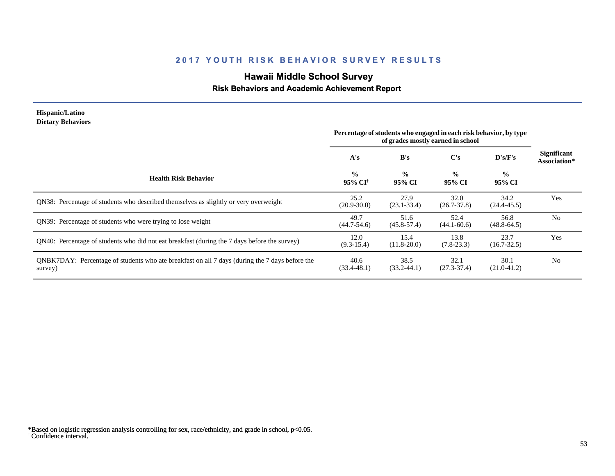# **Hawaii Middle School Survey**

### **Risk Behaviors and Academic Achievement Report**

| Hispanic/Latino<br><b>Dietary Behaviors</b>                                                               | Percentage of students who engaged in each risk behavior, by type<br>of grades mostly earned in school |                         |                          |                         |                                    |
|-----------------------------------------------------------------------------------------------------------|--------------------------------------------------------------------------------------------------------|-------------------------|--------------------------|-------------------------|------------------------------------|
|                                                                                                           | A's                                                                                                    | B's                     | $\bf C's$                | D's/F's                 | <b>Significant</b><br>Association* |
| <b>Health Risk Behavior</b>                                                                               | $\frac{0}{0}$<br>95% CI <sup>+</sup>                                                                   | $\frac{0}{0}$<br>95% CI | $\frac{6}{10}$<br>95% CI | $\frac{0}{0}$<br>95% CI |                                    |
| QN38: Percentage of students who described themselves as slightly or very overweight                      | 25.2<br>$(20.9 - 30.0)$                                                                                | 27.9<br>$(23.1 - 33.4)$ | 32.0<br>$(26.7 - 37.8)$  | 34.2<br>$(24.4 - 45.5)$ | Yes                                |
| QN39: Percentage of students who were trying to lose weight                                               | 49.7<br>$(44.7 - 54.6)$                                                                                | 51.6<br>$(45.8 - 57.4)$ | 52.4<br>$(44.1 - 60.6)$  | 56.8<br>$(48.8 - 64.5)$ | N <sub>0</sub>                     |
| QN40: Percentage of students who did not eat breakfast (during the 7 days before the survey)              | 12.0<br>$(9.3-15.4)$                                                                                   | 15.4<br>$(11.8 - 20.0)$ | 13.8<br>$(7.8-23.3)$     | 23.7<br>$(16.7 - 32.5)$ | Yes                                |
| QNBK7DAY: Percentage of students who ate breakfast on all 7 days (during the 7 days before the<br>survey) | 40.6<br>$(33.4 - 48.1)$                                                                                | 38.5<br>$(33.2 - 44.1)$ | 32.1<br>$(27.3 - 37.4)$  | 30.1<br>$(21.0-41.2)$   | N <sub>0</sub>                     |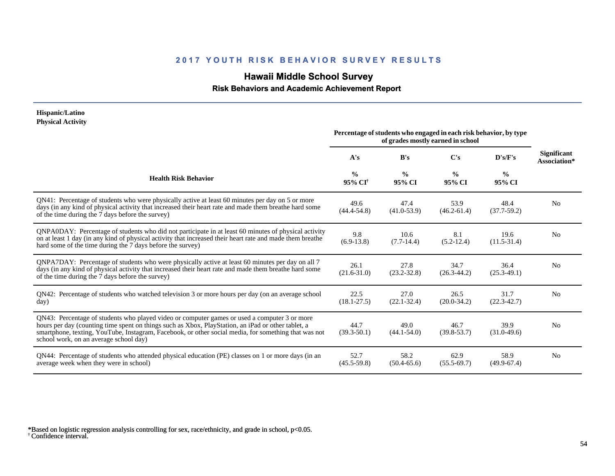# **Hawaii Middle School Survey**

 **Risk Behaviors and Academic Achievement Report**

#### **Hispanic/Latino Physical Activity**

|                                                                                                                                                                                                                                                                                                                                                      | Percentage of students who engaged in each risk behavior, by type<br>of grades mostly earned in school |                         |                         |                         |                                    |
|------------------------------------------------------------------------------------------------------------------------------------------------------------------------------------------------------------------------------------------------------------------------------------------------------------------------------------------------------|--------------------------------------------------------------------------------------------------------|-------------------------|-------------------------|-------------------------|------------------------------------|
|                                                                                                                                                                                                                                                                                                                                                      | A's                                                                                                    | B's                     | C's                     | D's/F's                 | <b>Significant</b><br>Association* |
| <b>Health Risk Behavior</b>                                                                                                                                                                                                                                                                                                                          | $\frac{0}{0}$<br>95% CI <sup>†</sup>                                                                   | $\frac{0}{0}$<br>95% CI | $\frac{0}{0}$<br>95% CI | $\frac{0}{0}$<br>95% CI |                                    |
| QN41: Percentage of students who were physically active at least 60 minutes per day on 5 or more<br>days (in any kind of physical activity that increased their heart rate and made them breathe hard some<br>of the time during the 7 days before the survey)                                                                                       | 49.6<br>$(44.4 - 54.8)$                                                                                | 47.4<br>$(41.0 - 53.9)$ | 53.9<br>$(46.2 - 61.4)$ | 48.4<br>$(37.7-59.2)$   | N <sub>0</sub>                     |
| QNPA0DAY: Percentage of students who did not participate in at least 60 minutes of physical activity<br>on at least 1 day (in any kind of physical activity that increased their heart rate and made them breathe<br>hard some of the time during the 7 days before the survey)                                                                      | 9.8<br>$(6.9-13.8)$                                                                                    | 10.6<br>$(7.7-14.4)$    | 8.1<br>$(5.2-12.4)$     | 19.6<br>$(11.5-31.4)$   | N <sub>0</sub>                     |
| ONPA7DAY: Percentage of students who were physically active at least 60 minutes per day on all 7<br>days (in any kind of physical activity that increased their heart rate and made them breathe hard some<br>of the time during the 7 days before the survey)                                                                                       | 26.1<br>$(21.6 - 31.0)$                                                                                | 27.8<br>$(23.2 - 32.8)$ | 34.7<br>$(26.3 - 44.2)$ | 36.4<br>$(25.3-49.1)$   | N <sub>0</sub>                     |
| QN42: Percentage of students who watched television 3 or more hours per day (on an average school<br>day)                                                                                                                                                                                                                                            | 22.5<br>$(18.1 - 27.5)$                                                                                | 27.0<br>$(22.1 - 32.4)$ | 26.5<br>$(20.0 - 34.2)$ | 31.7<br>$(22.3 - 42.7)$ | N <sub>0</sub>                     |
| QN43: Percentage of students who played video or computer games or used a computer 3 or more<br>hours per day (counting time spent on things such as Xbox, PlayStation, an iPad or other tablet, a<br>smartphone, texting, YouTube, Instagram, Facebook, or other social media, for something that was not<br>school work, on an average school day) | 44.7<br>$(39.3 - 50.1)$                                                                                | 49.0<br>$(44.1 - 54.0)$ | 46.7<br>$(39.8 - 53.7)$ | 39.9<br>$(31.0-49.6)$   | N <sub>0</sub>                     |
| QN44: Percentage of students who attended physical education (PE) classes on 1 or more days (in an<br>average week when they were in school)                                                                                                                                                                                                         | 52.7<br>$(45.5 - 59.8)$                                                                                | 58.2<br>$(50.4 - 65.6)$ | 62.9<br>$(55.5-69.7)$   | 58.9<br>$(49.9-67.4)$   | N <sub>0</sub>                     |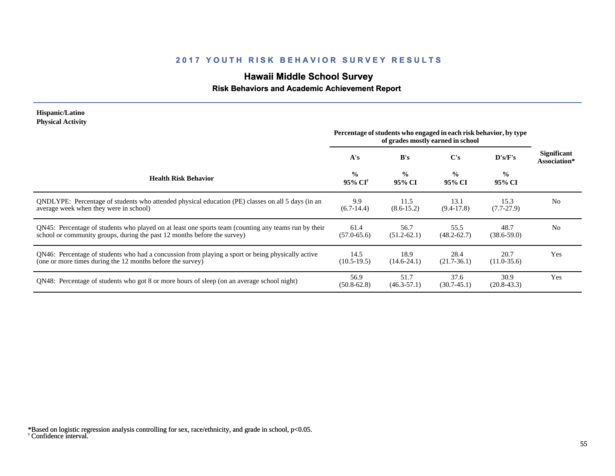# **Hawaii Middle School Survey**

#### **Risk Behaviors and Academic Achievement Report**

#### **Hispanic/Latino Physical Activity**

|                                                                                                                                                                                  | Percentage of students who engaged in each risk behavior, by type<br>of grades mostly earned in school |                         |                         |                         |                                    |
|----------------------------------------------------------------------------------------------------------------------------------------------------------------------------------|--------------------------------------------------------------------------------------------------------|-------------------------|-------------------------|-------------------------|------------------------------------|
|                                                                                                                                                                                  | A's                                                                                                    | B's                     | $\bf C's$               | $\bf{D's/F's}$          | <b>Significant</b><br>Association* |
| <b>Health Risk Behavior</b>                                                                                                                                                      | $\frac{0}{0}$<br>95% CI <sup>†</sup>                                                                   | $\frac{6}{6}$<br>95% CI | $\frac{0}{0}$<br>95% CI | $\frac{6}{9}$<br>95% CI |                                    |
| QNDLYPE: Percentage of students who attended physical education (PE) classes on all 5 days (in an<br>average week when they were in school)                                      | 9.9<br>$(6.7-14.4)$                                                                                    | 11.5<br>$(8.6 - 15.2)$  | 13.1<br>$(9.4-17.8)$    | 15.3<br>$(7.7-27.9)$    | N <sub>o</sub>                     |
| QN45: Percentage of students who played on at least one sports team (counting any teams run by their<br>school or community groups, during the past 12 months before the survey) | 61.4<br>$(57.0 - 65.6)$                                                                                | 56.7<br>$(51.2 - 62.1)$ | 55.5<br>$(48.2 - 62.7)$ | 48.7<br>$(38.6 - 59.0)$ | N <sub>0</sub>                     |
| QN46: Percentage of students who had a concussion from playing a sport or being physically active<br>(one or more times during the 12 months before the survey)                  | 14.5<br>$(10.5-19.5)$                                                                                  | 18.9<br>$(14.6-24.1)$   | 28.4<br>$(21.7-36.1)$   | 20.7<br>$(11.0-35.6)$   | Yes                                |
| QN48: Percentage of students who got 8 or more hours of sleep (on an average school night)                                                                                       | 56.9<br>$(50.8 - 62.8)$                                                                                | 51.7<br>$(46.3 - 57.1)$ | 37.6<br>$(30.7-45.1)$   | 30.9<br>$(20.8 - 43.3)$ | Yes                                |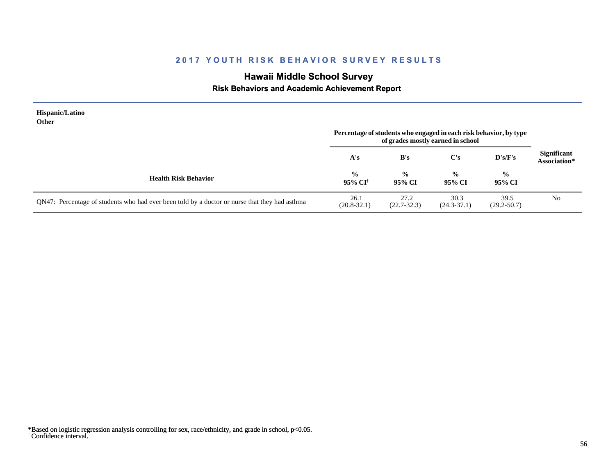# **Hawaii Middle School Survey**

 **Risk Behaviors and Academic Achievement Report**

| Hispanic/Latino<br><b>Other</b>                                                               | Percentage of students who engaged in each risk behavior, by type<br>of grades mostly earned in school |                         |                         |                         |                                    |
|-----------------------------------------------------------------------------------------------|--------------------------------------------------------------------------------------------------------|-------------------------|-------------------------|-------------------------|------------------------------------|
|                                                                                               | A's                                                                                                    | B's                     | $\bf C's$               | D's/F's                 | <b>Significant</b><br>Association* |
| <b>Health Risk Behavior</b>                                                                   | $\frac{0}{0}$<br>95% CI <sup>†</sup>                                                                   | $\frac{0}{0}$<br>95% CI | $\frac{0}{0}$<br>95% CI | $\frac{0}{0}$<br>95% CI |                                    |
| QN47: Percentage of students who had ever been told by a doctor or nurse that they had asthma | 26.1<br>$(20.8 - 32.1)$                                                                                | 27.2<br>$(22.7 - 32.3)$ | 30.3<br>$(24.3 - 37.1)$ | 39.5<br>$(29.2 - 50.7)$ | N <sub>0</sub>                     |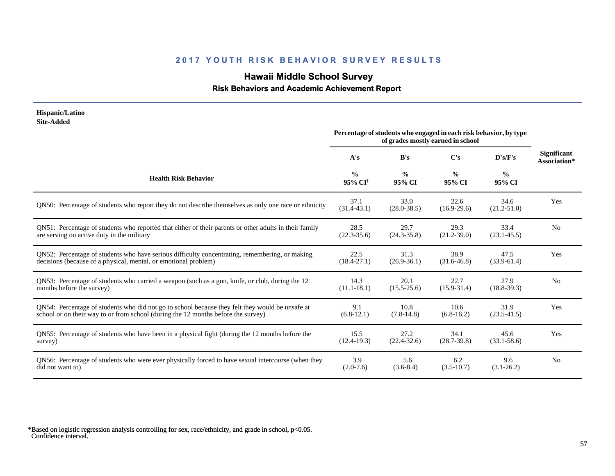# **Hawaii Middle School Survey**

### **Risk Behaviors and Academic Achievement Report**

| Hispanic/Latino<br><b>Site-Added</b>                                                                   |                                      |                                                                   |                                   |                         |                                    |
|--------------------------------------------------------------------------------------------------------|--------------------------------------|-------------------------------------------------------------------|-----------------------------------|-------------------------|------------------------------------|
|                                                                                                        |                                      | Percentage of students who engaged in each risk behavior, by type | of grades mostly earned in school |                         |                                    |
|                                                                                                        | A's                                  | B's                                                               | C's                               | D's/F's                 | <b>Significant</b><br>Association* |
| <b>Health Risk Behavior</b>                                                                            | $\frac{0}{0}$<br>95% CI <sup>+</sup> | $\frac{0}{0}$<br>95% CI                                           | $\frac{0}{0}$<br>95% CI           | $\frac{0}{0}$<br>95% CI |                                    |
| QN50: Percentage of students who report they do not describe themselves as only one race or ethnicity  | 37.1<br>$(31.4 - 43.1)$              | 33.0<br>$(28.0 - 38.5)$                                           | 22.6<br>$(16.9-29.6)$             | 34.6<br>$(21.2 - 51.0)$ | Yes                                |
| QN51: Percentage of students who reported that either of their parents or other adults in their family | 28.5                                 | 29.7                                                              | 29.3                              | 33.4                    | N <sub>0</sub>                     |
| are serving on active duty in the military                                                             | $(22.3 - 35.6)$                      | $(24.3 - 35.8)$                                                   | $(21.2 - 39.0)$                   | $(23.1 - 45.5)$         |                                    |
| QN52: Percentage of students who have serious difficulty concentrating, remembering, or making         | 22.5                                 | 31.3                                                              | 38.9                              | 47.5                    | Yes                                |
| decisions (because of a physical, mental, or emotional problem)                                        | $(18.4 - 27.1)$                      | $(26.9 - 36.1)$                                                   | $(31.6 - 46.8)$                   | $(33.9 - 61.4)$         |                                    |
| QN53: Percentage of students who carried a weapon (such as a gun, knife, or club, during the 12        | 14.3                                 | 20.1                                                              | 22.7                              | 27.9                    | N <sub>0</sub>                     |
| months before the survey)                                                                              | $(11.1 - 18.1)$                      | $(15.5 - 25.6)$                                                   | $(15.9 - 31.4)$                   | $(18.8-39.3)$           |                                    |
| QN54: Percentage of students who did not go to school because they felt they would be unsafe at        | 9.1                                  | 10.8                                                              | 10.6                              | 31.9                    | Yes                                |
| school or on their way to or from school (during the 12 months before the survey)                      | $(6.8-12.1)$                         | $(7.8-14.8)$                                                      | $(6.8-16.2)$                      | $(23.5 - 41.5)$         |                                    |
| QN55: Percentage of students who have been in a physical fight (during the 12 months before the        | 15.5                                 | 27.2                                                              | 34.1                              | 45.6                    | Yes                                |
| survey)                                                                                                | $(12.4-19.3)$                        | $(22.4 - 32.6)$                                                   | $(28.7 - 39.8)$                   | $(33.1 - 58.6)$         |                                    |
| QN56: Percentage of students who were ever physically forced to have sexual intercourse (when they     | 3.9                                  | 5.6                                                               | 6.2                               | 9.6                     | No                                 |
| did not want to)                                                                                       | $(2.0-7.6)$                          | $(3.6-8.4)$                                                       | $(3.5-10.7)$                      | $(3.1 - 26.2)$          |                                    |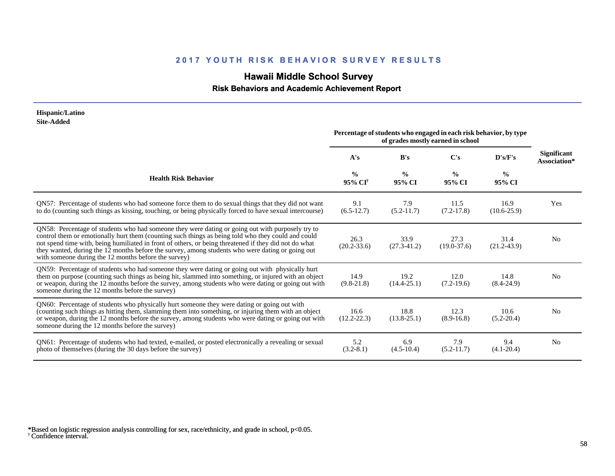# **Hawaii Middle School Survey**

 **Risk Behaviors and Academic Achievement Report**

| Hispanic/Latino<br><b>Site-Added</b>                                                                                                                                                                                                                                                                                                                                                                                                                                        |                                      |                                                                   |                                   |                         |                                    |
|-----------------------------------------------------------------------------------------------------------------------------------------------------------------------------------------------------------------------------------------------------------------------------------------------------------------------------------------------------------------------------------------------------------------------------------------------------------------------------|--------------------------------------|-------------------------------------------------------------------|-----------------------------------|-------------------------|------------------------------------|
|                                                                                                                                                                                                                                                                                                                                                                                                                                                                             |                                      | Percentage of students who engaged in each risk behavior, by type | of grades mostly earned in school |                         |                                    |
|                                                                                                                                                                                                                                                                                                                                                                                                                                                                             | A's                                  | B's                                                               | C's                               | D's/F's                 | <b>Significant</b><br>Association* |
| <b>Health Risk Behavior</b>                                                                                                                                                                                                                                                                                                                                                                                                                                                 | $\frac{0}{0}$<br>95% CI <sup>†</sup> | $\frac{0}{0}$<br>95% CI                                           | $\frac{0}{0}$<br>95% CI           | $\frac{0}{0}$<br>95% CI |                                    |
| QN57: Percentage of students who had someone force them to do sexual things that they did not want<br>to do (counting such things as kissing, touching, or being physically forced to have sexual intercourse)                                                                                                                                                                                                                                                              | 9.1<br>$(6.5-12.7)$                  | 7.9<br>$(5.2-11.7)$                                               | 11.5<br>$(7.2 - 17.8)$            | 16.9<br>$(10.6 - 25.9)$ | Yes                                |
| QN58: Percentage of students who had someone they were dating or going out with purposely try to<br>control them or emotionally hurt them (counting such things as being told who they could and could<br>not spend time with, being humiliated in front of others, or being threatened if they did not do what<br>they wanted, during the 12 months before the survey, among students who were dating or going out<br>with someone during the 12 months before the survey) | 26.3<br>$(20.2 - 33.6)$              | 33.9<br>$(27.3 - 41.2)$                                           | 27.3<br>$(19.0 - 37.6)$           | 31.4<br>$(21.2 - 43.9)$ | N <sub>0</sub>                     |
| QN59: Percentage of students who had someone they were dating or going out with physically hurt<br>them on purpose (counting such things as being hit, slammed into something, or injured with an object<br>or weapon, during the 12 months before the survey, among students who were dating or going out with<br>someone during the 12 months before the survey)                                                                                                          | 14.9<br>$(9.8-21.8)$                 | 19.2<br>$(14.4 - 25.1)$                                           | 12.0<br>$(7.2-19.6)$              | 14.8<br>$(8.4 - 24.9)$  | N <sub>0</sub>                     |
| QN60: Percentage of students who physically hurt someone they were dating or going out with<br>(counting such things as hitting them, slamming them into something, or injuring them with an object<br>or weapon, during the 12 months before the survey, among students who were dating or going out with<br>someone during the 12 months before the survey)                                                                                                               | 16.6<br>$(12.2 - 22.3)$              | 18.8<br>$(13.8 - 25.1)$                                           | 12.3<br>$(8.9 - 16.8)$            | 10.6<br>$(5.2 - 20.4)$  | N <sub>0</sub>                     |
| QN61: Percentage of students who had texted, e-mailed, or posted electronically a revealing or sexual<br>photo of themselves (during the 30 days before the survey)                                                                                                                                                                                                                                                                                                         | 5.2<br>$(3.2 - 8.1)$                 | 6.9<br>$(4.5-10.4)$                                               | 7.9<br>$(5.2-11.7)$               | 9.4<br>$(4.1 - 20.4)$   | N <sub>0</sub>                     |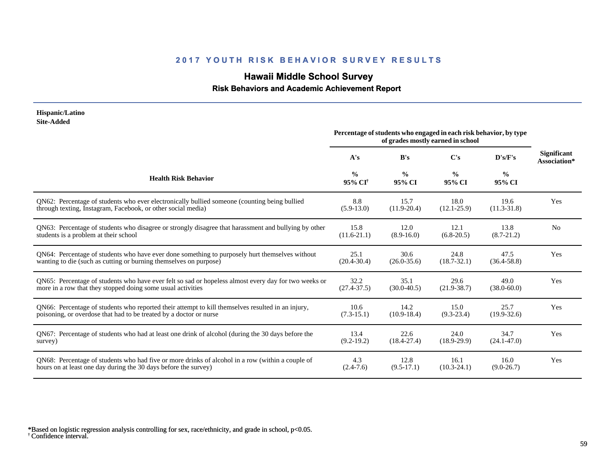# **Hawaii Middle School Survey**

#### **Risk Behaviors and Academic Achievement Report**

#### **Hispanic/Latino Site-Added**

|                                                                                                      | Percentage of students who engaged in each risk behavior, by type<br>of grades mostly earned in school |                         |                         |                         |                                    |
|------------------------------------------------------------------------------------------------------|--------------------------------------------------------------------------------------------------------|-------------------------|-------------------------|-------------------------|------------------------------------|
|                                                                                                      | A's                                                                                                    | B's                     | C's                     | D's/F's                 | <b>Significant</b><br>Association* |
| <b>Health Risk Behavior</b>                                                                          | $\frac{0}{0}$<br>95% CI <sup>†</sup>                                                                   | $\frac{0}{0}$<br>95% CI | $\frac{0}{0}$<br>95% CI | $\frac{0}{0}$<br>95% CI |                                    |
| ON62: Percentage of students who ever electronically bullied someone (counting being bullied         | 8.8                                                                                                    | 15.7                    | 18.0                    | 19.6                    | Yes                                |
| through texting, Instagram, Facebook, or other social media)                                         | $(5.9-13.0)$                                                                                           | $(11.9 - 20.4)$         | $(12.1 - 25.9)$         | $(11.3 - 31.8)$         |                                    |
| QN63: Percentage of students who disagree or strongly disagree that harassment and bullying by other | 15.8                                                                                                   | 12.0                    | 12.1                    | 13.8                    | N <sub>0</sub>                     |
| students is a problem at their school                                                                | $(11.6-21.1)$                                                                                          | $(8.9-16.0)$            | $(6.8-20.5)$            | $(8.7 - 21.2)$          |                                    |
| QN64: Percentage of students who have ever done something to purposely hurt themselves without       | 25.1                                                                                                   | 30.6                    | 24.8                    | 47.5                    | Yes                                |
| wanting to die (such as cutting or burning themselves on purpose)                                    | $(20.4 - 30.4)$                                                                                        | $(26.0 - 35.6)$         | $(18.7 - 32.1)$         | $(36.4 - 58.8)$         |                                    |
| QN65: Percentage of students who have ever felt so sad or hopeless almost every day for two weeks or | 32.2                                                                                                   | 35.1                    | 29.6                    | 49.0                    | Yes                                |
| more in a row that they stopped doing some usual activities                                          | $(27.4 - 37.5)$                                                                                        | $(30.0 - 40.5)$         | $(21.9 - 38.7)$         | $(38.0 - 60.0)$         |                                    |
| QN66: Percentage of students who reported their attempt to kill themselves resulted in an injury,    | 10.6                                                                                                   | 14.2                    | 15.0                    | 25.7                    | Yes                                |
| poisoning, or overdose that had to be treated by a doctor or nurse                                   | $(7.3-15.1)$                                                                                           | $(10.9 - 18.4)$         | $(9.3-23.4)$            | $(19.9 - 32.6)$         |                                    |
| QN67: Percentage of students who had at least one drink of alcohol (during the 30 days before the    | 13.4                                                                                                   | 22.6                    | 24.0                    | 34.7                    | Yes                                |
| survey)                                                                                              | $(9.2 - 19.2)$                                                                                         | $(18.4 - 27.4)$         | $(18.9 - 29.9)$         | $(24.1 - 47.0)$         |                                    |
| QN68: Percentage of students who had five or more drinks of alcohol in a row (within a couple of     | 4.3                                                                                                    | 12.8                    | 16.1                    | 16.0                    | Yes                                |
| hours on at least one day during the 30 days before the survey)                                      | $(2.4 - 7.6)$                                                                                          | $(9.5-17.1)$            | $(10.3 - 24.1)$         | $(9.0-26.7)$            |                                    |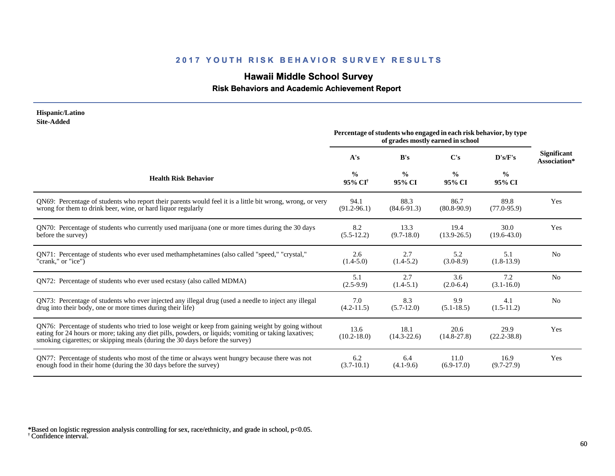# **Hawaii Middle School Survey**

#### **Risk Behaviors and Academic Achievement Report**

#### **Hispanic/Latino Site-Added**

|                                                                                                                                                                                                                                                                                              | Percentage of students who engaged in each risk behavior, by type<br>of grades mostly earned in school |                         |                         |                         |                                    |
|----------------------------------------------------------------------------------------------------------------------------------------------------------------------------------------------------------------------------------------------------------------------------------------------|--------------------------------------------------------------------------------------------------------|-------------------------|-------------------------|-------------------------|------------------------------------|
|                                                                                                                                                                                                                                                                                              | A's                                                                                                    | B's                     | $\bf C's$               | D's/F's                 | <b>Significant</b><br>Association* |
| <b>Health Risk Behavior</b>                                                                                                                                                                                                                                                                  | $\frac{0}{0}$<br>95% CI <sup>+</sup>                                                                   | $\frac{6}{9}$<br>95% CI | $\frac{0}{0}$<br>95% CI | $\frac{0}{0}$<br>95% CI |                                    |
| QN69: Percentage of students who report their parents would feel it is a little bit wrong, wrong, or very                                                                                                                                                                                    | 94.1                                                                                                   | 88.3                    | 86.7                    | 89.8                    | Yes                                |
| wrong for them to drink beer, wine, or hard liquor regularly                                                                                                                                                                                                                                 | $(91.2 - 96.1)$                                                                                        | $(84.6-91.3)$           | $(80.8-90.9)$           | $(77.0 - 95.9)$         |                                    |
| QN70: Percentage of students who currently used marijuana (one or more times during the 30 days                                                                                                                                                                                              | 8.2                                                                                                    | 13.3                    | 19.4                    | 30.0                    | Yes                                |
| before the survey)                                                                                                                                                                                                                                                                           | $(5.5-12.2)$                                                                                           | $(9.7-18.0)$            | $(13.9 - 26.5)$         | $(19.6 - 43.0)$         |                                    |
| QN71: Percentage of students who ever used methamphetamines (also called "speed," "crystal,"                                                                                                                                                                                                 | 2.6                                                                                                    | 2.7                     | 5.2                     | 5.1                     | N <sub>0</sub>                     |
| "crank," or "ice")                                                                                                                                                                                                                                                                           | $(1.4-5.0)$                                                                                            | $(1.4-5.2)$             | $(3.0-8.9)$             | $(1.8-13.9)$            |                                    |
| QN72: Percentage of students who ever used ecstasy (also called MDMA)                                                                                                                                                                                                                        | 5.1<br>$(2.5-9.9)$                                                                                     | 2.7<br>$(1.4-5.1)$      | 3.6<br>$(2.0-6.4)$      | 7.2<br>$(3.1 - 16.0)$   | N <sub>0</sub>                     |
| QN73: Percentage of students who ever injected any illegal drug (used a needle to inject any illegal                                                                                                                                                                                         | 7.0                                                                                                    | 8.3                     | 9.9                     | 4.1                     | N <sub>0</sub>                     |
| drug into their body, one or more times during their life)                                                                                                                                                                                                                                   | $(4.2 - 11.5)$                                                                                         | $(5.7-12.0)$            | $(5.1 - 18.5)$          | $(1.5-11.2)$            |                                    |
| QN76: Percentage of students who tried to lose weight or keep from gaining weight by going without<br>eating for 24 hours or more; taking any diet pills, powders, or liquids; vomiting or taking laxatives;<br>smoking cigarettes; or skipping meals (during the 30 days before the survey) | 13.6<br>$(10.2 - 18.0)$                                                                                | 18.1<br>$(14.3 - 22.6)$ | 20.6<br>$(14.8 - 27.8)$ | 29.9<br>$(22.2 - 38.8)$ | Yes                                |
| QN77: Percentage of students who most of the time or always went hungry because there was not                                                                                                                                                                                                | 6.2                                                                                                    | 6.4                     | 11.0                    | 16.9                    | Yes                                |
| enough food in their home (during the 30 days before the survey)                                                                                                                                                                                                                             | $(3.7-10.1)$                                                                                           | $(4.1-9.6)$             | $(6.9-17.0)$            | $(9.7-27.9)$            |                                    |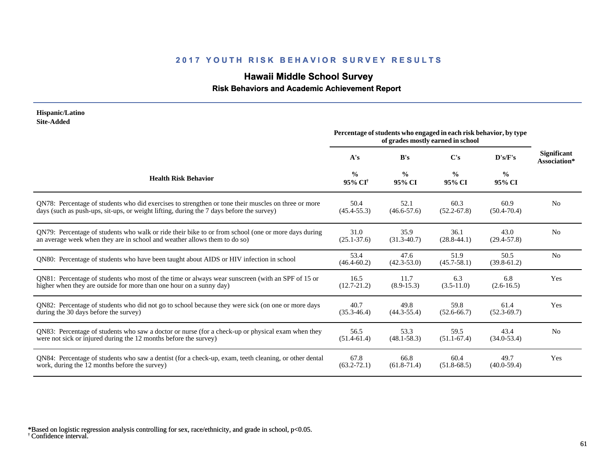# **Hawaii Middle School Survey**

### **Risk Behaviors and Academic Achievement Report**

| Hispanic/Latino<br><b>Site-Added</b>                                                                  |                                      |                         |                                                                                                        |                         |                                    |
|-------------------------------------------------------------------------------------------------------|--------------------------------------|-------------------------|--------------------------------------------------------------------------------------------------------|-------------------------|------------------------------------|
|                                                                                                       |                                      |                         | Percentage of students who engaged in each risk behavior, by type<br>of grades mostly earned in school |                         |                                    |
|                                                                                                       | A's                                  | B's                     | $\bf C's$                                                                                              | $\bf{D's/F's}$          | <b>Significant</b><br>Association* |
| <b>Health Risk Behavior</b>                                                                           | $\frac{0}{0}$<br>95% CI <sup>+</sup> | $\frac{0}{0}$<br>95% CI | $\frac{0}{0}$<br>95% CI                                                                                | $\frac{6}{6}$<br>95% CI |                                    |
| QN78: Percentage of students who did exercises to strengthen or tone their muscles on three or more   | 50.4                                 | 52.1                    | 60.3                                                                                                   | 60.9                    | N <sub>0</sub>                     |
| days (such as push-ups, sit-ups, or weight lifting, during the 7 days before the survey)              | $(45.4 - 55.3)$                      | $(46.6 - 57.6)$         | $(52.2 - 67.8)$                                                                                        | $(50.4 - 70.4)$         |                                    |
| QN79: Percentage of students who walk or ride their bike to or from school (one or more days during   | 31.0                                 | 35.9                    | 36.1                                                                                                   | 43.0                    | N <sub>0</sub>                     |
| an average week when they are in school and weather allows them to do so)                             | $(25.1 - 37.6)$                      | $(31.3-40.7)$           | $(28.8-44.1)$                                                                                          | $(29.4 - 57.8)$         |                                    |
| QN80: Percentage of students who have been taught about AIDS or HIV infection in school               | 53.4<br>$(46.4 - 60.2)$              | 47.6<br>$(42.3 - 53.0)$ | 51.9<br>$(45.7 - 58.1)$                                                                                | 50.5<br>$(39.8-61.2)$   | N <sub>0</sub>                     |
| QN81: Percentage of students who most of the time or always wear sunscreen (with an SPF of 15 or      | 16.5                                 | 11.7                    | 6.3                                                                                                    | 6.8                     | Yes                                |
| higher when they are outside for more than one hour on a sunny day)                                   | $(12.7 - 21.2)$                      | $(8.9 - 15.3)$          | $(3.5-11.0)$                                                                                           | $(2.6 - 16.5)$          |                                    |
| QN82: Percentage of students who did not go to school because they were sick (on one or more days     | 40.7                                 | 49.8                    | 59.8                                                                                                   | 61.4                    | Yes                                |
| during the 30 days before the survey)                                                                 | $(35.3 - 46.4)$                      | $(44.3 - 55.4)$         | $(52.6 - 66.7)$                                                                                        | $(52.3 - 69.7)$         |                                    |
| QN83: Percentage of students who saw a doctor or nurse (for a check-up or physical exam when they     | 56.5                                 | 53.3                    | 59.5                                                                                                   | 43.4                    | N <sub>0</sub>                     |
| were not sick or injured during the 12 months before the survey)                                      | $(51.4-61.4)$                        | $(48.1 - 58.3)$         | $(51.1 - 67.4)$                                                                                        | $(34.0 - 53.4)$         |                                    |
| QN84: Percentage of students who saw a dentist (for a check-up, exam, teeth cleaning, or other dental | 67.8                                 | 66.8                    | 60.4                                                                                                   | 49.7                    | Yes                                |
| work, during the 12 months before the survey)                                                         | $(63.2 - 72.1)$                      | $(61.8-71.4)$           | $(51.8-68.5)$                                                                                          | $(40.0 - 59.4)$         |                                    |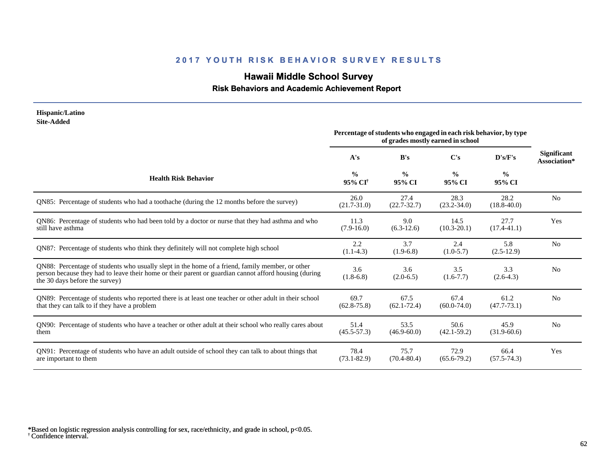# **Hawaii Middle School Survey**

### **Risk Behaviors and Academic Achievement Report**

#### **Hispanic/Latino Site-Added**

|                                                                                                                                                                                                                                            | Percentage of students who engaged in each risk behavior, by type<br>of grades mostly earned in school |                         |                         |                         |                                    |
|--------------------------------------------------------------------------------------------------------------------------------------------------------------------------------------------------------------------------------------------|--------------------------------------------------------------------------------------------------------|-------------------------|-------------------------|-------------------------|------------------------------------|
|                                                                                                                                                                                                                                            | A's                                                                                                    | B's                     | $\bf C's$               | D's/F's                 | <b>Significant</b><br>Association* |
| <b>Health Risk Behavior</b>                                                                                                                                                                                                                | $\frac{0}{0}$<br>95% CI <sup>†</sup>                                                                   | $\frac{0}{0}$<br>95% CI | $\frac{0}{0}$<br>95% CI | $\frac{0}{0}$<br>95% CI |                                    |
| QN85: Percentage of students who had a toothache (during the 12 months before the survey)                                                                                                                                                  | 26.0<br>$(21.7 - 31.0)$                                                                                | 27.4<br>$(22.7 - 32.7)$ | 28.3<br>$(23.2 - 34.0)$ | 28.2<br>$(18.8 - 40.0)$ | N <sub>0</sub>                     |
| QN86: Percentage of students who had been told by a doctor or nurse that they had asthma and who<br>still have asthma                                                                                                                      | 11.3<br>$(7.9-16.0)$                                                                                   | 9.0<br>$(6.3-12.6)$     | 14.5<br>$(10.3 - 20.1)$ | 27.7<br>$(17.4 - 41.1)$ | Yes                                |
| ON87: Percentage of students who think they definitely will not complete high school                                                                                                                                                       | 2.2<br>$(1.1-4.3)$                                                                                     | 3.7<br>$(1.9-6.8)$      | 2.4<br>$(1.0-5.7)$      | 5.8<br>$(2.5-12.9)$     | N <sub>o</sub>                     |
| QN88: Percentage of students who usually slept in the home of a friend, family member, or other<br>person because they had to leave their home or their parent or guardian cannot afford housing (during<br>the 30 days before the survey) | 3.6<br>$(1.8-6.8)$                                                                                     | 3.6<br>$(2.0-6.5)$      | 3.5<br>$(1.6 - 7.7)$    | 3.3<br>$(2.6-4.3)$      | N <sub>0</sub>                     |
| QN89: Percentage of students who reported there is at least one teacher or other adult in their school<br>that they can talk to if they have a problem                                                                                     | 69.7<br>$(62.8 - 75.8)$                                                                                | 67.5<br>$(62.1 - 72.4)$ | 67.4<br>$(60.0 - 74.0)$ | 61.2<br>$(47.7 - 73.1)$ | N <sub>0</sub>                     |
| QN90: Percentage of students who have a teacher or other adult at their school who really cares about<br>them                                                                                                                              | 51.4<br>$(45.5 - 57.3)$                                                                                | 53.5<br>$(46.9 - 60.0)$ | 50.6<br>$(42.1 - 59.2)$ | 45.9<br>$(31.9-60.6)$   | N <sub>0</sub>                     |
| QN91: Percentage of students who have an adult outside of school they can talk to about things that<br>are important to them                                                                                                               | 78.4<br>$(73.1 - 82.9)$                                                                                | 75.7<br>$(70.4 - 80.4)$ | 72.9<br>$(65.6 - 79.2)$ | 66.4<br>$(57.5 - 74.3)$ | Yes                                |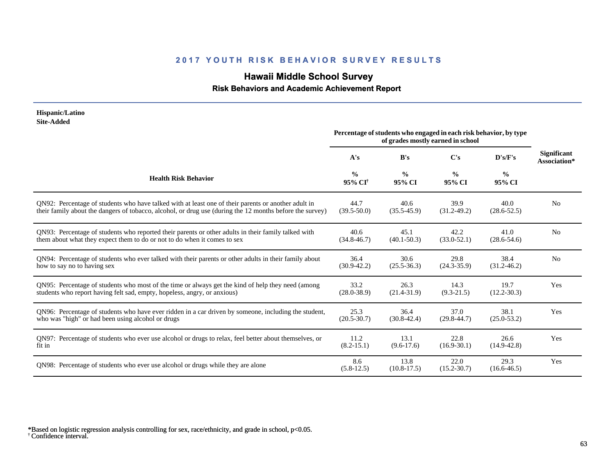# **Hawaii Middle School Survey**

### **Risk Behaviors and Academic Achievement Report**

| Hispanic/Latino<br><b>Site-Added</b>                                                                     |                                      |                                                                   |                                   |                         |                                    |
|----------------------------------------------------------------------------------------------------------|--------------------------------------|-------------------------------------------------------------------|-----------------------------------|-------------------------|------------------------------------|
|                                                                                                          |                                      | Percentage of students who engaged in each risk behavior, by type | of grades mostly earned in school |                         |                                    |
|                                                                                                          | A's                                  | B's                                                               | C's                               | D's/F's                 | <b>Significant</b><br>Association* |
| <b>Health Risk Behavior</b>                                                                              | $\frac{0}{0}$<br>95% CI <sup>†</sup> | $\frac{0}{0}$<br>95% CI                                           | $\frac{0}{0}$<br>95% CI           | $\frac{0}{0}$<br>95% CI |                                    |
| ON92: Percentage of students who have talked with at least one of their parents or another adult in      | 44.7                                 | 40.6                                                              | 39.9                              | 40.0                    | N <sub>0</sub>                     |
| their family about the dangers of tobacco, alcohol, or drug use (during the 12 months before the survey) | $(39.5 - 50.0)$                      | $(35.5 - 45.9)$                                                   | $(31.2 - 49.2)$                   | $(28.6 - 52.5)$         |                                    |
| QN93: Percentage of students who reported their parents or other adults in their family talked with      | 40.6                                 | 45.1                                                              | 42.2                              | 41.0                    | N <sub>o</sub>                     |
| them about what they expect them to do or not to do when it comes to sex                                 | $(34.8 - 46.7)$                      | $(40.1 - 50.3)$                                                   | $(33.0 - 52.1)$                   | $(28.6 - 54.6)$         |                                    |
| QN94: Percentage of students who ever talked with their parents or other adults in their family about    | 36.4                                 | 30.6                                                              | 29.8                              | 38.4                    | N <sub>0</sub>                     |
| how to say no to having sex                                                                              | $(30.9 - 42.2)$                      | $(25.5 - 36.3)$                                                   | $(24.3 - 35.9)$                   | $(31.2 - 46.2)$         |                                    |
| QN95: Percentage of students who most of the time or always get the kind of help they need (among        | 33.2                                 | 26.3                                                              | 14.3                              | 19.7                    | Yes                                |
| students who report having felt sad, empty, hopeless, angry, or anxious)                                 | $(28.0 - 38.9)$                      | $(21.4 - 31.9)$                                                   | $(9.3-21.5)$                      | $(12.2 - 30.3)$         |                                    |
| QN96: Percentage of students who have ever ridden in a car driven by someone, including the student,     | 25.3                                 | 36.4                                                              | 37.0                              | 38.1                    | Yes                                |
| who was "high" or had been using alcohol or drugs                                                        | $(20.5 - 30.7)$                      | $(30.8 - 42.4)$                                                   | $(29.8 - 44.7)$                   | $(25.0 - 53.2)$         |                                    |
| QN97: Percentage of students who ever use alcohol or drugs to relax, feel better about themselves, or    | 11.2                                 | 13.1                                                              | 22.8                              | 26.6                    | Yes                                |
| fit in                                                                                                   | $(8.2 - 15.1)$                       | $(9.6 - 17.6)$                                                    | $(16.9 - 30.1)$                   | $(14.9 - 42.8)$         |                                    |
| ON98: Percentage of students who ever use alcohol or drugs while they are alone                          | 8.6<br>$(5.8-12.5)$                  | 13.8<br>$(10.8-17.5)$                                             | 22.0<br>$(15.2 - 30.7)$           | 29.3<br>$(16.6 - 46.5)$ | Yes                                |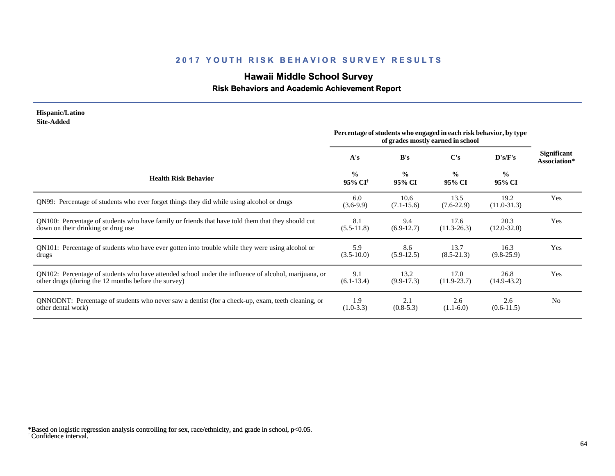# **Hawaii Middle School Survey**

### **Risk Behaviors and Academic Achievement Report**

#### **Hispanic/Latino Site-Added**

|                                                                                                      | Percentage of students who engaged in each risk behavior, by type<br>of grades mostly earned in school |                         |                         |                         |                                    |
|------------------------------------------------------------------------------------------------------|--------------------------------------------------------------------------------------------------------|-------------------------|-------------------------|-------------------------|------------------------------------|
|                                                                                                      | A's                                                                                                    | B's                     | $\bf C's$               | D's/F's                 | <b>Significant</b><br>Association* |
| <b>Health Risk Behavior</b>                                                                          | $\frac{0}{0}$<br>95% CI <sup>†</sup>                                                                   | $\frac{0}{0}$<br>95% CI | $\frac{0}{0}$<br>95% CI | $\frac{0}{0}$<br>95% CI |                                    |
| QN99: Percentage of students who ever forget things they did while using alcohol or drugs            | 6.0<br>$(3.6-9.9)$                                                                                     | 10.6<br>$(7.1 - 15.6)$  | 13.5<br>$(7.6-22.9)$    | 19.2<br>$(11.0-31.3)$   | Yes                                |
| QN100: Percentage of students who have family or friends that have told them that they should cut    | 8.1                                                                                                    | 9.4                     | 17.6                    | 20.3                    | Yes                                |
| down on their drinking or drug use                                                                   | $(5.5-11.8)$                                                                                           | $(6.9-12.7)$            | $(11.3 - 26.3)$         | $(12.0 - 32.0)$         |                                    |
| QN101: Percentage of students who have ever gotten into trouble while they were using alcohol or     | 5.9                                                                                                    | 8.6                     | 13.7                    | 16.3                    | Yes                                |
| drugs                                                                                                | $(3.5-10.0)$                                                                                           | $(5.9-12.5)$            | $(8.5-21.3)$            | $(9.8-25.9)$            |                                    |
| QN102: Percentage of students who have attended school under the influence of alcohol, marijuana, or | 9.1                                                                                                    | 13.2                    | 17.0                    | 26.8                    | Yes                                |
| other drugs (during the 12 months before the survey)                                                 | $(6.1-13.4)$                                                                                           | $(9.9-17.3)$            | $(11.9-23.7)$           | $(14.9 - 43.2)$         |                                    |
| QNNODNT: Percentage of students who never saw a dentist (for a check-up, exam, teeth cleaning, or    | 1.9                                                                                                    | 2.1                     | 2.6                     | 2.6                     | N <sub>0</sub>                     |
| other dental work)                                                                                   | $(1.0-3.3)$                                                                                            | $(0.8-5.3)$             | $(1.1-6.0)$             | $(0.6-11.5)$            |                                    |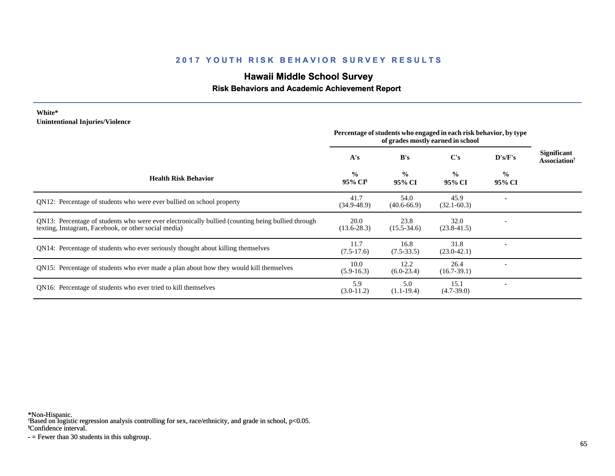# **Hawaii Middle School Survey**

#### **Risk Behaviors and Academic Achievement Report**

#### **White\* Unintentional Injuries/Violence**

|                                                                                                                                                           | Percentage of students who engaged in each risk behavior, by type<br>of grades mostly earned in school |                         |                         |                         |                                                       |
|-----------------------------------------------------------------------------------------------------------------------------------------------------------|--------------------------------------------------------------------------------------------------------|-------------------------|-------------------------|-------------------------|-------------------------------------------------------|
|                                                                                                                                                           | A's                                                                                                    | B's                     | $\bf C's$               | D's/F's                 | <b>Significant</b><br><b>Association</b> <sup>†</sup> |
| <b>Health Risk Behavior</b>                                                                                                                               | $\frac{0}{0}$<br>95% CI <sup>§</sup>                                                                   | $\frac{0}{0}$<br>95% CI | $\frac{0}{0}$<br>95% CI | $\frac{0}{0}$<br>95% CI |                                                       |
| QN12: Percentage of students who were ever bullied on school property                                                                                     | 41.7<br>$(34.9 - 48.9)$                                                                                | 54.0<br>$(40.6 - 66.9)$ | 45.9<br>$(32.1 - 60.3)$ |                         |                                                       |
| QN13: Percentage of students who were ever electronically bullied (counting being bullied through<br>texting, Instagram, Facebook, or other social media) | 20.0<br>$(13.6 - 28.3)$                                                                                | 23.8<br>$(15.5 - 34.6)$ | 32.0<br>$(23.8 - 41.5)$ |                         |                                                       |
| QN14: Percentage of students who ever seriously thought about killing themselves                                                                          | 11.7<br>$(7.5-17.6)$                                                                                   | 16.8<br>$(7.5-33.5)$    | 31.8<br>$(23.0-42.1)$   |                         |                                                       |
| QN15: Percentage of students who ever made a plan about how they would kill themselves                                                                    | 10.0<br>$(5.9-16.3)$                                                                                   | 12.2<br>$(6.0-23.4)$    | 26.4<br>$(16.7-39.1)$   |                         |                                                       |
| ON <sub>16</sub> : Percentage of students who ever tried to kill themselves                                                                               | 5.9<br>$(3.0-11.2)$                                                                                    | 5.0<br>$(1.1-19.4)$     | 15.1<br>$(4.7-39.0)$    |                         |                                                       |

\*Non-Hispanic.

† Based on logistic regression analysis controlling for sex, race/ethnicity, and grade in school, p<0.05.

§Confidence interval.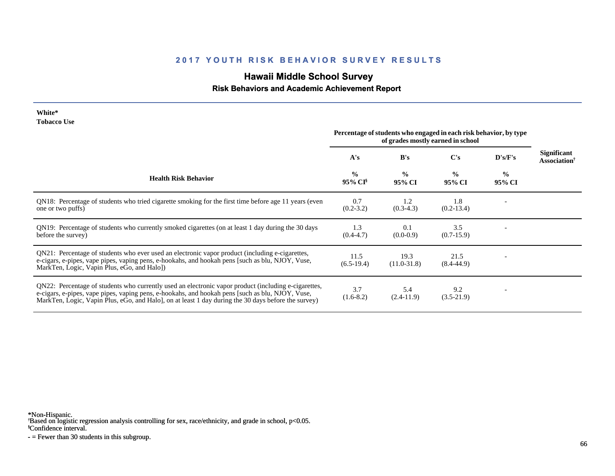# **Hawaii Middle School Survey**

### **Risk Behaviors and Academic Achievement Report**

| White*      |  |
|-------------|--|
| Tobacco Use |  |

| TODUCCO CDC                                                                                                                                                                                                                                                                                                     | Percentage of students who engaged in each risk behavior, by type<br>of grades mostly earned in school |                         |                         |                          |                                                       |
|-----------------------------------------------------------------------------------------------------------------------------------------------------------------------------------------------------------------------------------------------------------------------------------------------------------------|--------------------------------------------------------------------------------------------------------|-------------------------|-------------------------|--------------------------|-------------------------------------------------------|
|                                                                                                                                                                                                                                                                                                                 | A's                                                                                                    | B's                     | $\bf C's$               | D's/F's                  | <b>Significant</b><br><b>Association</b> <sup>†</sup> |
| <b>Health Risk Behavior</b>                                                                                                                                                                                                                                                                                     | $\frac{0}{0}$<br>95% CI <sup>§</sup>                                                                   | $\frac{0}{0}$<br>95% CI | $\frac{0}{0}$<br>95% CI | $\frac{0}{0}$<br>95% CI  |                                                       |
| QN18: Percentage of students who tried cigarette smoking for the first time before age 11 years (even<br>one or two puffs)                                                                                                                                                                                      | 0.7<br>$(0.2 - 3.2)$                                                                                   | 1.2<br>$(0.3-4.3)$      | 1.8<br>$(0.2 - 13.4)$   |                          |                                                       |
| QN19: Percentage of students who currently smoked cigarettes (on at least 1 day during the 30 days<br>before the survey)                                                                                                                                                                                        | 1.3<br>$(0.4 - 4.7)$                                                                                   | 0.1<br>$(0.0-0.9)$      | 3.5<br>$(0.7-15.9)$     |                          |                                                       |
| QN21: Percentage of students who ever used an electronic vapor product (including e-cigarettes,<br>e-cigars, e-pipes, vape pipes, vaping pens, e-hookahs, and hookah pens [such as blu, NJOY, Vuse,<br>MarkTen, Logic, Vapin Plus, eGo, and Halo])                                                              | 11.5<br>$(6.5-19.4)$                                                                                   | 19.3<br>$(11.0-31.8)$   | 21.5<br>$(8.4 - 44.9)$  |                          |                                                       |
| QN22: Percentage of students who currently used an electronic vapor product (including e-cigarettes,<br>e-cigars, e-pipes, vape pipes, vaping pens, e-hookahs, and hookah pens [such as blu, NJOY, Vuse,<br>MarkTen, Logic, Vapin Plus, eGo, and Halo], on at least 1 day during the 30 days before the survey) | 3.7<br>$(1.6-8.2)$                                                                                     | 5.4<br>$(2.4-11.9)$     | 9.2<br>$(3.5-21.9)$     | $\overline{\phantom{a}}$ |                                                       |

\*Non-Hispanic.

† Based on logistic regression analysis controlling for sex, race/ethnicity, and grade in school, p<0.05.

§Confidence interval.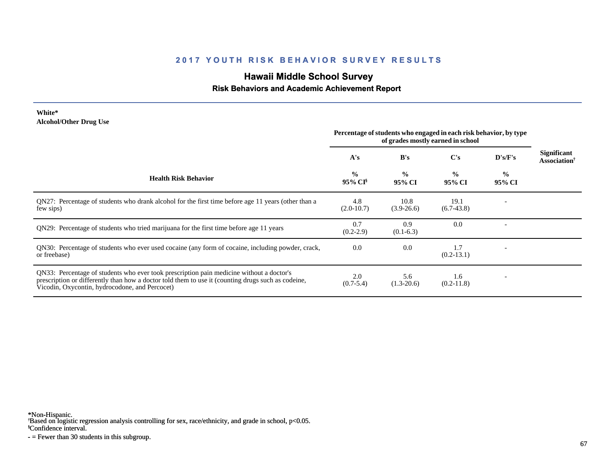### **Hawaii Middle School Survey**

### **Risk Behaviors and Academic Achievement Report**

#### **White\* Alcohol/Other Drug Use**

|                                                                                                                                                                                                                                                  | Percentage of students who engaged in each risk behavior, by type<br>of grades mostly earned in school |                         |                         |                          |                                                       |
|--------------------------------------------------------------------------------------------------------------------------------------------------------------------------------------------------------------------------------------------------|--------------------------------------------------------------------------------------------------------|-------------------------|-------------------------|--------------------------|-------------------------------------------------------|
|                                                                                                                                                                                                                                                  | A's                                                                                                    | B's                     | $\bf C's$               | D's/F's                  | <b>Significant</b><br><b>Association</b> <sup>†</sup> |
| <b>Health Risk Behavior</b>                                                                                                                                                                                                                      | $\frac{0}{0}$<br>95% CI <sup>§</sup>                                                                   | $\frac{0}{0}$<br>95% CI | $\frac{0}{0}$<br>95% CI | $\frac{0}{0}$<br>95% CI  |                                                       |
| QN27: Percentage of students who drank alcohol for the first time before age 11 years (other than a<br>few sips)                                                                                                                                 | 4.8<br>$(2.0-10.7)$                                                                                    | 10.8<br>$(3.9-26.6)$    | 19.1<br>$(6.7-43.8)$    |                          |                                                       |
| QN29: Percentage of students who tried marijuana for the first time before age 11 years                                                                                                                                                          | 0.7<br>$(0.2-2.9)$                                                                                     | 0.9<br>$(0.1-6.3)$      | 0.0                     |                          |                                                       |
| QN30: Percentage of students who ever used cocaine (any form of cocaine, including powder, crack,<br>or freebase)                                                                                                                                | 0.0                                                                                                    | 0.0                     | 1.7<br>$(0.2-13.1)$     | $\overline{\phantom{a}}$ |                                                       |
| QN33: Percentage of students who ever took prescription pain medicine without a doctor's<br>prescription or differently than how a doctor told them to use it (counting drugs such as codeine,<br>Vicodin, Oxycontin, hydrocodone, and Percocet) | 2.0<br>$(0.7 - 5.4)$                                                                                   | 5.6<br>$(1.3-20.6)$     | 1.6<br>$(0.2-11.8)$     | $\overline{\phantom{a}}$ |                                                       |

\*Non-Hispanic.

† Based on logistic regression analysis controlling for sex, race/ethnicity, and grade in school, p<0.05.

§Confidence interval.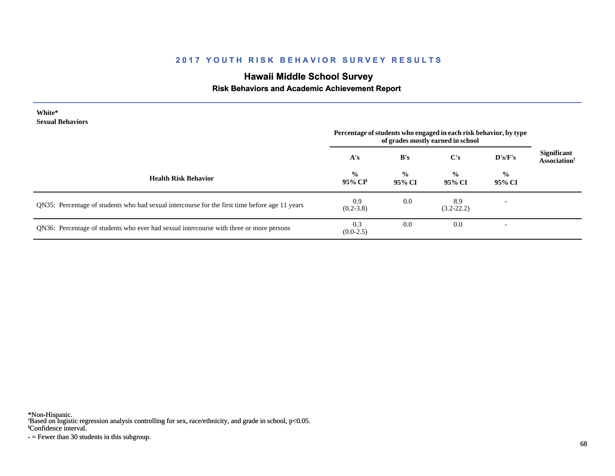# **Hawaii Middle School Survey**

### **Risk Behaviors and Academic Achievement Report**

| White*<br><b>Sexual Behaviors</b>                                                              | Percentage of students who engaged in each risk behavior, by type<br>of grades mostly earned in school |                         |                         |                          |                                                       |
|------------------------------------------------------------------------------------------------|--------------------------------------------------------------------------------------------------------|-------------------------|-------------------------|--------------------------|-------------------------------------------------------|
|                                                                                                | A's                                                                                                    | B's                     | $\bf C's$               | D's/F's                  | <b>Significant</b><br><b>Association</b> <sup>†</sup> |
| <b>Health Risk Behavior</b>                                                                    | $\frac{6}{9}$<br>95% CI <sup>§</sup>                                                                   | $\frac{0}{0}$<br>95% CI | $\frac{0}{0}$<br>95% CI | $\frac{6}{9}$<br>95% CI  |                                                       |
| QN35: Percentage of students who had sexual intercourse for the first time before age 11 years | 0.9<br>$(0.2 - 3.8)$                                                                                   | 0.0                     | 8.9<br>$(3.2 - 22.2)$   | $\overline{\phantom{a}}$ |                                                       |
| QN36: Percentage of students who ever had sexual intercourse with three or more persons        | 0.3<br>$(0.0-2.5)$                                                                                     | 0.0                     | 0.0                     |                          |                                                       |

\*Non-Hispanic.

† Based on logistic regression analysis controlling for sex, race/ethnicity, and grade in school, p<0.05.

§Confidence interval.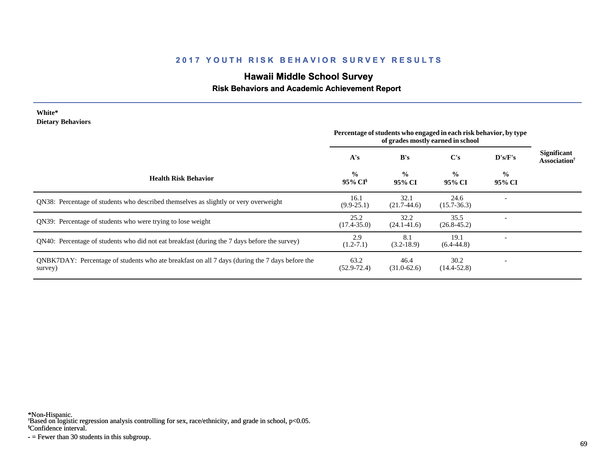# **Hawaii Middle School Survey**

### **Risk Behaviors and Academic Achievement Report**

| White*<br><b>Dietary Behaviors</b>                                                                        |                                                                         |                         | Percentage of students who engaged in each risk behavior, by type |                         |                      |
|-----------------------------------------------------------------------------------------------------------|-------------------------------------------------------------------------|-------------------------|-------------------------------------------------------------------|-------------------------|----------------------|
|                                                                                                           | of grades mostly earned in school<br>$\bf C's$<br>B's<br>D's/F's<br>A's |                         |                                                                   | <b>Significant</b>      |                      |
| <b>Health Risk Behavior</b>                                                                               | $\frac{0}{0}$<br>95% CI <sup>§</sup>                                    | $\frac{0}{0}$<br>95% CI | $\frac{0}{0}$<br>95% CI                                           | $\frac{0}{0}$<br>95% CI | <b>Association</b> † |
| QN38: Percentage of students who described themselves as slightly or very overweight                      | 16.1<br>$(9.9-25.1)$                                                    | 32.1<br>$(21.7-44.6)$   | 24.6<br>$(15.7 - 36.3)$                                           |                         |                      |
| QN39: Percentage of students who were trying to lose weight                                               | 25.2<br>$(17.4 - 35.0)$                                                 | 32.2<br>$(24.1 - 41.6)$ | 35.5<br>$(26.8 - 45.2)$                                           |                         |                      |
| QN40: Percentage of students who did not eat breakfast (during the 7 days before the survey)              | 2.9<br>$(1.2 - 7.1)$                                                    | 8.1<br>$(3.2-18.9)$     | 19.1<br>$(6.4 - 44.8)$                                            |                         |                      |
| QNBK7DAY: Percentage of students who ate breakfast on all 7 days (during the 7 days before the<br>survey) | 63.2<br>$(52.9 - 72.4)$                                                 | 46.4<br>$(31.0-62.6)$   | 30.2<br>$(14.4 - 52.8)$                                           |                         |                      |

\*Non-Hispanic.

† Based on logistic regression analysis controlling for sex, race/ethnicity, and grade in school, p<0.05.

§Confidence interval.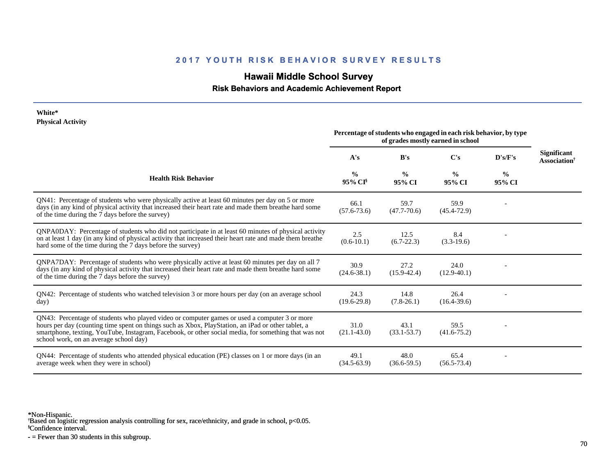# **Hawaii Middle School Survey**

 **Risk Behaviors and Academic Achievement Report**

| White*<br><b>Physical Activity</b>                                                                                                                                                                                                                                                                                                                   |                                                                                                        |                         |                         |                         |                                                       |
|------------------------------------------------------------------------------------------------------------------------------------------------------------------------------------------------------------------------------------------------------------------------------------------------------------------------------------------------------|--------------------------------------------------------------------------------------------------------|-------------------------|-------------------------|-------------------------|-------------------------------------------------------|
|                                                                                                                                                                                                                                                                                                                                                      | Percentage of students who engaged in each risk behavior, by type<br>of grades mostly earned in school |                         |                         |                         |                                                       |
|                                                                                                                                                                                                                                                                                                                                                      | A's                                                                                                    | B's                     | C's                     | D's/F's                 | <b>Significant</b><br><b>Association</b> <sup>†</sup> |
| <b>Health Risk Behavior</b>                                                                                                                                                                                                                                                                                                                          | $\frac{0}{0}$<br>95% CI                                                                                | $\frac{0}{0}$<br>95% CI | $\frac{0}{0}$<br>95% CI | $\frac{0}{0}$<br>95% CI |                                                       |
| QN41: Percentage of students who were physically active at least 60 minutes per day on 5 or more<br>days (in any kind of physical activity that increased their heart rate and made them breathe hard some<br>of the time during the 7 days before the survey)                                                                                       | 66.1<br>$(57.6 - 73.6)$                                                                                | 59.7<br>$(47.7 - 70.6)$ | 59.9<br>$(45.4 - 72.9)$ |                         |                                                       |
| QNPA0DAY: Percentage of students who did not participate in at least 60 minutes of physical activity<br>on at least 1 day (in any kind of physical activity that increased their heart rate and made them breathe<br>hard some of the time during the 7 days before the survey)                                                                      | 2.5<br>$(0.6-10.1)$                                                                                    | 12.5<br>$(6.7 - 22.3)$  | 8.4<br>$(3.3-19.6)$     |                         |                                                       |
| QNPA7DAY: Percentage of students who were physically active at least 60 minutes per day on all 7<br>days (in any kind of physical activity that increased their heart rate and made them breathe hard some<br>of the time during the 7 days before the survey)                                                                                       | 30.9<br>$(24.6 - 38.1)$                                                                                | 27.2<br>$(15.9 - 42.4)$ | 24.0<br>$(12.9-40.1)$   |                         |                                                       |
| QN42: Percentage of students who watched television 3 or more hours per day (on an average school<br>day)                                                                                                                                                                                                                                            | 24.3<br>$(19.6 - 29.8)$                                                                                | 14.8<br>$(7.8-26.1)$    | 26.4<br>$(16.4 - 39.6)$ |                         |                                                       |
| QN43: Percentage of students who played video or computer games or used a computer 3 or more<br>hours per day (counting time spent on things such as Xbox, PlayStation, an iPad or other tablet, a<br>smartphone, texting, YouTube, Instagram, Facebook, or other social media, for something that was not<br>school work, on an average school day) | 31.0<br>$(21.1 - 43.0)$                                                                                | 43.1<br>$(33.1 - 53.7)$ | 59.5<br>$(41.6 - 75.2)$ |                         |                                                       |
| QN44: Percentage of students who attended physical education (PE) classes on 1 or more days (in an<br>average week when they were in school)                                                                                                                                                                                                         | 49.1<br>$(34.5 - 63.9)$                                                                                | 48.0<br>$(36.6 - 59.5)$ | 65.4<br>$(56.5 - 73.4)$ |                         |                                                       |

\*Non-Hispanic.

† Based on logistic regression analysis controlling for sex, race/ethnicity, and grade in school, p<0.05.

§Confidence interval.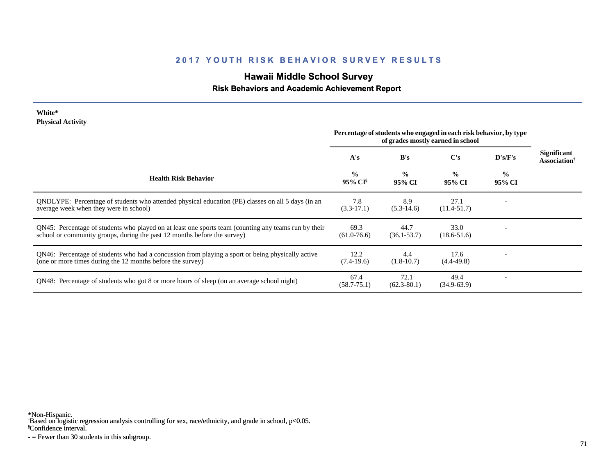# **Hawaii Middle School Survey**

### **Risk Behaviors and Academic Achievement Report**

| White*                   |  |
|--------------------------|--|
| <b>Physical Activity</b> |  |

|                                                                                                                                                                                  | Percentage of students who engaged in each risk behavior, by type<br>of grades mostly earned in school |                         |                         |                         |                                                       |
|----------------------------------------------------------------------------------------------------------------------------------------------------------------------------------|--------------------------------------------------------------------------------------------------------|-------------------------|-------------------------|-------------------------|-------------------------------------------------------|
|                                                                                                                                                                                  | A's                                                                                                    | B's                     | $\bf C's$               | D's/F's                 | <b>Significant</b><br><b>Association</b> <sup>†</sup> |
| <b>Health Risk Behavior</b>                                                                                                                                                      | $\frac{0}{0}$<br>95% CI <sup>§</sup>                                                                   | $\frac{0}{0}$<br>95% CI | $\frac{0}{0}$<br>95% CI | $\frac{6}{9}$<br>95% CI |                                                       |
| ONDLYPE: Percentage of students who attended physical education (PE) classes on all 5 days (in an<br>average week when they were in school)                                      | 7.8<br>$(3.3-17.1)$                                                                                    | 8.9<br>$(5.3-14.6)$     | 27.1<br>$(11.4 - 51.7)$ |                         |                                                       |
| QN45: Percentage of students who played on at least one sports team (counting any teams run by their<br>school or community groups, during the past 12 months before the survey) | 69.3<br>$(61.0 - 76.6)$                                                                                | 44.7<br>$(36.1 - 53.7)$ | 33.0<br>$(18.6 - 51.6)$ |                         |                                                       |
| QN46: Percentage of students who had a concussion from playing a sport or being physically active<br>(one or more times during the 12 months before the survey)                  | 12.2<br>$(7.4-19.6)$                                                                                   | 4.4<br>$(1.8-10.7)$     | 17.6<br>$(4.4 - 49.8)$  |                         |                                                       |
| QN48: Percentage of students who got 8 or more hours of sleep (on an average school night)                                                                                       | 67.4<br>$(58.7 - 75.1)$                                                                                | 72.1<br>$(62.3 - 80.1)$ | 49.4<br>$(34.9 - 63.9)$ |                         |                                                       |

\*Non-Hispanic.

† Based on logistic regression analysis controlling for sex, race/ethnicity, and grade in school, p<0.05.

§Confidence interval.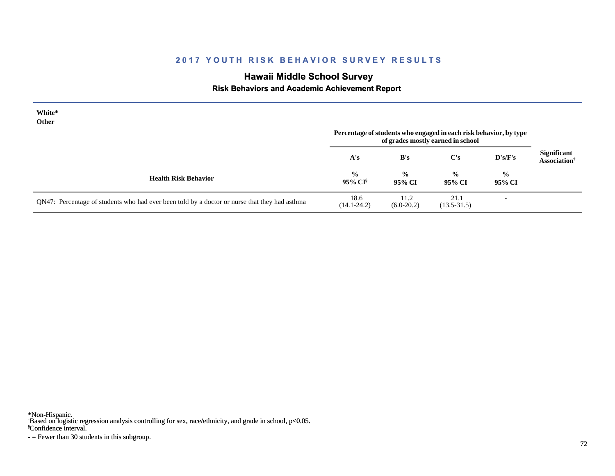# **Hawaii Middle School Survey**

#### **Risk Behaviors and Academic Achievement Report**

| White*<br><b>Other</b>                                                                        | Percentage of students who engaged in each risk behavior, by type<br>of grades mostly earned in school |                         |                         |                          |                                                |
|-----------------------------------------------------------------------------------------------|--------------------------------------------------------------------------------------------------------|-------------------------|-------------------------|--------------------------|------------------------------------------------|
|                                                                                               | A's                                                                                                    | B's                     | $\bf C's$               | $\bf{D's/F's}$           | Significant<br><b>Association</b> <sup>†</sup> |
| <b>Health Risk Behavior</b>                                                                   | $\frac{6}{10}$<br>95% CI <sup>§</sup>                                                                  | $\frac{0}{0}$<br>95% CI | $\frac{0}{0}$<br>95% CI | $\frac{0}{0}$<br>95% CI  |                                                |
| QN47: Percentage of students who had ever been told by a doctor or nurse that they had asthma | 18.6<br>$(14.1 - 24.2)$                                                                                | 11.2<br>$(6.0-20.2)$    | 21.1<br>$(13.5 - 31.5)$ | $\overline{\phantom{0}}$ |                                                |

\*Non-Hispanic.

† Based on logistic regression analysis controlling for sex, race/ethnicity, and grade in school, p<0.05.

§Confidence interval.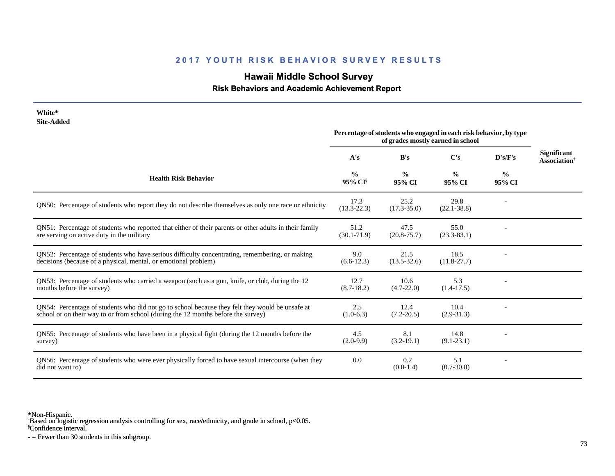# **Hawaii Middle School Survey**

 **Risk Behaviors and Academic Achievement Report**

| White*<br><b>Site-Added</b>                                                                                                                                                          |                                                                                                        |                         |                         |                         |                                                       |
|--------------------------------------------------------------------------------------------------------------------------------------------------------------------------------------|--------------------------------------------------------------------------------------------------------|-------------------------|-------------------------|-------------------------|-------------------------------------------------------|
|                                                                                                                                                                                      | Percentage of students who engaged in each risk behavior, by type<br>of grades mostly earned in school |                         |                         |                         |                                                       |
|                                                                                                                                                                                      | A's                                                                                                    | B's                     | C's                     | D's/F's                 | <b>Significant</b><br><b>Association</b> <sup>†</sup> |
| <b>Health Risk Behavior</b>                                                                                                                                                          | $\frac{0}{0}$<br>95% CI                                                                                | $\frac{0}{0}$<br>95% CI | $\frac{0}{0}$<br>95% CI | $\frac{6}{6}$<br>95% CI |                                                       |
| QN50: Percentage of students who report they do not describe themselves as only one race or ethnicity                                                                                | 17.3<br>$(13.3 - 22.3)$                                                                                | 25.2<br>$(17.3 - 35.0)$ | 29.8<br>$(22.1 - 38.8)$ |                         |                                                       |
| QN51: Percentage of students who reported that either of their parents or other adults in their family<br>are serving on active duty in the military                                 | 51.2<br>$(30.1 - 71.9)$                                                                                | 47.5<br>$(20.8 - 75.7)$ | 55.0<br>$(23.3 - 83.1)$ |                         |                                                       |
| QN52: Percentage of students who have serious difficulty concentrating, remembering, or making<br>decisions (because of a physical, mental, or emotional problem)                    | 9.0<br>$(6.6-12.3)$                                                                                    | 21.5<br>$(13.5 - 32.6)$ | 18.5<br>$(11.8 - 27.7)$ |                         |                                                       |
| QN53: Percentage of students who carried a weapon (such as a gun, knife, or club, during the 12<br>months before the survey)                                                         | 12.7<br>$(8.7-18.2)$                                                                                   | 10.6<br>$(4.7 - 22.0)$  | 5.3<br>$(1.4-17.5)$     |                         |                                                       |
| QN54: Percentage of students who did not go to school because they felt they would be unsafe at<br>school or on their way to or from school (during the 12 months before the survey) | 2.5<br>$(1.0-6.3)$                                                                                     | 12.4<br>$(7.2 - 20.5)$  | 10.4<br>$(2.9 - 31.3)$  |                         |                                                       |
| QN55: Percentage of students who have been in a physical fight (during the 12 months before the<br>survey)                                                                           | 4.5<br>$(2.0-9.9)$                                                                                     | 8.1<br>$(3.2-19.1)$     | 14.8<br>$(9.1 - 23.1)$  |                         |                                                       |
| QN56: Percentage of students who were ever physically forced to have sexual intercourse (when they<br>did not want to)                                                               | 0.0                                                                                                    | 0.2<br>$(0.0-1.4)$      | 5.1<br>$(0.7 - 30.0)$   |                         |                                                       |

\*Non-Hispanic.

† Based on logistic regression analysis controlling for sex, race/ethnicity, and grade in school, p<0.05.

§Confidence interval.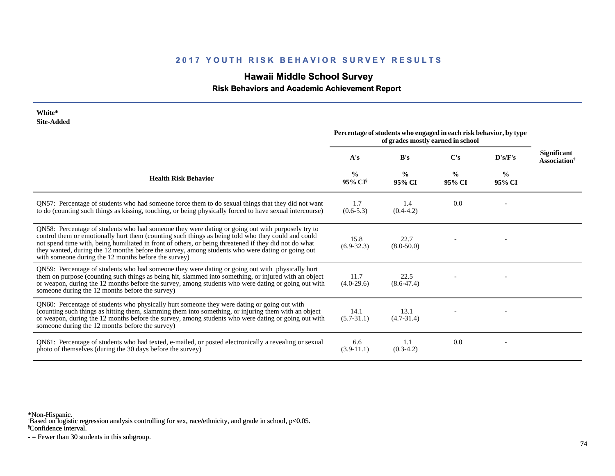# **Hawaii Middle School Survey**

 **Risk Behaviors and Academic Achievement Report**

| White*<br><b>Site-Added</b>                                                                                                                                                                                                                                                                                                                                                                                                                                                 |                                                                                                        |                         |                         |                         |                                                       |
|-----------------------------------------------------------------------------------------------------------------------------------------------------------------------------------------------------------------------------------------------------------------------------------------------------------------------------------------------------------------------------------------------------------------------------------------------------------------------------|--------------------------------------------------------------------------------------------------------|-------------------------|-------------------------|-------------------------|-------------------------------------------------------|
|                                                                                                                                                                                                                                                                                                                                                                                                                                                                             | Percentage of students who engaged in each risk behavior, by type<br>of grades mostly earned in school |                         |                         |                         |                                                       |
|                                                                                                                                                                                                                                                                                                                                                                                                                                                                             | A's                                                                                                    | B's                     | C's                     | D's/F's                 | <b>Significant</b><br><b>Association</b> <sup>†</sup> |
| <b>Health Risk Behavior</b>                                                                                                                                                                                                                                                                                                                                                                                                                                                 | $\frac{0}{0}$<br>95% CI                                                                                | $\frac{0}{0}$<br>95% CI | $\frac{0}{0}$<br>95% CI | $\frac{0}{0}$<br>95% CI |                                                       |
| ON57: Percentage of students who had someone force them to do sexual things that they did not want<br>to do (counting such things as kissing, touching, or being physically forced to have sexual intercourse)                                                                                                                                                                                                                                                              | 1.7<br>$(0.6 - 5.3)$                                                                                   | 1.4<br>$(0.4-4.2)$      | 0.0                     |                         |                                                       |
| QN58: Percentage of students who had someone they were dating or going out with purposely try to<br>control them or emotionally hurt them (counting such things as being told who they could and could<br>not spend time with, being humiliated in front of others, or being threatened if they did not do what<br>they wanted, during the 12 months before the survey, among students who were dating or going out<br>with someone during the 12 months before the survey) | 15.8<br>$(6.9 - 32.3)$                                                                                 | 22.7<br>$(8.0 - 50.0)$  |                         |                         |                                                       |
| QN59: Percentage of students who had someone they were dating or going out with physically hurt<br>them on purpose (counting such things as being hit, slammed into something, or injured with an object<br>or weapon, during the 12 months before the survey, among students who were dating or going out with<br>someone during the 12 months before the survey)                                                                                                          | 11.7<br>$(4.0-29.6)$                                                                                   | 22.5<br>$(8.6 - 47.4)$  |                         |                         |                                                       |
| QN60: Percentage of students who physically hurt someone they were dating or going out with<br>(counting such things as hitting them, slamming them into something, or injuring them with an object<br>or weapon, during the 12 months before the survey, among students who were dating or going out with<br>someone during the 12 months before the survey)                                                                                                               | 14.1<br>$(5.7 - 31.1)$                                                                                 | 13.1<br>$(4.7 - 31.4)$  |                         |                         |                                                       |
| QN61: Percentage of students who had texted, e-mailed, or posted electronically a revealing or sexual<br>photo of themselves (during the 30 days before the survey)                                                                                                                                                                                                                                                                                                         | 6.6<br>$(3.9-11.1)$                                                                                    | 1.1<br>$(0.3-4.2)$      | 0.0                     |                         |                                                       |

\*Non-Hispanic.

† Based on logistic regression analysis controlling for sex, race/ethnicity, and grade in school, p<0.05.

§Confidence interval.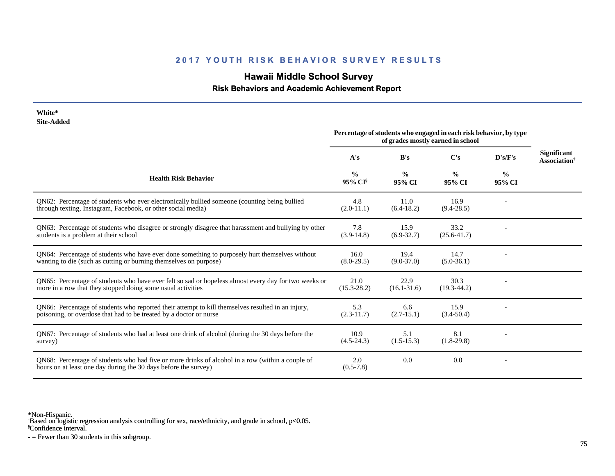# **Hawaii Middle School Survey**

### **Risk Behaviors and Academic Achievement Report**

| White*<br><b>Site-Added</b>                                                                                                                                             | Percentage of students who engaged in each risk behavior, by type<br>of grades mostly earned in school |                         |                         |                         |                                                       |
|-------------------------------------------------------------------------------------------------------------------------------------------------------------------------|--------------------------------------------------------------------------------------------------------|-------------------------|-------------------------|-------------------------|-------------------------------------------------------|
|                                                                                                                                                                         | A's                                                                                                    | B's                     | C's                     | D's/F's                 | <b>Significant</b><br><b>Association</b> <sup>†</sup> |
| <b>Health Risk Behavior</b>                                                                                                                                             | $\frac{0}{0}$<br>95% CI <sup>§</sup>                                                                   | $\frac{0}{0}$<br>95% CI | $\frac{0}{0}$<br>95% CI | $\frac{6}{9}$<br>95% CI |                                                       |
| QN62: Percentage of students who ever electronically bullied someone (counting being bullied<br>through texting, Instagram, Facebook, or other social media)            | 4.8<br>$(2.0-11.1)$                                                                                    | 11.0<br>$(6.4-18.2)$    | 16.9<br>$(9.4 - 28.5)$  |                         |                                                       |
| QN63: Percentage of students who disagree or strongly disagree that harassment and bullying by other<br>students is a problem at their school                           | 7.8<br>$(3.9-14.8)$                                                                                    | 15.9<br>$(6.9-32.7)$    | 33.2<br>$(25.6 - 41.7)$ |                         |                                                       |
| QN64: Percentage of students who have ever done something to purposely hurt themselves without<br>wanting to die (such as cutting or burning themselves on purpose)     | 16.0<br>$(8.0-29.5)$                                                                                   | 19.4<br>$(9.0 - 37.0)$  | 14.7<br>$(5.0-36.1)$    |                         |                                                       |
| QN65: Percentage of students who have ever felt so sad or hopeless almost every day for two weeks or<br>more in a row that they stopped doing some usual activities     | 21.0<br>$(15.3 - 28.2)$                                                                                | 22.9<br>$(16.1 - 31.6)$ | 30.3<br>$(19.3 - 44.2)$ |                         |                                                       |
| QN66: Percentage of students who reported their attempt to kill themselves resulted in an injury,<br>poisoning, or overdose that had to be treated by a doctor or nurse | 5.3<br>$(2.3-11.7)$                                                                                    | 6.6<br>$(2.7-15.1)$     | 15.9<br>$(3.4 - 50.4)$  |                         |                                                       |
| QN67: Percentage of students who had at least one drink of alcohol (during the 30 days before the<br>survey)                                                            | 10.9<br>$(4.5-24.3)$                                                                                   | 5.1<br>$(1.5-15.3)$     | 8.1<br>$(1.8-29.8)$     |                         |                                                       |
| QN68: Percentage of students who had five or more drinks of alcohol in a row (within a couple of<br>hours on at least one day during the 30 days before the survey)     | 2.0<br>$(0.5-7.8)$                                                                                     | 0.0                     | 0.0                     |                         |                                                       |

\*Non-Hispanic.

† Based on logistic regression analysis controlling for sex, race/ethnicity, and grade in school, p<0.05.

§Confidence interval.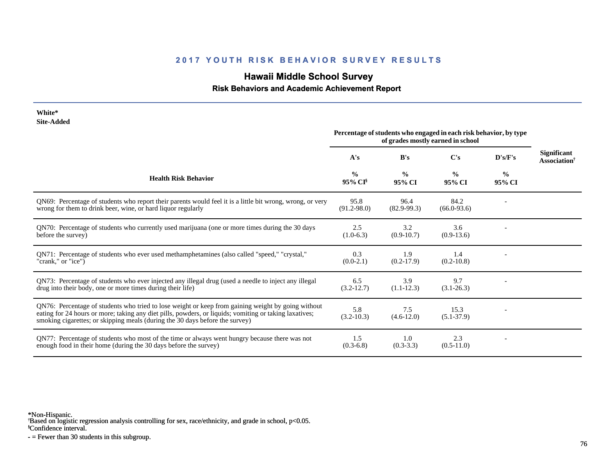# **Hawaii Middle School Survey**

### **Risk Behaviors and Academic Achievement Report**

| White*<br><b>Site-Added</b>                                                                                                                                                                                                                                                                  |                                                                                                        |                         |                         |                         |                                                       |
|----------------------------------------------------------------------------------------------------------------------------------------------------------------------------------------------------------------------------------------------------------------------------------------------|--------------------------------------------------------------------------------------------------------|-------------------------|-------------------------|-------------------------|-------------------------------------------------------|
|                                                                                                                                                                                                                                                                                              | Percentage of students who engaged in each risk behavior, by type<br>of grades mostly earned in school |                         |                         |                         |                                                       |
|                                                                                                                                                                                                                                                                                              | A's                                                                                                    | B's                     | C's                     | D's/F's                 | <b>Significant</b><br><b>Association</b> <sup>†</sup> |
| <b>Health Risk Behavior</b>                                                                                                                                                                                                                                                                  | $\frac{0}{0}$<br>95% CI                                                                                | $\frac{0}{0}$<br>95% CI | $\frac{0}{0}$<br>95% CI | $\frac{0}{0}$<br>95% CI |                                                       |
| QN69: Percentage of students who report their parents would feel it is a little bit wrong, wrong, or very<br>wrong for them to drink beer, wine, or hard liquor regularly                                                                                                                    | 95.8<br>$(91.2 - 98.0)$                                                                                | 96.4<br>$(82.9-99.3)$   | 84.2<br>$(66.0-93.6)$   |                         |                                                       |
| QN70: Percentage of students who currently used marijuana (one or more times during the 30 days<br>before the survey)                                                                                                                                                                        | 2.5<br>$(1.0-6.3)$                                                                                     | 3.2<br>$(0.9-10.7)$     | 3.6<br>$(0.9-13.6)$     |                         |                                                       |
| QN71: Percentage of students who ever used methamphetamines (also called "speed," "crystal,"<br>"crank," or "ice")                                                                                                                                                                           | 0.3<br>$(0.0-2.1)$                                                                                     | 1.9<br>$(0.2-17.9)$     | 1.4<br>$(0.2 - 10.8)$   |                         |                                                       |
| QN73: Percentage of students who ever injected any illegal drug (used a needle to inject any illegal<br>drug into their body, one or more times during their life)                                                                                                                           | 6.5<br>$(3.2 - 12.7)$                                                                                  | 3.9<br>$(1.1-12.3)$     | 9.7<br>$(3.1 - 26.3)$   |                         |                                                       |
| QN76: Percentage of students who tried to lose weight or keep from gaining weight by going without<br>eating for 24 hours or more; taking any diet pills, powders, or liquids; vomiting or taking laxatives;<br>smoking cigarettes; or skipping meals (during the 30 days before the survey) | 5.8<br>$(3.2 - 10.3)$                                                                                  | 7.5<br>$(4.6 - 12.0)$   | 15.3<br>$(5.1 - 37.9)$  |                         |                                                       |
| QN77: Percentage of students who most of the time or always went hungry because there was not<br>enough food in their home (during the 30 days before the survey)                                                                                                                            | 1.5<br>$(0.3-6.8)$                                                                                     | 1.0<br>$(0.3-3.3)$      | 2.3<br>$(0.5-11.0)$     |                         |                                                       |

\*Non-Hispanic.

† Based on logistic regression analysis controlling for sex, race/ethnicity, and grade in school, p<0.05.

§Confidence interval.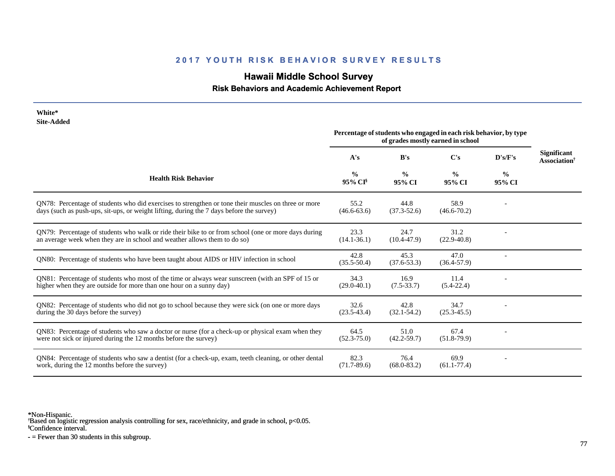# **Hawaii Middle School Survey**

 **Risk Behaviors and Academic Achievement Report**

| White*<br><b>Site-Added</b>                                                                                                                                                                     |                                                                                                        |                         |                         |                         |                                                       |
|-------------------------------------------------------------------------------------------------------------------------------------------------------------------------------------------------|--------------------------------------------------------------------------------------------------------|-------------------------|-------------------------|-------------------------|-------------------------------------------------------|
|                                                                                                                                                                                                 | Percentage of students who engaged in each risk behavior, by type<br>of grades mostly earned in school |                         |                         |                         |                                                       |
|                                                                                                                                                                                                 | A's                                                                                                    | B's                     | C's                     | D's/F's                 | <b>Significant</b><br><b>Association</b> <sup>†</sup> |
| <b>Health Risk Behavior</b>                                                                                                                                                                     | $\frac{0}{0}$<br>95% CI <sup>§</sup>                                                                   | $\frac{0}{0}$<br>95% CI | $\frac{0}{0}$<br>95% CI | $\frac{6}{9}$<br>95% CI |                                                       |
| ON78: Percentage of students who did exercises to strengthen or tone their muscles on three or more<br>days (such as push-ups, sit-ups, or weight lifting, during the 7 days before the survey) | 55.2<br>$(46.6 - 63.6)$                                                                                | 44.8<br>$(37.3 - 52.6)$ | 58.9<br>$(46.6 - 70.2)$ |                         |                                                       |
| QN79: Percentage of students who walk or ride their bike to or from school (one or more days during<br>an average week when they are in school and weather allows them to do so)                | 23.3<br>$(14.1 - 36.1)$                                                                                | 24.7<br>$(10.4 - 47.9)$ | 31.2<br>$(22.9 - 40.8)$ |                         |                                                       |
| QN80: Percentage of students who have been taught about AIDS or HIV infection in school                                                                                                         | 42.8<br>$(35.5 - 50.4)$                                                                                | 45.3<br>$(37.6 - 53.3)$ | 47.0<br>$(36.4 - 57.9)$ |                         |                                                       |
| QN81: Percentage of students who most of the time or always wear sunscreen (with an SPF of 15 or<br>higher when they are outside for more than one hour on a sunny day)                         | 34.3<br>$(29.0 - 40.1)$                                                                                | 16.9<br>$(7.5 - 33.7)$  | 11.4<br>$(5.4 - 22.4)$  |                         |                                                       |
| QN82: Percentage of students who did not go to school because they were sick (on one or more days<br>during the 30 days before the survey)                                                      | 32.6<br>$(23.5 - 43.4)$                                                                                | 42.8<br>$(32.1 - 54.2)$ | 34.7<br>$(25.3 - 45.5)$ |                         |                                                       |
| QN83: Percentage of students who saw a doctor or nurse (for a check-up or physical exam when they<br>were not sick or injured during the 12 months before the survey)                           | 64.5<br>$(52.3 - 75.0)$                                                                                | 51.0<br>$(42.2 - 59.7)$ | 67.4<br>$(51.8-79.9)$   |                         |                                                       |
| QN84: Percentage of students who saw a dentist (for a check-up, exam, teeth cleaning, or other dental<br>work, during the 12 months before the survey)                                          | 82.3<br>$(71.7 - 89.6)$                                                                                | 76.4<br>$(68.0 - 83.2)$ | 69.9<br>$(61.1 - 77.4)$ |                         |                                                       |

\*Non-Hispanic.

† Based on logistic regression analysis controlling for sex, race/ethnicity, and grade in school, p<0.05.

§Confidence interval.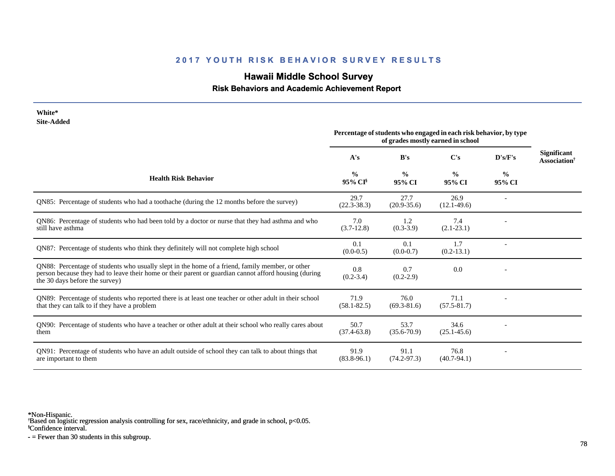# **Hawaii Middle School Survey**

#### **Risk Behaviors and Academic Achievement Report**

| White*<br><b>Site-Added</b>                                                                                                                                                                                                                |                                                                                                        |                         |                         |                         |                                                       |
|--------------------------------------------------------------------------------------------------------------------------------------------------------------------------------------------------------------------------------------------|--------------------------------------------------------------------------------------------------------|-------------------------|-------------------------|-------------------------|-------------------------------------------------------|
|                                                                                                                                                                                                                                            | Percentage of students who engaged in each risk behavior, by type<br>of grades mostly earned in school |                         |                         |                         |                                                       |
|                                                                                                                                                                                                                                            | A's                                                                                                    | B's                     | C's                     | D's/F's                 | <b>Significant</b><br><b>Association</b> <sup>†</sup> |
| <b>Health Risk Behavior</b>                                                                                                                                                                                                                | $\frac{0}{0}$<br>95% CI <sup>§</sup>                                                                   | $\frac{0}{0}$<br>95% CI | $\frac{0}{0}$<br>95% CI | $\frac{0}{0}$<br>95% CI |                                                       |
| QN85: Percentage of students who had a toothache (during the 12 months before the survey)                                                                                                                                                  | 29.7<br>$(22.3 - 38.3)$                                                                                | 27.7<br>$(20.9 - 35.6)$ | 26.9<br>$(12.1 - 49.6)$ |                         |                                                       |
| QN86: Percentage of students who had been told by a doctor or nurse that they had asthma and who<br>still have asthma                                                                                                                      | 7.0<br>$(3.7-12.8)$                                                                                    | 1.2<br>$(0.3-3.9)$      | 7.4<br>$(2.1 - 23.1)$   |                         |                                                       |
| QN87: Percentage of students who think they definitely will not complete high school                                                                                                                                                       | 0.1<br>$(0.0-0.5)$                                                                                     | 0.1<br>$(0.0-0.7)$      | 1.7<br>$(0.2-13.1)$     |                         |                                                       |
| QN88: Percentage of students who usually slept in the home of a friend, family member, or other<br>person because they had to leave their home or their parent or guardian cannot afford housing (during<br>the 30 days before the survey) | 0.8<br>$(0.2 - 3.4)$                                                                                   | 0.7<br>$(0.2 - 2.9)$    | 0.0                     |                         |                                                       |
| QN89: Percentage of students who reported there is at least one teacher or other adult in their school<br>that they can talk to if they have a problem                                                                                     | 71.9<br>$(58.1 - 82.5)$                                                                                | 76.0<br>$(69.3 - 81.6)$ | 71.1<br>$(57.5 - 81.7)$ |                         |                                                       |
| QN90: Percentage of students who have a teacher or other adult at their school who really cares about<br>them                                                                                                                              | 50.7<br>$(37.4 - 63.8)$                                                                                | 53.7<br>$(35.6 - 70.9)$ | 34.6<br>$(25.1 - 45.6)$ |                         |                                                       |
| QN91: Percentage of students who have an adult outside of school they can talk to about things that<br>are important to them                                                                                                               | 91.9<br>$(83.8-96.1)$                                                                                  | 91.1<br>$(74.2 - 97.3)$ | 76.8<br>$(40.7 - 94.1)$ |                         |                                                       |

\*Non-Hispanic.

† Based on logistic regression analysis controlling for sex, race/ethnicity, and grade in school, p<0.05.

§Confidence interval.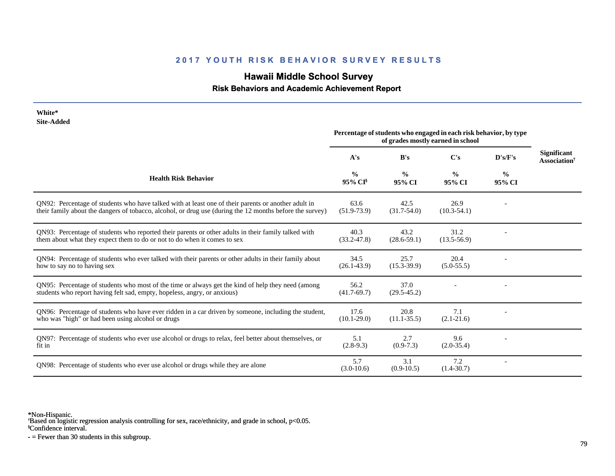# **Hawaii Middle School Survey**

 **Risk Behaviors and Academic Achievement Report**

| White*<br><b>Site-Added</b>                                                                                                                                                                                     |                                                                                                        |                         |                         |                         |                                                       |
|-----------------------------------------------------------------------------------------------------------------------------------------------------------------------------------------------------------------|--------------------------------------------------------------------------------------------------------|-------------------------|-------------------------|-------------------------|-------------------------------------------------------|
|                                                                                                                                                                                                                 | Percentage of students who engaged in each risk behavior, by type<br>of grades mostly earned in school |                         |                         |                         |                                                       |
|                                                                                                                                                                                                                 | A's                                                                                                    | B's                     | $\bf C's$               | D's/F's                 | <b>Significant</b><br><b>Association</b> <sup>†</sup> |
| <b>Health Risk Behavior</b>                                                                                                                                                                                     | $\frac{0}{0}$<br>95% CI <sup>§</sup>                                                                   | $\frac{0}{0}$<br>95% CI | $\frac{0}{0}$<br>95% CI | $\frac{0}{0}$<br>95% CI |                                                       |
| QN92: Percentage of students who have talked with at least one of their parents or another adult in<br>their family about the dangers of tobacco, alcohol, or drug use (during the 12 months before the survey) | 63.6<br>$(51.9 - 73.9)$                                                                                | 42.5<br>$(31.7 - 54.0)$ | 26.9<br>$(10.3 - 54.1)$ |                         |                                                       |
| QN93: Percentage of students who reported their parents or other adults in their family talked with<br>them about what they expect them to do or not to do when it comes to sex                                 | 40.3<br>$(33.2 - 47.8)$                                                                                | 43.2<br>$(28.6 - 59.1)$ | 31.2<br>$(13.5-56.9)$   |                         |                                                       |
| QN94: Percentage of students who ever talked with their parents or other adults in their family about<br>how to say no to having sex                                                                            | 34.5<br>$(26.1 - 43.9)$                                                                                | 25.7<br>$(15.3 - 39.9)$ | 20.4<br>$(5.0 - 55.5)$  |                         |                                                       |
| QN95: Percentage of students who most of the time or always get the kind of help they need (among<br>students who report having felt sad, empty, hopeless, angry, or anxious)                                   | 56.2<br>$(41.7-69.7)$                                                                                  | 37.0<br>$(29.5 - 45.2)$ |                         |                         |                                                       |
| QN96: Percentage of students who have ever ridden in a car driven by someone, including the student,<br>who was "high" or had been using alcohol or drugs                                                       | 17.6<br>$(10.1 - 29.0)$                                                                                | 20.8<br>$(11.1 - 35.5)$ | 7.1<br>$(2.1 - 21.6)$   |                         |                                                       |
| QN97: Percentage of students who ever use alcohol or drugs to relax, feel better about themselves, or<br>fit in                                                                                                 | 5.1<br>$(2.8-9.3)$                                                                                     | 2.7<br>$(0.9-7.3)$      | 9.6<br>$(2.0-35.4)$     |                         |                                                       |
| QN98: Percentage of students who ever use alcohol or drugs while they are alone                                                                                                                                 | 5.7<br>$(3.0-10.6)$                                                                                    | 3.1<br>$(0.9-10.5)$     | 7.2<br>$(1.4 - 30.7)$   | $\overline{a}$          |                                                       |

\*Non-Hispanic.

† Based on logistic regression analysis controlling for sex, race/ethnicity, and grade in school, p<0.05.

§Confidence interval.